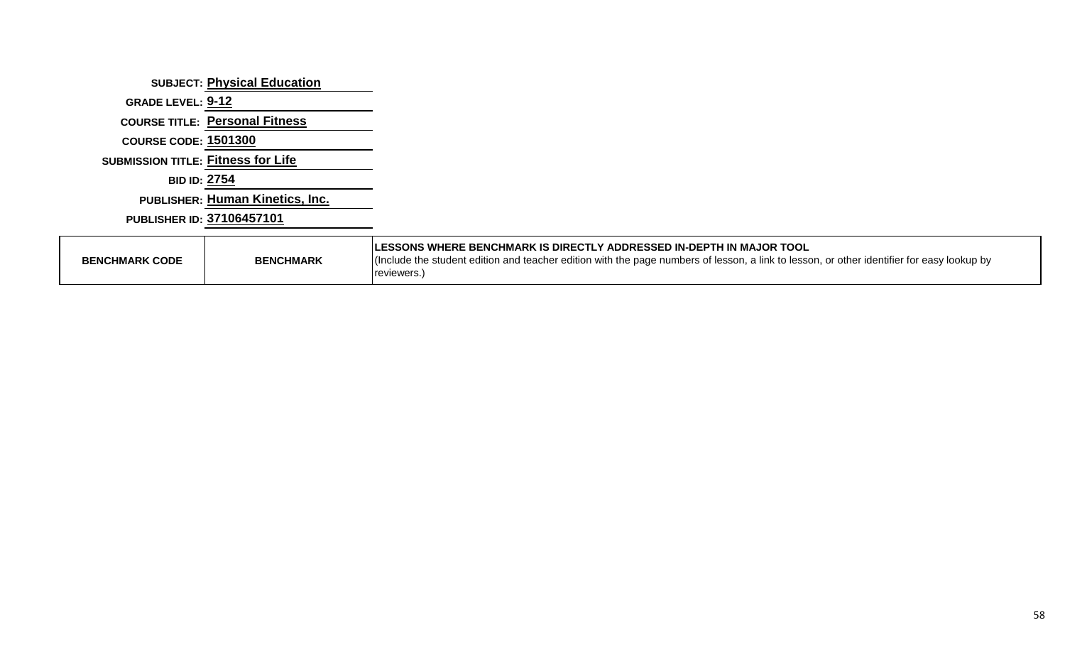|                                           | <b>SUBJECT: Physical Education</b>     |                                                                                                                                                           |
|-------------------------------------------|----------------------------------------|-----------------------------------------------------------------------------------------------------------------------------------------------------------|
| GRADE LEVEL: 9-12                         |                                        |                                                                                                                                                           |
|                                           | <b>COURSE TITLE: Personal Fitness</b>  |                                                                                                                                                           |
| <b>COURSE CODE: 1501300</b>               |                                        |                                                                                                                                                           |
| <b>SUBMISSION TITLE: Fitness for Life</b> |                                        |                                                                                                                                                           |
| <b>BID ID: 2754</b>                       |                                        |                                                                                                                                                           |
|                                           | <b>PUBLISHER: Human Kinetics, Inc.</b> |                                                                                                                                                           |
|                                           | PUBLISHER ID: 37106457101              |                                                                                                                                                           |
|                                           |                                        | LESSONS WHERE BENCHMARK IS DIRECTLY ADDRESSED IN-DEPTH IN MAJOR TOOL                                                                                      |
| <b>BENCHMARK CODE</b>                     | <b>BENCHMARK</b>                       | (Include the student edition and teacher edition with the page numbers of lesson, a link to lesson, or other identifier for easy lookup by<br>reviewers.) |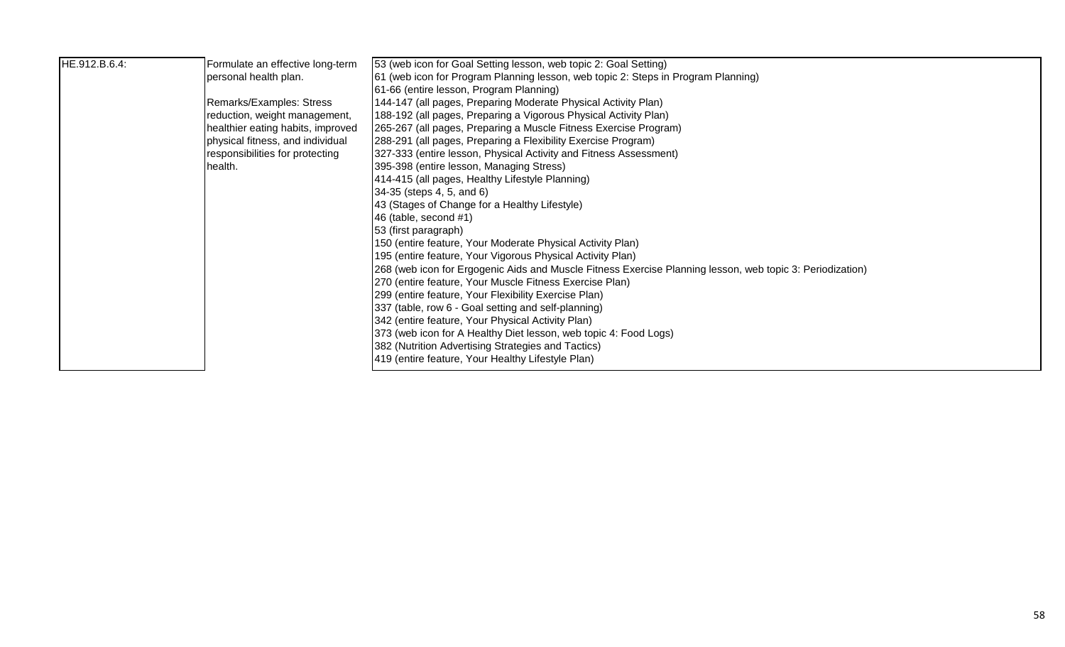| HE.912.B.6.4: | Formulate an effective long-term  | 53 (web icon for Goal Setting lesson, web topic 2: Goal Setting)                                           |
|---------------|-----------------------------------|------------------------------------------------------------------------------------------------------------|
|               | personal health plan.             | 61 (web icon for Program Planning lesson, web topic 2: Steps in Program Planning)                          |
|               |                                   | 61-66 (entire lesson, Program Planning)                                                                    |
|               | Remarks/Examples: Stress          | 144-147 (all pages, Preparing Moderate Physical Activity Plan)                                             |
|               | reduction, weight management,     | 188-192 (all pages, Preparing a Vigorous Physical Activity Plan)                                           |
|               | healthier eating habits, improved | 265-267 (all pages, Preparing a Muscle Fitness Exercise Program)                                           |
|               | physical fitness, and individual  | (288-291 (all pages, Preparing a Flexibility Exercise Program)                                             |
|               | responsibilities for protecting   | 327-333 (entire lesson, Physical Activity and Fitness Assessment)                                          |
|               | health.                           | 395-398 (entire lesson, Managing Stress)                                                                   |
|               |                                   | 414-415 (all pages, Healthy Lifestyle Planning)                                                            |
|               |                                   | $34-35$ (steps 4, 5, and 6)                                                                                |
|               |                                   | 43 (Stages of Change for a Healthy Lifestyle)                                                              |
|               |                                   | 46 (table, second $#1$ )                                                                                   |
|               |                                   | 53 (first paragraph)                                                                                       |
|               |                                   | 150 (entire feature, Your Moderate Physical Activity Plan)                                                 |
|               |                                   | 195 (entire feature, Your Vigorous Physical Activity Plan)                                                 |
|               |                                   | [268 (web icon for Ergogenic Aids and Muscle Fitness Exercise Planning lesson, web topic 3: Periodization) |
|               |                                   | [270 (entire feature, Your Muscle Fitness Exercise Plan)                                                   |
|               |                                   | [299 (entire feature, Your Flexibility Exercise Plan)                                                      |
|               |                                   | 337 (table, row 6 - Goal setting and self-planning)                                                        |
|               |                                   | 342 (entire feature, Your Physical Activity Plan)                                                          |
|               |                                   | 373 (web icon for A Healthy Diet lesson, web topic 4: Food Logs)                                           |
|               |                                   | 382 (Nutrition Advertising Strategies and Tactics)                                                         |
|               |                                   | 419 (entire feature, Your Healthy Lifestyle Plan)                                                          |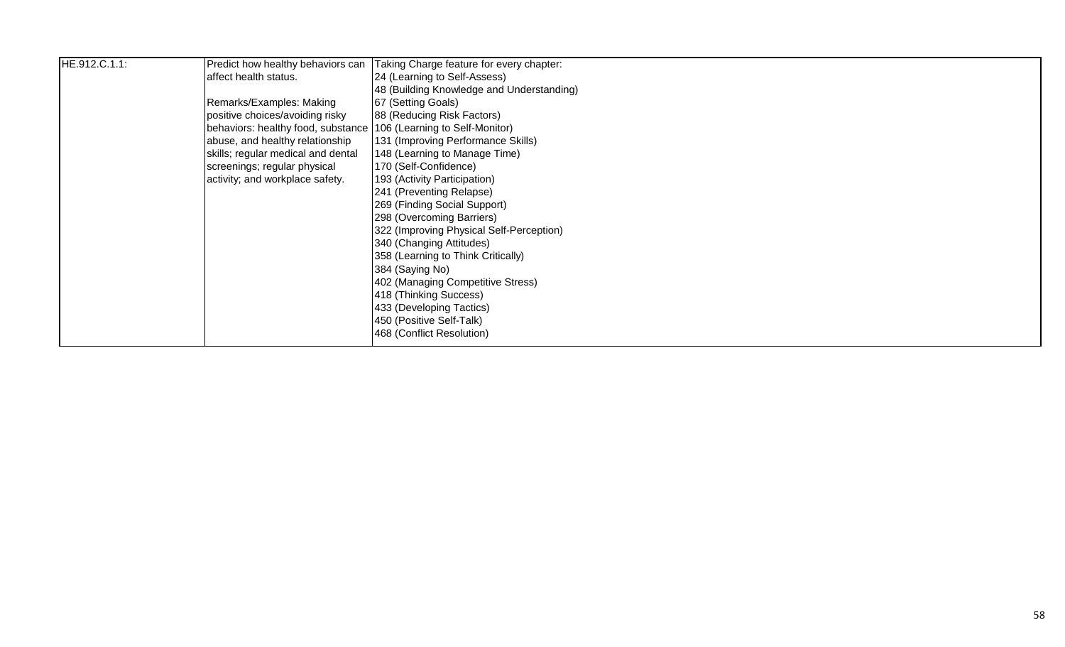| HE.912.C.1.1: | Predict how healthy behaviors can                                 | Taking Charge feature for every chapter:  |
|---------------|-------------------------------------------------------------------|-------------------------------------------|
|               | affect health status.                                             | 24 (Learning to Self-Assess)              |
|               |                                                                   | 48 (Building Knowledge and Understanding) |
|               | Remarks/Examples: Making                                          | 67 (Setting Goals)                        |
|               | positive choices/avoiding risky                                   | 88 (Reducing Risk Factors)                |
|               | behaviors: healthy food, substance 106 (Learning to Self-Monitor) |                                           |
|               | abuse, and healthy relationship                                   | 131 (Improving Performance Skills)        |
|               | skills; regular medical and dental                                | 148 (Learning to Manage Time)             |
|               | screenings; regular physical                                      | 170 (Self-Confidence)                     |
|               | activity; and workplace safety.                                   | 193 (Activity Participation)              |
|               |                                                                   | 241 (Preventing Relapse)                  |
|               |                                                                   | 269 (Finding Social Support)              |
|               |                                                                   | 298 (Overcoming Barriers)                 |
|               |                                                                   | 322 (Improving Physical Self-Perception)  |
|               |                                                                   | 340 (Changing Attitudes)                  |
|               |                                                                   | 358 (Learning to Think Critically)        |
|               |                                                                   | 384 (Saying No)                           |
|               |                                                                   | 402 (Managing Competitive Stress)         |
|               |                                                                   | 418 (Thinking Success)                    |
|               |                                                                   | 433 (Developing Tactics)                  |
|               |                                                                   | 450 (Positive Self-Talk)                  |
|               |                                                                   | 468 (Conflict Resolution)                 |
|               |                                                                   |                                           |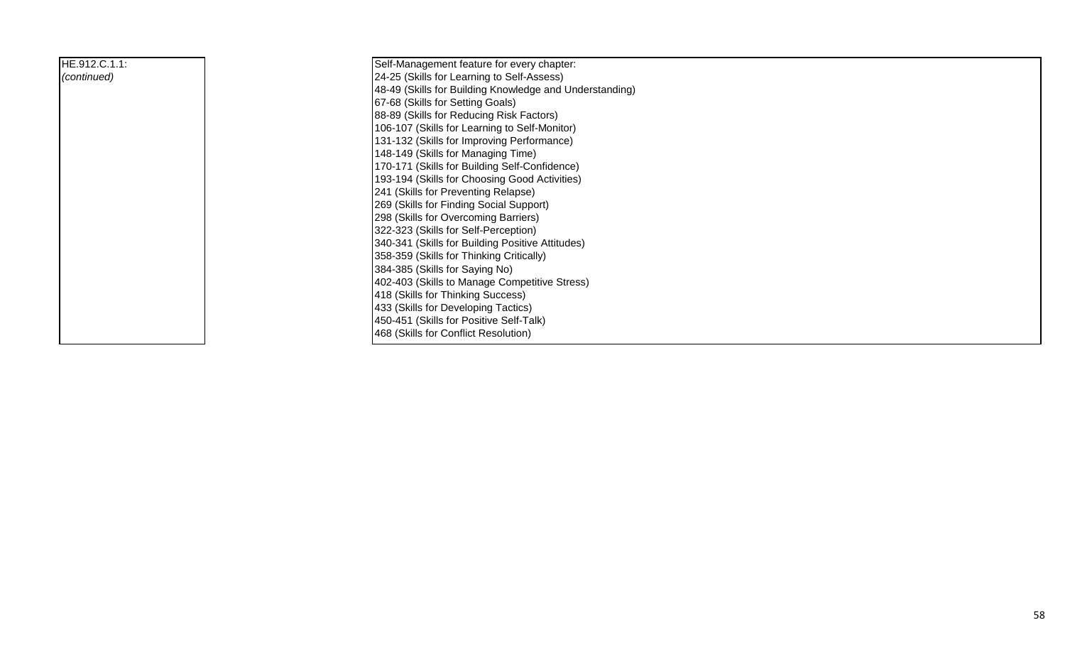| HE.912.C.1.1: | Self-Management feature for every chapter:              |
|---------------|---------------------------------------------------------|
| (continued)   | 24-25 (Skills for Learning to Self-Assess)              |
|               | 48-49 (Skills for Building Knowledge and Understanding) |
|               | 67-68 (Skills for Setting Goals)                        |
|               | 88-89 (Skills for Reducing Risk Factors)                |
|               | 106-107 (Skills for Learning to Self-Monitor)           |
|               | 131-132 (Skills for Improving Performance)              |
|               | 148-149 (Skills for Managing Time)                      |
|               | 170-171 (Skills for Building Self-Confidence)           |
|               | 193-194 (Skills for Choosing Good Activities)           |
|               | 241 (Skills for Preventing Relapse)                     |
|               | 269 (Skills for Finding Social Support)                 |
|               | 298 (Skills for Overcoming Barriers)                    |
|               | 322-323 (Skills for Self-Perception)                    |
|               | 340-341 (Skills for Building Positive Attitudes)        |
|               | 358-359 (Skills for Thinking Critically)                |
|               | 384-385 (Skills for Saying No)                          |
|               | 402-403 (Skills to Manage Competitive Stress)           |
|               | 418 (Skills for Thinking Success)                       |
|               | 433 (Skills for Developing Tactics)                     |
|               | 450-451 (Skills for Positive Self-Talk)                 |
|               | 468 (Skills for Conflict Resolution)                    |
|               |                                                         |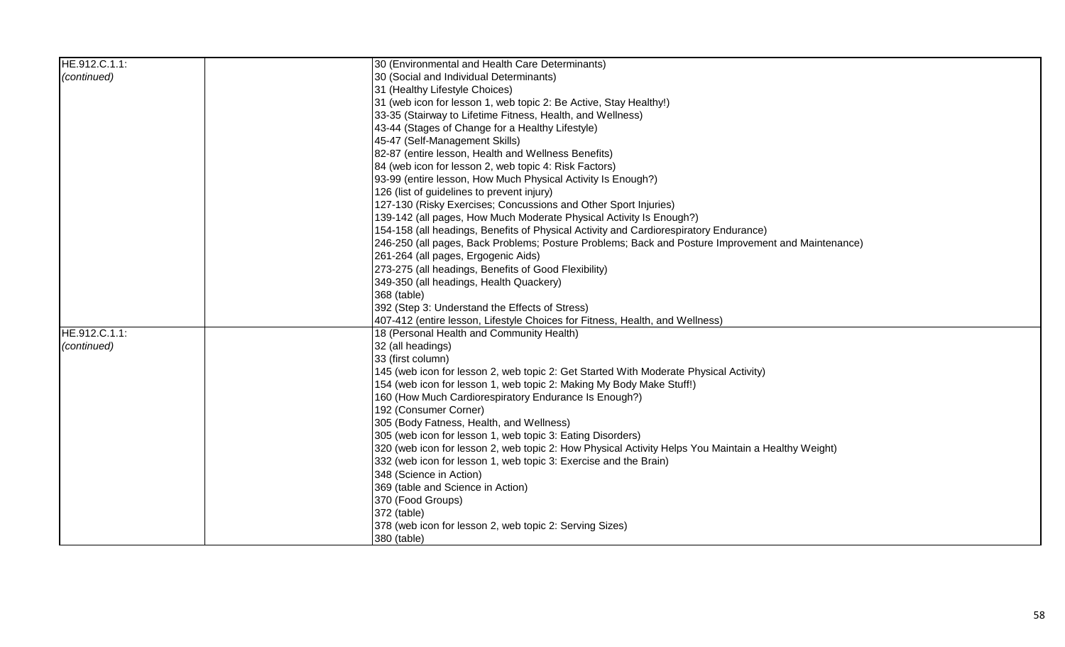| HE.912.C.1.1: | 30 (Environmental and Health Care Determinants)                                                     |
|---------------|-----------------------------------------------------------------------------------------------------|
| (continued)   | 30 (Social and Individual Determinants)                                                             |
|               | 31 (Healthy Lifestyle Choices)                                                                      |
|               | [31 (web icon for lesson 1, web topic 2: Be Active, Stay Healthy!)                                  |
|               | 33-35 (Stairway to Lifetime Fitness, Health, and Wellness)                                          |
|               | 43-44 (Stages of Change for a Healthy Lifestyle)                                                    |
|               | 45-47 (Self-Management Skills)                                                                      |
|               | 82-87 (entire lesson, Health and Wellness Benefits)                                                 |
|               | 84 (web icon for lesson 2, web topic 4: Risk Factors)                                               |
|               | [93-99 (entire lesson, How Much Physical Activity Is Enough?)                                       |
|               | 126 (list of guidelines to prevent injury)                                                          |
|               | 127-130 (Risky Exercises; Concussions and Other Sport Injuries)                                     |
|               | 139-142 (all pages, How Much Moderate Physical Activity Is Enough?)                                 |
|               | 154-158 (all headings, Benefits of Physical Activity and Cardiorespiratory Endurance)               |
|               | [246-250 (all pages, Back Problems; Posture Problems; Back and Posture Improvement and Maintenance) |
|               | 261-264 (all pages, Ergogenic Aids)                                                                 |
|               | 273-275 (all headings, Benefits of Good Flexibility)                                                |
|               | 349-350 (all headings, Health Quackery)                                                             |
|               | 368 (table)                                                                                         |
|               | 392 (Step 3: Understand the Effects of Stress)                                                      |
|               | 407-412 (entire lesson, Lifestyle Choices for Fitness, Health, and Wellness)                        |
| HE.912.C.1.1: | 18 (Personal Health and Community Health)                                                           |
| (continued)   | 32 (all headings)                                                                                   |
|               | 33 (first column)                                                                                   |
|               | 145 (web icon for lesson 2, web topic 2: Get Started With Moderate Physical Activity)               |
|               | 154 (web icon for lesson 1, web topic 2: Making My Body Make Stuff!)                                |
|               | 160 (How Much Cardiorespiratory Endurance Is Enough?)                                               |
|               | 192 (Consumer Corner)                                                                               |
|               | 305 (Body Fatness, Health, and Wellness)                                                            |
|               | 305 (web icon for lesson 1, web topic 3: Eating Disorders)                                          |
|               | 320 (web icon for lesson 2, web topic 2: How Physical Activity Helps You Maintain a Healthy Weight) |
|               | [332 (web icon for lesson 1, web topic 3: Exercise and the Brain)                                   |
|               | 348 (Science in Action)                                                                             |
|               | 369 (table and Science in Action)                                                                   |
|               | 370 (Food Groups)                                                                                   |
|               | 372 (table)                                                                                         |
|               | 378 (web icon for lesson 2, web topic 2: Serving Sizes)                                             |
|               | 380 (table)                                                                                         |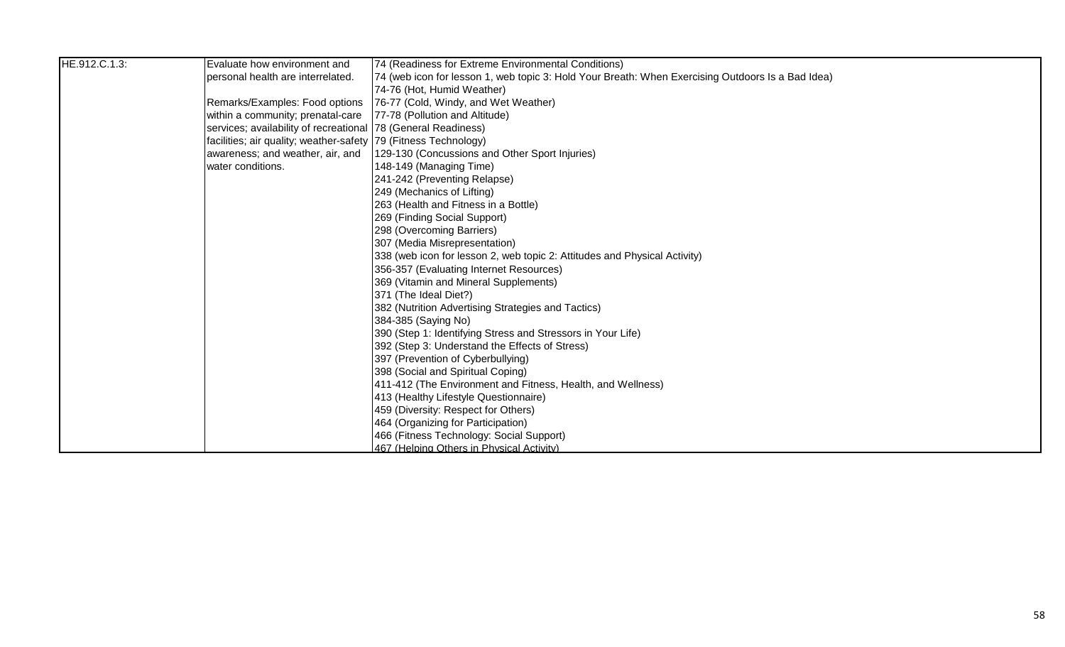| HE.912.C.1.3: | Evaluate how environment and                                     | 74 (Readiness for Extreme Environmental Conditions)                                               |
|---------------|------------------------------------------------------------------|---------------------------------------------------------------------------------------------------|
|               | personal health are interrelated.                                | 74 (web icon for lesson 1, web topic 3: Hold Your Breath: When Exercising Outdoors Is a Bad Idea) |
|               |                                                                  | 74-76 (Hot, Humid Weather)                                                                        |
|               | Remarks/Examples: Food options                                   | [76-77 (Cold, Windy, and Wet Weather)                                                             |
|               | within a community; prenatal-care                                | [77-78 (Pollution and Altitude)                                                                   |
|               | services; availability of recreational   78 (General Readiness)  |                                                                                                   |
|               | facilities; air quality; weather-safety  79 (Fitness Technology) |                                                                                                   |
|               | awareness; and weather, air, and                                 | 129-130 (Concussions and Other Sport Injuries)                                                    |
|               | water conditions.                                                | 148-149 (Managing Time)                                                                           |
|               |                                                                  | 241-242 (Preventing Relapse)                                                                      |
|               |                                                                  | 249 (Mechanics of Lifting)                                                                        |
|               |                                                                  | 263 (Health and Fitness in a Bottle)                                                              |
|               |                                                                  | 269 (Finding Social Support)                                                                      |
|               |                                                                  | 298 (Overcoming Barriers)                                                                         |
|               |                                                                  | 307 (Media Misrepresentation)                                                                     |
|               |                                                                  | 338 (web icon for lesson 2, web topic 2: Attitudes and Physical Activity)                         |
|               |                                                                  | 356-357 (Evaluating Internet Resources)                                                           |
|               |                                                                  | 369 (Vitamin and Mineral Supplements)                                                             |
|               |                                                                  | 371 (The Ideal Diet?)                                                                             |
|               |                                                                  | 382 (Nutrition Advertising Strategies and Tactics)                                                |
|               |                                                                  | 384-385 (Saying No)                                                                               |
|               |                                                                  | 390 (Step 1: Identifying Stress and Stressors in Your Life)                                       |
|               |                                                                  | 392 (Step 3: Understand the Effects of Stress)                                                    |
|               |                                                                  | 397 (Prevention of Cyberbullying)                                                                 |
|               |                                                                  | 398 (Social and Spiritual Coping)                                                                 |
|               |                                                                  | 411-412 (The Environment and Fitness, Health, and Wellness)                                       |
|               |                                                                  | 413 (Healthy Lifestyle Questionnaire)                                                             |
|               |                                                                  | 459 (Diversity: Respect for Others)                                                               |
|               |                                                                  | 464 (Organizing for Participation)                                                                |
|               |                                                                  | 466 (Fitness Technology: Social Support)                                                          |
|               |                                                                  | 467 (Helping Others in Physical Activity)                                                         |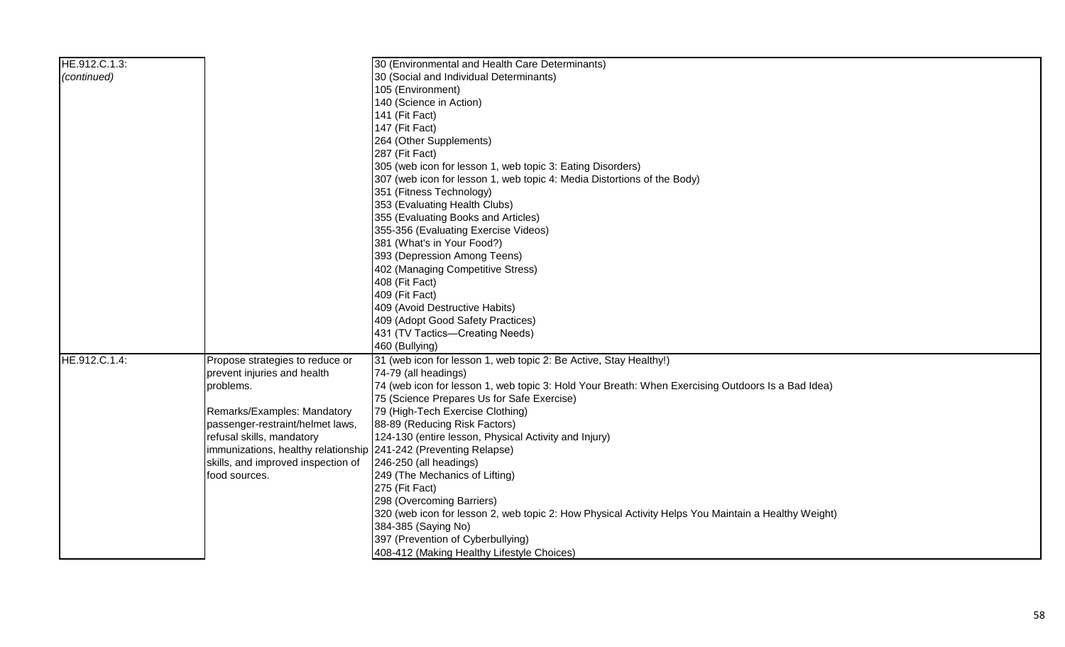| HE.912.C.1.3: |                                                                  | 30 (Environmental and Health Care Determinants)                                                     |
|---------------|------------------------------------------------------------------|-----------------------------------------------------------------------------------------------------|
| (continued)   |                                                                  | 30 (Social and Individual Determinants)                                                             |
|               |                                                                  | 105 (Environment)                                                                                   |
|               |                                                                  | 140 (Science in Action)                                                                             |
|               |                                                                  | 141 (Fit Fact)                                                                                      |
|               |                                                                  | 147 (Fit Fact)                                                                                      |
|               |                                                                  | 264 (Other Supplements)                                                                             |
|               |                                                                  | 287 (Fit Fact)                                                                                      |
|               |                                                                  | 305 (web icon for lesson 1, web topic 3: Eating Disorders)                                          |
|               |                                                                  | 307 (web icon for lesson 1, web topic 4: Media Distortions of the Body)                             |
|               |                                                                  | 351 (Fitness Technology)                                                                            |
|               |                                                                  | 353 (Evaluating Health Clubs)                                                                       |
|               |                                                                  | 355 (Evaluating Books and Articles)                                                                 |
|               |                                                                  | 355-356 (Evaluating Exercise Videos)                                                                |
|               |                                                                  | 381 (What's in Your Food?)                                                                          |
|               |                                                                  | 393 (Depression Among Teens)                                                                        |
|               |                                                                  | 402 (Managing Competitive Stress)                                                                   |
|               |                                                                  | 408 (Fit Fact)                                                                                      |
|               |                                                                  | 409 (Fit Fact)                                                                                      |
|               |                                                                  | 409 (Avoid Destructive Habits)                                                                      |
|               |                                                                  | 409 (Adopt Good Safety Practices)                                                                   |
|               |                                                                  | 431 (TV Tactics-Creating Needs)                                                                     |
|               |                                                                  | 460 (Bullying)                                                                                      |
| HE.912.C.1.4: | Propose strategies to reduce or                                  | 31 (web icon for lesson 1, web topic 2: Be Active, Stay Healthy!)                                   |
|               | prevent injuries and health                                      | 74-79 (all headings)                                                                                |
|               | problems.                                                        | 74 (web icon for lesson 1, web topic 3: Hold Your Breath: When Exercising Outdoors Is a Bad Idea)   |
|               |                                                                  | 75 (Science Prepares Us for Safe Exercise)                                                          |
|               | Remarks/Examples: Mandatory                                      | 79 (High-Tech Exercise Clothing)                                                                    |
|               | passenger-restraint/helmet laws,                                 | 88-89 (Reducing Risk Factors)                                                                       |
|               | refusal skills, mandatory                                        | 124-130 (entire lesson, Physical Activity and Injury)                                               |
|               | immunizations, healthy relationship 241-242 (Preventing Relapse) |                                                                                                     |
|               | skills, and improved inspection of                               | 246-250 (all headings)                                                                              |
|               | food sources.                                                    | 249 (The Mechanics of Lifting)                                                                      |
|               |                                                                  | 275 (Fit Fact)                                                                                      |
|               |                                                                  | 298 (Overcoming Barriers)                                                                           |
|               |                                                                  | 320 (web icon for lesson 2, web topic 2: How Physical Activity Helps You Maintain a Healthy Weight) |
|               |                                                                  | 384-385 (Saying No)                                                                                 |
|               |                                                                  | 397 (Prevention of Cyberbullying)                                                                   |
|               |                                                                  | 408-412 (Making Healthy Lifestyle Choices)                                                          |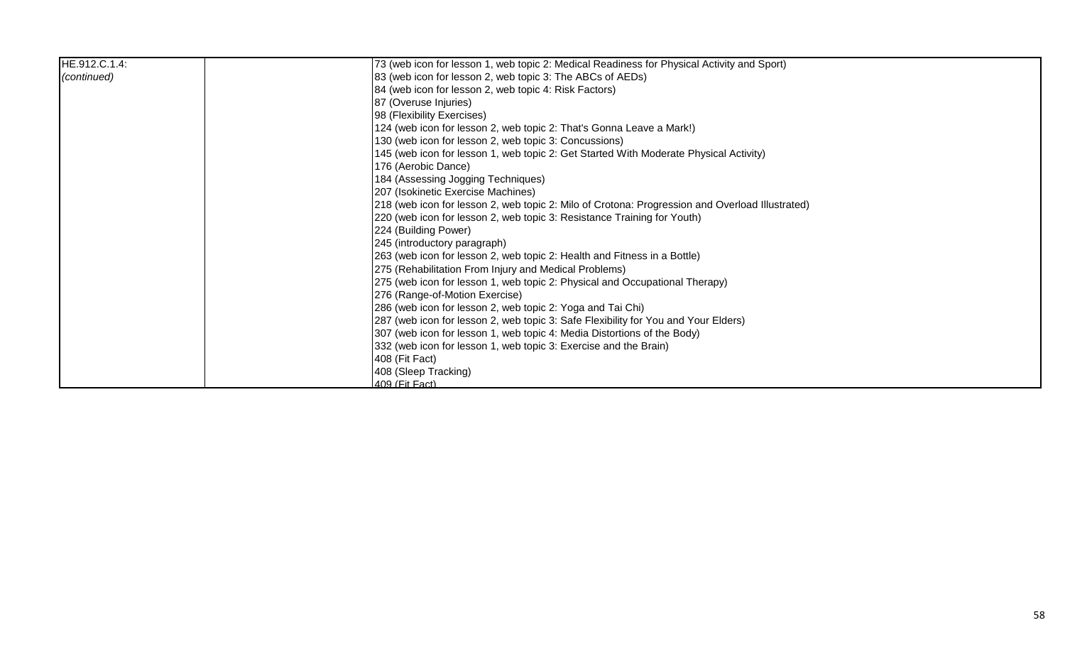| HE.912.C.1.4: | 73 (web icon for lesson 1, web topic 2: Medical Readiness for Physical Activity and Sport)      |
|---------------|-------------------------------------------------------------------------------------------------|
| (continued)   | 83 (web icon for lesson 2, web topic 3: The ABCs of AEDs)                                       |
|               | 84 (web icon for lesson 2, web topic 4: Risk Factors)                                           |
|               | 87 (Overuse Injuries)                                                                           |
|               | 98 (Flexibility Exercises)                                                                      |
|               | 124 (web icon for lesson 2, web topic 2: That's Gonna Leave a Mark!)                            |
|               | 130 (web icon for lesson 2, web topic 3: Concussions)                                           |
|               | 145 (web icon for lesson 1, web topic 2: Get Started With Moderate Physical Activity)           |
|               | 176 (Aerobic Dance)                                                                             |
|               | 184 (Assessing Jogging Techniques)                                                              |
|               | 207 (Isokinetic Exercise Machines)                                                              |
|               | 218 (web icon for lesson 2, web topic 2: Milo of Crotona: Progression and Overload Illustrated) |
|               | 220 (web icon for lesson 2, web topic 3: Resistance Training for Youth)                         |
|               | 224 (Building Power)                                                                            |
|               | 245 (introductory paragraph)                                                                    |
|               | 263 (web icon for lesson 2, web topic 2: Health and Fitness in a Bottle)                        |
|               | 275 (Rehabilitation From Injury and Medical Problems)                                           |
|               | 275 (web icon for lesson 1, web topic 2: Physical and Occupational Therapy)                     |
|               | 276 (Range-of-Motion Exercise)                                                                  |
|               | 286 (web icon for lesson 2, web topic 2: Yoga and Tai Chi)                                      |
|               | 287 (web icon for lesson 2, web topic 3: Safe Flexibility for You and Your Elders)              |
|               | 307 (web icon for lesson 1, web topic 4: Media Distortions of the Body)                         |
|               | 332 (web icon for lesson 1, web topic 3: Exercise and the Brain)                                |
|               | 408 (Fit Fact)                                                                                  |
|               | 408 (Sleep Tracking)                                                                            |
|               | 409 (Fit Fact)                                                                                  |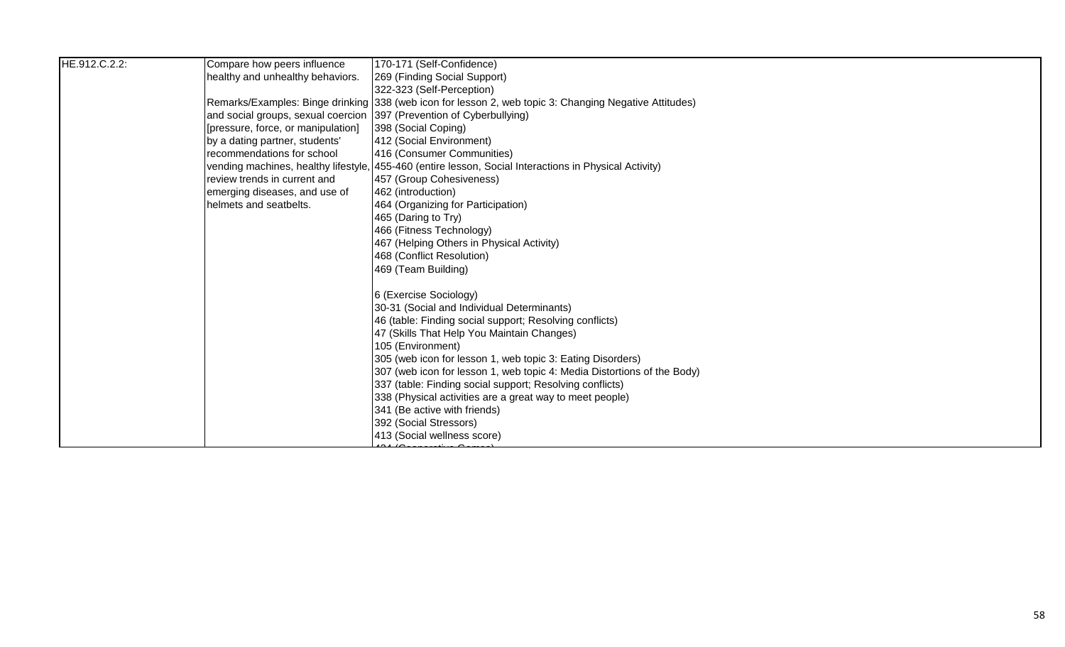| HE.912.C.2.2: | Compare how peers influence                                          | 170-171 (Self-Confidence)                                                                              |
|---------------|----------------------------------------------------------------------|--------------------------------------------------------------------------------------------------------|
|               | healthy and unhealthy behaviors.                                     | 269 (Finding Social Support)                                                                           |
|               |                                                                      | 322-323 (Self-Perception)                                                                              |
|               |                                                                      | Remarks/Examples: Binge drinking 338 (web icon for lesson 2, web topic 3: Changing Negative Attitudes) |
|               | and social groups, sexual coercion 397 (Prevention of Cyberbullying) |                                                                                                        |
|               | [pressure, force, or manipulation]                                   | 398 (Social Coping)                                                                                    |
|               | by a dating partner, students'                                       | 412 (Social Environment)                                                                               |
|               | recommendations for school                                           | 416 (Consumer Communities)                                                                             |
|               |                                                                      | vending machines, healthy lifestyle, 455-460 (entire lesson, Social Interactions in Physical Activity) |
|               | review trends in current and                                         | 457 (Group Cohesiveness)                                                                               |
|               | emerging diseases, and use of                                        | 462 (introduction)                                                                                     |
|               | helmets and seatbelts.                                               | 464 (Organizing for Participation)                                                                     |
|               |                                                                      | 465 (Daring to Try)                                                                                    |
|               |                                                                      | 466 (Fitness Technology)                                                                               |
|               |                                                                      | 467 (Helping Others in Physical Activity)                                                              |
|               |                                                                      | 468 (Conflict Resolution)                                                                              |
|               |                                                                      | 469 (Team Building)                                                                                    |
|               |                                                                      | 6 (Exercise Sociology)                                                                                 |
|               |                                                                      | 30-31 (Social and Individual Determinants)                                                             |
|               |                                                                      | 46 (table: Finding social support; Resolving conflicts)                                                |
|               |                                                                      | 47 (Skills That Help You Maintain Changes)                                                             |
|               |                                                                      | 105 (Environment)                                                                                      |
|               |                                                                      | 305 (web icon for lesson 1, web topic 3: Eating Disorders)                                             |
|               |                                                                      | 307 (web icon for lesson 1, web topic 4: Media Distortions of the Body)                                |
|               |                                                                      | 337 (table: Finding social support; Resolving conflicts)                                               |
|               |                                                                      | 338 (Physical activities are a great way to meet people)                                               |
|               |                                                                      | 341 (Be active with friends)                                                                           |
|               |                                                                      | 392 (Social Stressors)                                                                                 |
|               |                                                                      | 413 (Social wellness score)                                                                            |
|               |                                                                      |                                                                                                        |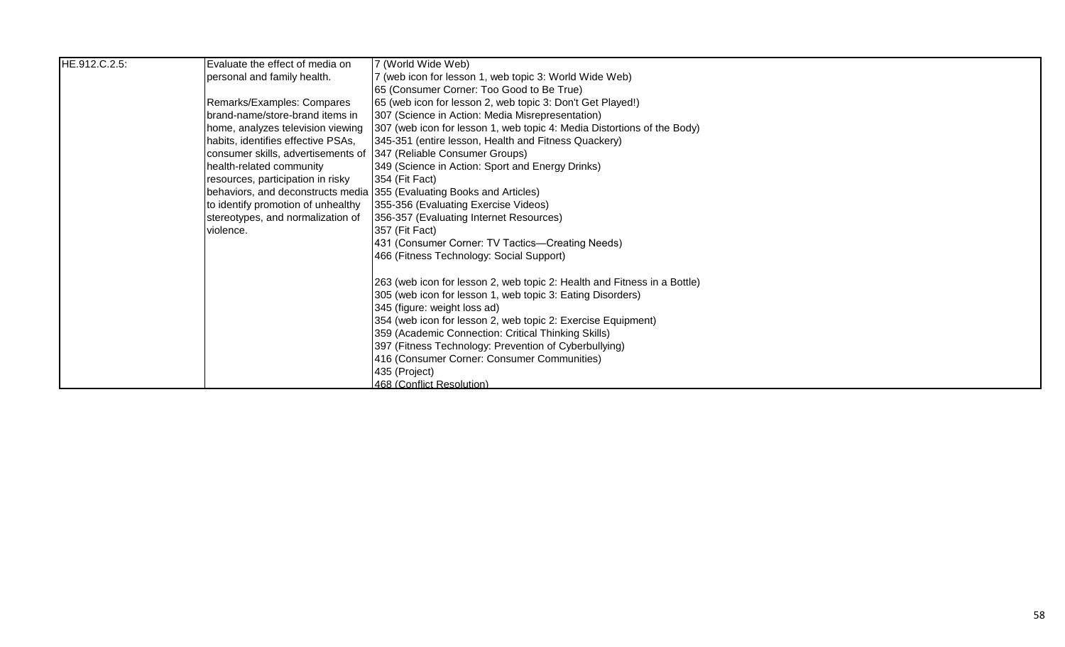| HE.912.C.2.5: | Evaluate the effect of media on    | 7 (World Wide Web)                                                       |
|---------------|------------------------------------|--------------------------------------------------------------------------|
|               | personal and family health.        | 7 (web icon for lesson 1, web topic 3: World Wide Web)                   |
|               |                                    | 65 (Consumer Corner: Too Good to Be True)                                |
|               | Remarks/Examples: Compares         | 65 (web icon for lesson 2, web topic 3: Don't Get Played!)               |
|               | brand-name/store-brand items in    | 307 (Science in Action: Media Misrepresentation)                         |
|               | home, analyzes television viewing  | 307 (web icon for lesson 1, web topic 4: Media Distortions of the Body)  |
|               | habits, identifies effective PSAs, | 345-351 (entire lesson, Health and Fitness Quackery)                     |
|               | consumer skills, advertisements of | 347 (Reliable Consumer Groups)                                           |
|               | health-related community           | 349 (Science in Action: Sport and Energy Drinks)                         |
|               | resources, participation in risky  | 354 (Fit Fact)                                                           |
|               |                                    | behaviors, and deconstructs media 355 (Evaluating Books and Articles)    |
|               | to identify promotion of unhealthy | 355-356 (Evaluating Exercise Videos)                                     |
|               | stereotypes, and normalization of  | 356-357 (Evaluating Internet Resources)                                  |
|               | violence.                          | 357 (Fit Fact)                                                           |
|               |                                    | 431 (Consumer Corner: TV Tactics—Creating Needs)                         |
|               |                                    | 466 (Fitness Technology: Social Support)                                 |
|               |                                    | 263 (web icon for lesson 2, web topic 2: Health and Fitness in a Bottle) |
|               |                                    | 305 (web icon for lesson 1, web topic 3: Eating Disorders)               |
|               |                                    | 345 (figure: weight loss ad)                                             |
|               |                                    | 354 (web icon for lesson 2, web topic 2: Exercise Equipment)             |
|               |                                    | 359 (Academic Connection: Critical Thinking Skills)                      |
|               |                                    | 397 (Fitness Technology: Prevention of Cyberbullying)                    |
|               |                                    | 416 (Consumer Corner: Consumer Communities)                              |
|               |                                    | 435 (Project)                                                            |
|               |                                    | 468 (Conflict Resolution)                                                |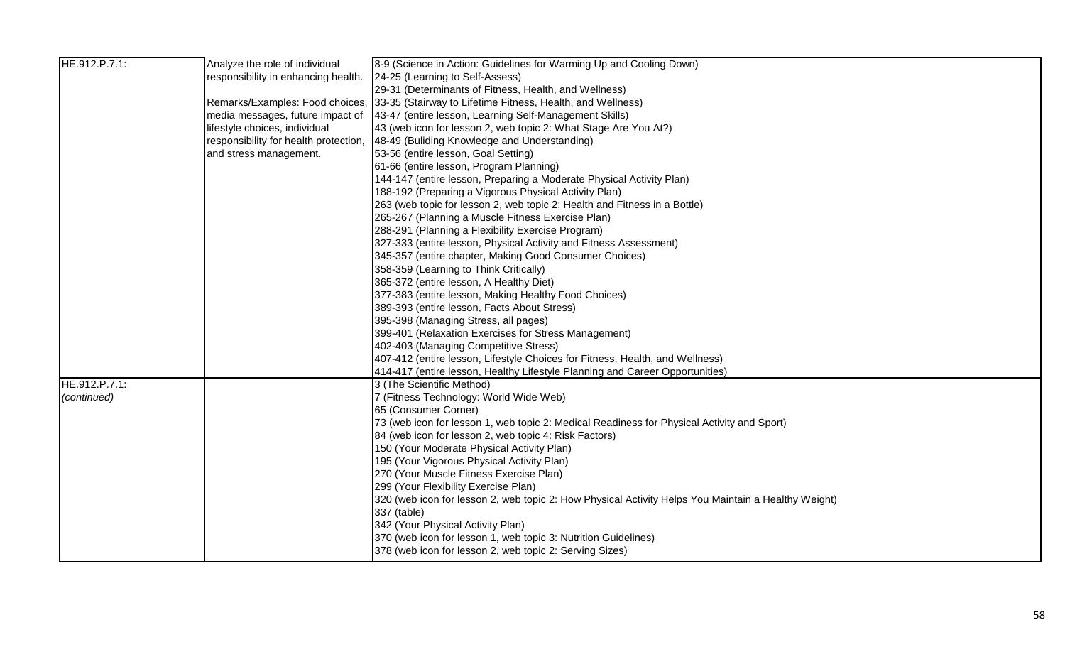| HE.912.P.7.1: | Analyze the role of individual        | 8-9 (Science in Action: Guidelines for Warming Up and Cooling Down)                                 |
|---------------|---------------------------------------|-----------------------------------------------------------------------------------------------------|
|               | responsibility in enhancing health.   | 24-25 (Learning to Self-Assess)                                                                     |
|               |                                       | 29-31 (Determinants of Fitness, Health, and Wellness)                                               |
|               |                                       | Remarks/Examples: Food choices, 33-35 (Stairway to Lifetime Fitness, Health, and Wellness)          |
|               | media messages, future impact of      | 43-47 (entire lesson, Learning Self-Management Skills)                                              |
|               | lifestyle choices, individual         | 43 (web icon for lesson 2, web topic 2: What Stage Are You At?)                                     |
|               | responsibility for health protection, | 48-49 (Buliding Knowledge and Understanding)                                                        |
|               | and stress management.                | 53-56 (entire lesson, Goal Setting)                                                                 |
|               |                                       | 61-66 (entire lesson, Program Planning)                                                             |
|               |                                       | 144-147 (entire lesson, Preparing a Moderate Physical Activity Plan)                                |
|               |                                       | 188-192 (Preparing a Vigorous Physical Activity Plan)                                               |
|               |                                       | 263 (web topic for lesson 2, web topic 2: Health and Fitness in a Bottle)                           |
|               |                                       | 265-267 (Planning a Muscle Fitness Exercise Plan)                                                   |
|               |                                       | 288-291 (Planning a Flexibility Exercise Program)                                                   |
|               |                                       | 327-333 (entire lesson, Physical Activity and Fitness Assessment)                                   |
|               |                                       | 345-357 (entire chapter, Making Good Consumer Choices)                                              |
|               |                                       | 358-359 (Learning to Think Critically)                                                              |
|               |                                       | 365-372 (entire lesson, A Healthy Diet)                                                             |
|               |                                       | 377-383 (entire lesson, Making Healthy Food Choices)                                                |
|               |                                       | 389-393 (entire lesson, Facts About Stress)                                                         |
|               |                                       | 395-398 (Managing Stress, all pages)                                                                |
|               |                                       | 399-401 (Relaxation Exercises for Stress Management)                                                |
|               |                                       | 402-403 (Managing Competitive Stress)                                                               |
|               |                                       | 407-412 (entire lesson, Lifestyle Choices for Fitness, Health, and Wellness)                        |
|               |                                       | 414-417 (entire lesson, Healthy Lifestyle Planning and Career Opportunities)                        |
| HE.912.P.7.1: |                                       | 3 (The Scientific Method)                                                                           |
| (continued)   |                                       | 7 (Fitness Technology: World Wide Web)                                                              |
|               |                                       | 65 (Consumer Corner)                                                                                |
|               |                                       | 73 (web icon for lesson 1, web topic 2: Medical Readiness for Physical Activity and Sport)          |
|               |                                       | 84 (web icon for lesson 2, web topic 4: Risk Factors)                                               |
|               |                                       | 150 (Your Moderate Physical Activity Plan)                                                          |
|               |                                       | 195 (Your Vigorous Physical Activity Plan)                                                          |
|               |                                       | 270 (Your Muscle Fitness Exercise Plan)                                                             |
|               |                                       | 299 (Your Flexibility Exercise Plan)                                                                |
|               |                                       | 320 (web icon for lesson 2, web topic 2: How Physical Activity Helps You Maintain a Healthy Weight) |
|               |                                       | 337 (table)                                                                                         |
|               |                                       | 342 (Your Physical Activity Plan)                                                                   |
|               |                                       | 370 (web icon for lesson 1, web topic 3: Nutrition Guidelines)                                      |
|               |                                       | 378 (web icon for lesson 2, web topic 2: Serving Sizes)                                             |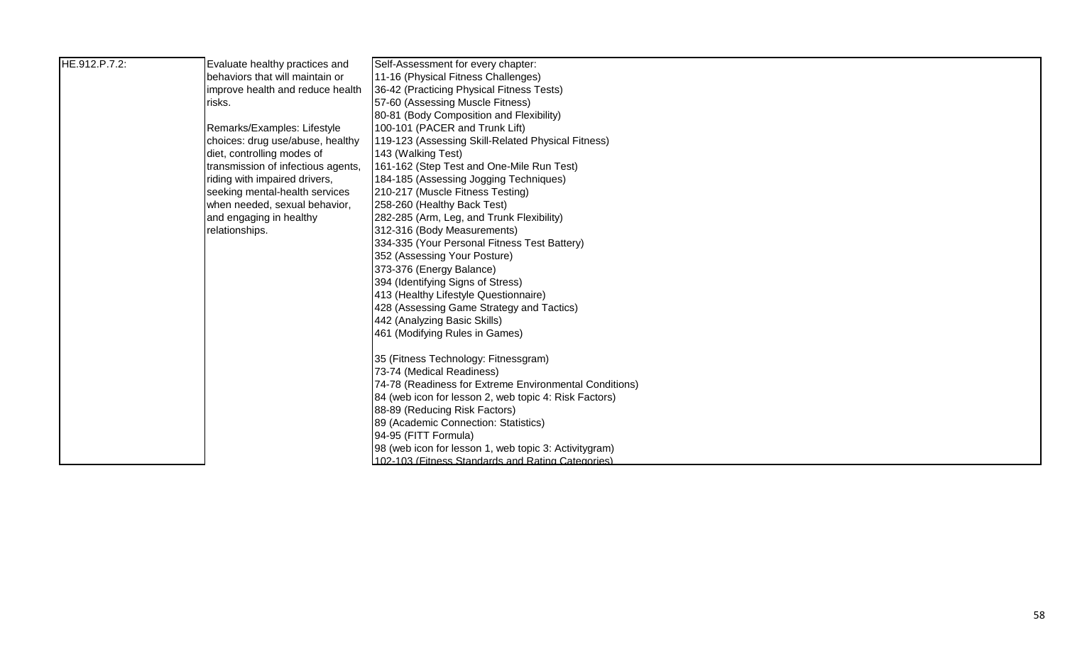| HE.912.P.7.2: | Evaluate healthy practices and     | Self-Assessment for every chapter:                                |
|---------------|------------------------------------|-------------------------------------------------------------------|
|               | behaviors that will maintain or    | 11-16 (Physical Fitness Challenges)                               |
|               | improve health and reduce health   | 36-42 (Practicing Physical Fitness Tests)                         |
|               | risks.                             | 57-60 (Assessing Muscle Fitness)                                  |
|               |                                    | 80-81 (Body Composition and Flexibility)                          |
|               | Remarks/Examples: Lifestyle        | 100-101 (PACER and Trunk Lift)                                    |
|               | choices: drug use/abuse, healthy   | 119-123 (Assessing Skill-Related Physical Fitness)                |
|               | diet, controlling modes of         | 143 (Walking Test)                                                |
|               | transmission of infectious agents, | 161-162 (Step Test and One-Mile Run Test)                         |
|               | riding with impaired drivers,      | 184-185 (Assessing Jogging Techniques)                            |
|               | seeking mental-health services     | 210-217 (Muscle Fitness Testing)                                  |
|               | when needed, sexual behavior,      | 258-260 (Healthy Back Test)                                       |
|               | and engaging in healthy            | 282-285 (Arm, Leg, and Trunk Flexibility)                         |
|               | relationships.                     | 312-316 (Body Measurements)                                       |
|               |                                    | 334-335 (Your Personal Fitness Test Battery)                      |
|               |                                    | 352 (Assessing Your Posture)                                      |
|               |                                    | 373-376 (Energy Balance)                                          |
|               |                                    | 394 (Identifying Signs of Stress)                                 |
|               |                                    | 413 (Healthy Lifestyle Questionnaire)                             |
|               |                                    | 428 (Assessing Game Strategy and Tactics)                         |
|               |                                    | 442 (Analyzing Basic Skills)                                      |
|               |                                    | 461 (Modifying Rules in Games)                                    |
|               |                                    |                                                                   |
|               |                                    | 35 (Fitness Technology: Fitnessgram)<br>73-74 (Medical Readiness) |
|               |                                    | 74-78 (Readiness for Extreme Environmental Conditions)            |
|               |                                    | 84 (web icon for lesson 2, web topic 4: Risk Factors)             |
|               |                                    | 88-89 (Reducing Risk Factors)                                     |
|               |                                    | 89 (Academic Connection: Statistics)                              |
|               |                                    | 94-95 (FITT Formula)                                              |
|               |                                    | 98 (web icon for lesson 1, web topic 3: Activitygram)             |
|               |                                    | 102-103 (Fitness Standards and Rating Categories)                 |
|               |                                    |                                                                   |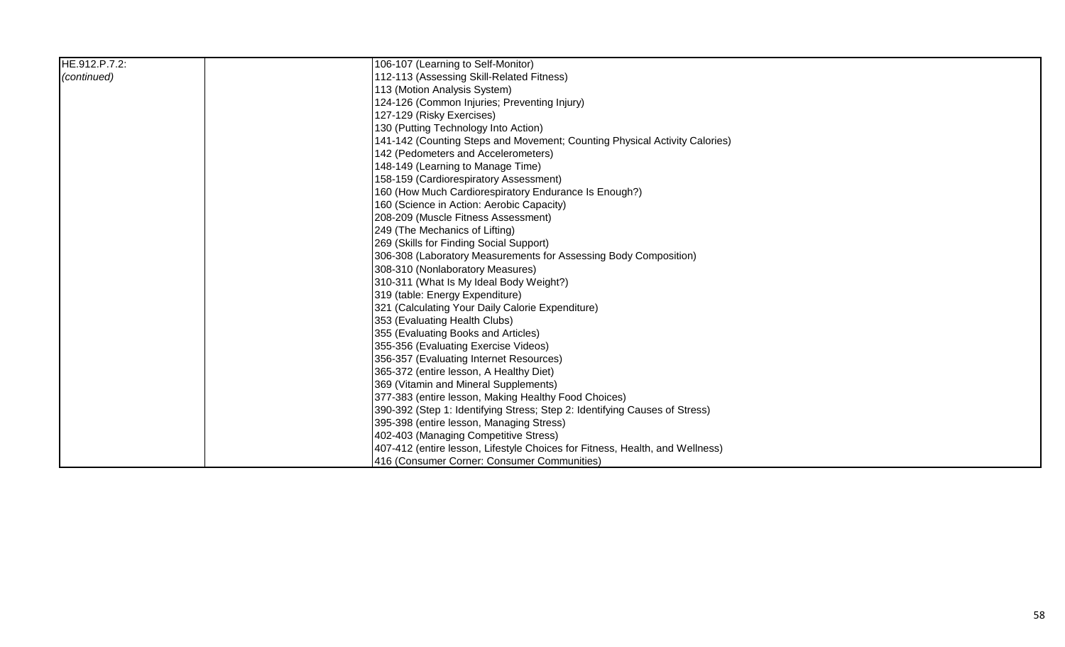| HE.912.P.7.2: | 106-107 (Learning to Self-Monitor)                                           |
|---------------|------------------------------------------------------------------------------|
| (continued)   | 112-113 (Assessing Skill-Related Fitness)                                    |
|               | 113 (Motion Analysis System)                                                 |
|               | 124-126 (Common Injuries; Preventing Injury)                                 |
|               | 127-129 (Risky Exercises)                                                    |
|               | 130 (Putting Technology Into Action)                                         |
|               | 141-142 (Counting Steps and Movement; Counting Physical Activity Calories)   |
|               | 142 (Pedometers and Accelerometers)                                          |
|               | 148-149 (Learning to Manage Time)                                            |
|               | 158-159 (Cardiorespiratory Assessment)                                       |
|               | 160 (How Much Cardiorespiratory Endurance Is Enough?)                        |
|               | 160 (Science in Action: Aerobic Capacity)                                    |
|               | 208-209 (Muscle Fitness Assessment)                                          |
|               | 249 (The Mechanics of Lifting)                                               |
|               | 269 (Skills for Finding Social Support)                                      |
|               | 306-308 (Laboratory Measurements for Assessing Body Composition)             |
|               | 308-310 (Nonlaboratory Measures)                                             |
|               | 310-311 (What Is My Ideal Body Weight?)                                      |
|               | 319 (table: Energy Expenditure)                                              |
|               | 321 (Calculating Your Daily Calorie Expenditure)                             |
|               | 353 (Evaluating Health Clubs)                                                |
|               | 355 (Evaluating Books and Articles)                                          |
|               | 355-356 (Evaluating Exercise Videos)                                         |
|               | 356-357 (Evaluating Internet Resources)                                      |
|               | 365-372 (entire lesson, A Healthy Diet)                                      |
|               | 369 (Vitamin and Mineral Supplements)                                        |
|               | 377-383 (entire lesson, Making Healthy Food Choices)                         |
|               | 390-392 (Step 1: Identifying Stress; Step 2: Identifying Causes of Stress)   |
|               | 395-398 (entire lesson, Managing Stress)                                     |
|               | 402-403 (Managing Competitive Stress)                                        |
|               | 407-412 (entire lesson, Lifestyle Choices for Fitness, Health, and Wellness) |
|               | 416 (Consumer Corner: Consumer Communities)                                  |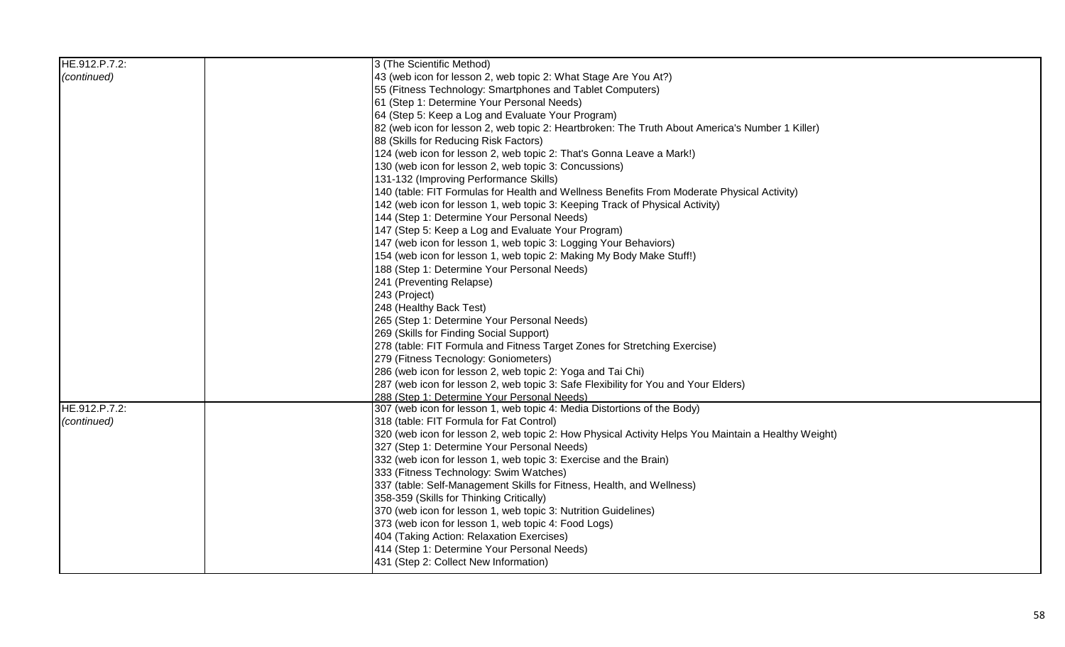| HE.912.P.7.2: | 3 (The Scientific Method)                                                                                  |
|---------------|------------------------------------------------------------------------------------------------------------|
| (continued)   | 43 (web icon for lesson 2, web topic 2: What Stage Are You At?)                                            |
|               | 55 (Fitness Technology: Smartphones and Tablet Computers)                                                  |
|               | 61 (Step 1: Determine Your Personal Needs)                                                                 |
|               | 64 (Step 5: Keep a Log and Evaluate Your Program)                                                          |
|               | 82 (web icon for lesson 2, web topic 2: Heartbroken: The Truth About America's Number 1 Killer)            |
|               | 88 (Skills for Reducing Risk Factors)                                                                      |
|               | 124 (web icon for lesson 2, web topic 2: That's Gonna Leave a Mark!)                                       |
|               | 130 (web icon for lesson 2, web topic 3: Concussions)                                                      |
|               | 131-132 (Improving Performance Skills)                                                                     |
|               | 140 (table: FIT Formulas for Health and Wellness Benefits From Moderate Physical Activity)                 |
|               | 142 (web icon for lesson 1, web topic 3: Keeping Track of Physical Activity)                               |
|               | 144 (Step 1: Determine Your Personal Needs)                                                                |
|               | 147 (Step 5: Keep a Log and Evaluate Your Program)                                                         |
|               | 147 (web icon for lesson 1, web topic 3: Logging Your Behaviors)                                           |
|               | 154 (web icon for lesson 1, web topic 2: Making My Body Make Stuff!)                                       |
|               | 188 (Step 1: Determine Your Personal Needs)                                                                |
|               | 241 (Preventing Relapse)                                                                                   |
|               | 243 (Project)                                                                                              |
|               | 248 (Healthy Back Test)                                                                                    |
|               | 265 (Step 1: Determine Your Personal Needs)                                                                |
|               | 269 (Skills for Finding Social Support)                                                                    |
|               | 278 (table: FIT Formula and Fitness Target Zones for Stretching Exercise)                                  |
|               | 279 (Fitness Tecnology: Goniometers)                                                                       |
|               | 286 (web icon for lesson 2, web topic 2: Yoga and Tai Chi)                                                 |
|               | 287 (web icon for lesson 2, web topic 3: Safe Flexibility for You and Your Elders)                         |
|               | 288 (Step 1: Determine Your Personal Needs)                                                                |
| HE.912.P.7.2: | 307 (web icon for lesson 1, web topic 4: Media Distortions of the Body)                                    |
| (continued)   | 318 (table: FIT Formula for Fat Control)                                                                   |
|               | 320 (web icon for lesson 2, web topic 2: How Physical Activity Helps You Maintain a Healthy Weight)        |
|               | 327 (Step 1: Determine Your Personal Needs)                                                                |
|               | 332 (web icon for lesson 1, web topic 3: Exercise and the Brain)                                           |
|               | 333 (Fitness Technology: Swim Watches)                                                                     |
|               | 337 (table: Self-Management Skills for Fitness, Health, and Wellness)                                      |
|               | 358-359 (Skills for Thinking Critically)<br>370 (web icon for lesson 1, web topic 3: Nutrition Guidelines) |
|               | 373 (web icon for lesson 1, web topic 4: Food Logs)                                                        |
|               | 404 (Taking Action: Relaxation Exercises)                                                                  |
|               | 414 (Step 1: Determine Your Personal Needs)                                                                |
|               | 431 (Step 2: Collect New Information)                                                                      |
|               |                                                                                                            |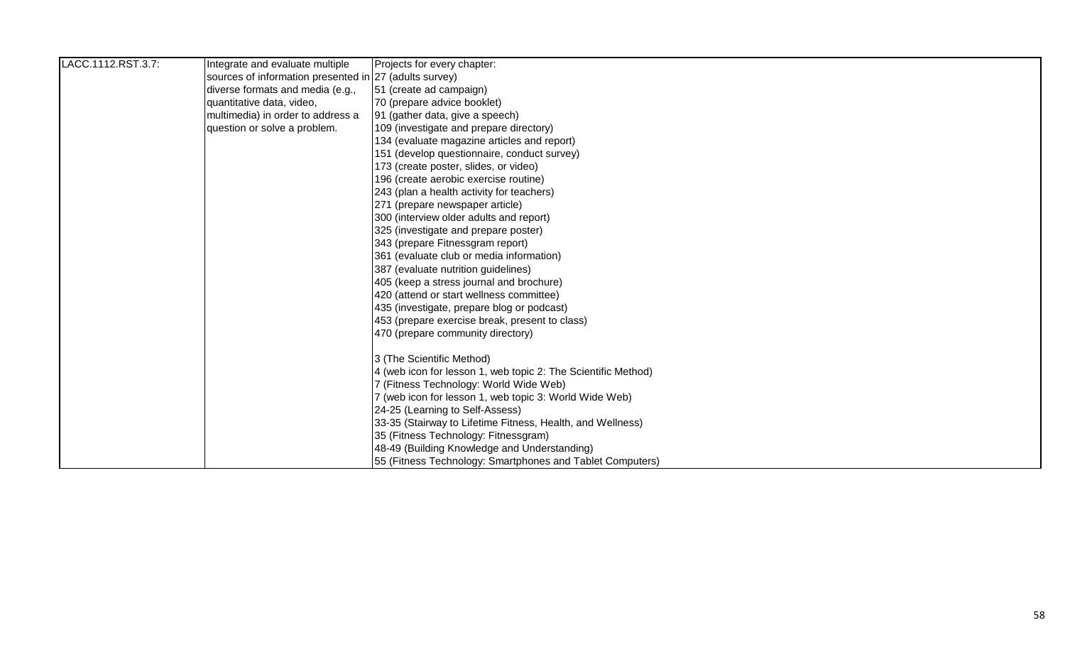| LACC.1112.RST.3.7: | Integrate and evaluate multiple                        | Projects for every chapter:                                   |
|--------------------|--------------------------------------------------------|---------------------------------------------------------------|
|                    | sources of information presented in 27 (adults survey) |                                                               |
|                    | diverse formats and media (e.g.,                       | 51 (create ad campaign)                                       |
|                    | quantitative data, video,                              | 70 (prepare advice booklet)                                   |
|                    | multimedia) in order to address a                      | 91 (gather data, give a speech)                               |
|                    | question or solve a problem.                           | 109 (investigate and prepare directory)                       |
|                    |                                                        | 134 (evaluate magazine articles and report)                   |
|                    |                                                        | 151 (develop questionnaire, conduct survey)                   |
|                    |                                                        | 173 (create poster, slides, or video)                         |
|                    |                                                        | 196 (create aerobic exercise routine)                         |
|                    |                                                        | 243 (plan a health activity for teachers)                     |
|                    |                                                        | 271 (prepare newspaper article)                               |
|                    |                                                        | 300 (interview older adults and report)                       |
|                    |                                                        | 325 (investigate and prepare poster)                          |
|                    |                                                        | 343 (prepare Fitnessgram report)                              |
|                    |                                                        | 361 (evaluate club or media information)                      |
|                    |                                                        | 387 (evaluate nutrition guidelines)                           |
|                    |                                                        | 405 (keep a stress journal and brochure)                      |
|                    |                                                        | 420 (attend or start wellness committee)                      |
|                    |                                                        | 435 (investigate, prepare blog or podcast)                    |
|                    |                                                        | 453 (prepare exercise break, present to class)                |
|                    |                                                        | 470 (prepare community directory)                             |
|                    |                                                        | 3 (The Scientific Method)                                     |
|                    |                                                        | 4 (web icon for lesson 1, web topic 2: The Scientific Method) |
|                    |                                                        | 7 (Fitness Technology: World Wide Web)                        |
|                    |                                                        | 7 (web icon for lesson 1, web topic 3: World Wide Web)        |
|                    |                                                        | 24-25 (Learning to Self-Assess)                               |
|                    |                                                        | 33-35 (Stairway to Lifetime Fitness, Health, and Wellness)    |
|                    |                                                        | 35 (Fitness Technology: Fitnessgram)                          |
|                    |                                                        | 48-49 (Building Knowledge and Understanding)                  |
|                    |                                                        | 55 (Fitness Technology: Smartphones and Tablet Computers)     |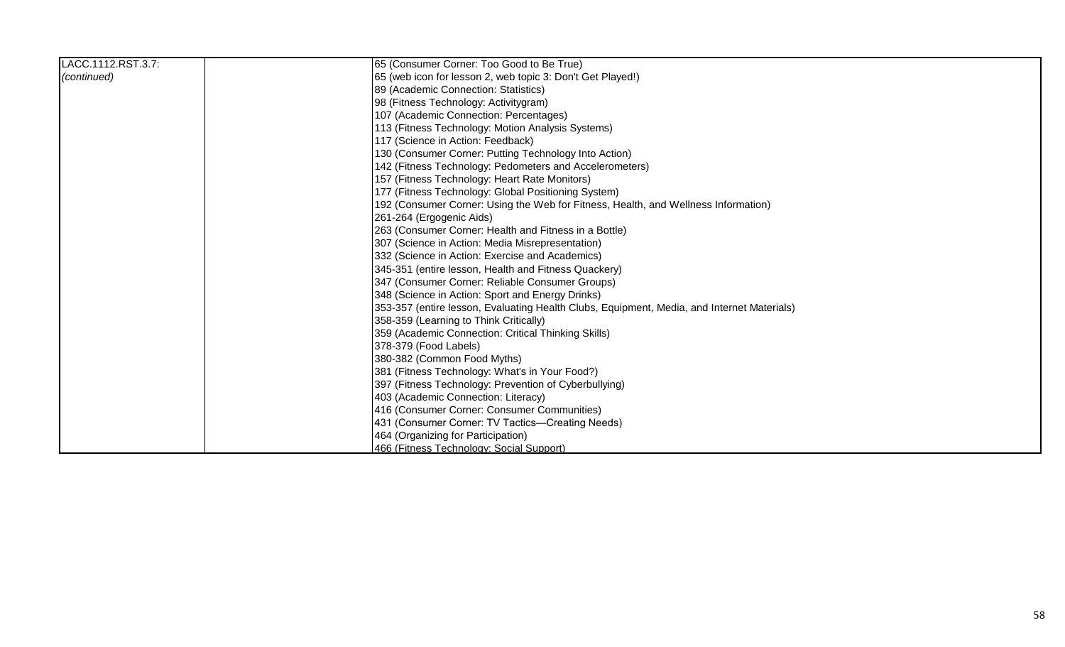| LACC.1112.RST.3.7: | 65 (Consumer Corner: Too Good to Be True)                                                  |
|--------------------|--------------------------------------------------------------------------------------------|
| (continued)        | 65 (web icon for lesson 2, web topic 3: Don't Get Played!)                                 |
|                    | 89 (Academic Connection: Statistics)                                                       |
|                    | 98 (Fitness Technology: Activitygram)                                                      |
|                    | 107 (Academic Connection: Percentages)                                                     |
|                    | 113 (Fitness Technology: Motion Analysis Systems)                                          |
|                    | 117 (Science in Action: Feedback)                                                          |
|                    | 130 (Consumer Corner: Putting Technology Into Action)                                      |
|                    | 142 (Fitness Technology: Pedometers and Accelerometers)                                    |
|                    | 157 (Fitness Technology: Heart Rate Monitors)                                              |
|                    | 177 (Fitness Technology: Global Positioning System)                                        |
|                    | 192 (Consumer Corner: Using the Web for Fitness, Health, and Wellness Information)         |
|                    | 261-264 (Ergogenic Aids)                                                                   |
|                    | 263 (Consumer Corner: Health and Fitness in a Bottle)                                      |
|                    | 307 (Science in Action: Media Misrepresentation)                                           |
|                    | 332 (Science in Action: Exercise and Academics)                                            |
|                    | 345-351 (entire lesson, Health and Fitness Quackery)                                       |
|                    | 347 (Consumer Corner: Reliable Consumer Groups)                                            |
|                    | 348 (Science in Action: Sport and Energy Drinks)                                           |
|                    | 353-357 (entire lesson, Evaluating Health Clubs, Equipment, Media, and Internet Materials) |
|                    | 358-359 (Learning to Think Critically)                                                     |
|                    | 359 (Academic Connection: Critical Thinking Skills)                                        |
|                    | 378-379 (Food Labels)                                                                      |
|                    | 380-382 (Common Food Myths)                                                                |
|                    | 381 (Fitness Technology: What's in Your Food?)                                             |
|                    | 397 (Fitness Technology: Prevention of Cyberbullying)                                      |
|                    | 403 (Academic Connection: Literacy)                                                        |
|                    | 416 (Consumer Corner: Consumer Communities)                                                |
|                    | 431 (Consumer Corner: TV Tactics—Creating Needs)                                           |
|                    | 464 (Organizing for Participation)                                                         |
|                    | 466 (Fitness Technology: Social Support)                                                   |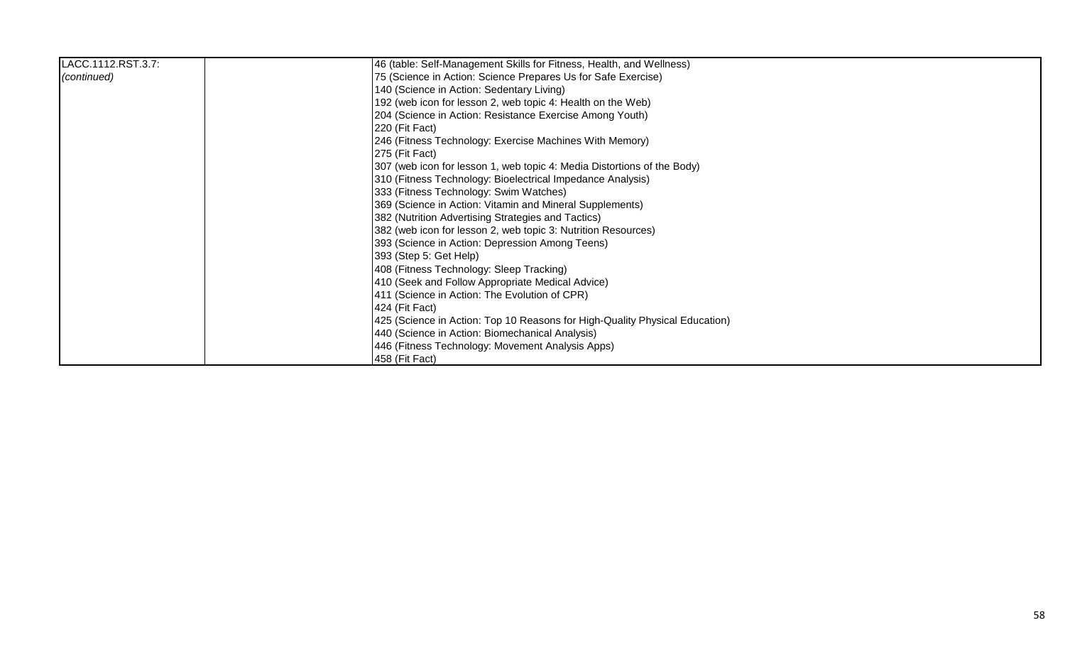| LACC.1112.RST.3.7: | 46 (table: Self-Management Skills for Fitness, Health, and Wellness)        |
|--------------------|-----------------------------------------------------------------------------|
| (continued)        | 75 (Science in Action: Science Prepares Us for Safe Exercise)               |
|                    | 140 (Science in Action: Sedentary Living)                                   |
|                    | 192 (web icon for lesson 2, web topic 4: Health on the Web)                 |
|                    | 204 (Science in Action: Resistance Exercise Among Youth)                    |
|                    | 220 (Fit Fact)                                                              |
|                    | 246 (Fitness Technology: Exercise Machines With Memory)                     |
|                    | $ 275$ (Fit Fact)                                                           |
|                    | 307 (web icon for lesson 1, web topic 4: Media Distortions of the Body)     |
|                    | 310 (Fitness Technology: Bioelectrical Impedance Analysis)                  |
|                    | 333 (Fitness Technology: Swim Watches)                                      |
|                    | 369 (Science in Action: Vitamin and Mineral Supplements)                    |
|                    | 382 (Nutrition Advertising Strategies and Tactics)                          |
|                    | 382 (web icon for lesson 2, web topic 3: Nutrition Resources)               |
|                    | 393 (Science in Action: Depression Among Teens)                             |
|                    | 393 (Step 5: Get Help)                                                      |
|                    | 408 (Fitness Technology: Sleep Tracking)                                    |
|                    | 410 (Seek and Follow Appropriate Medical Advice)                            |
|                    | 411 (Science in Action: The Evolution of CPR)                               |
|                    | 424 (Fit Fact)                                                              |
|                    | 425 (Science in Action: Top 10 Reasons for High-Quality Physical Education) |
|                    | 440 (Science in Action: Biomechanical Analysis)                             |
|                    | 446 (Fitness Technology: Movement Analysis Apps)                            |
|                    | 458 (Fit Fact)                                                              |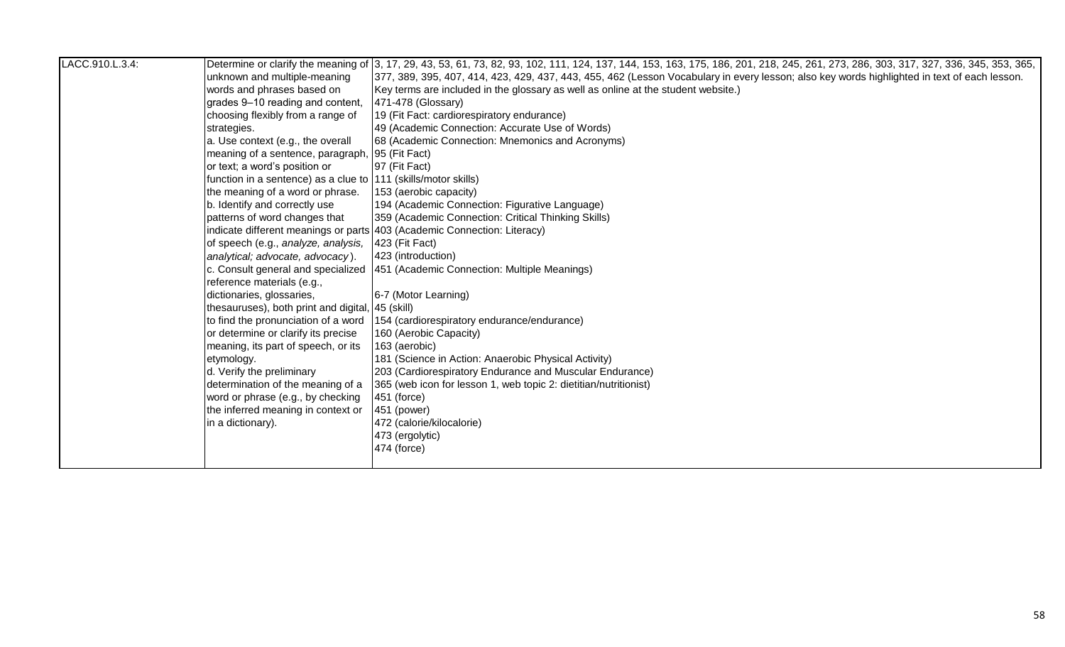| LACC.910.L.3.4: |                                                                 | Determine or clarify the meaning of 3, 17, 29, 43, 53, 61, 73, 82, 93, 102, 111, 124, 137, 144, 153, 163, 175, 186, 201, 218, 245, 261, 273, 286, 303, 317, 327, 336, 345, 353, 365, |
|-----------------|-----------------------------------------------------------------|--------------------------------------------------------------------------------------------------------------------------------------------------------------------------------------|
|                 | unknown and multiple-meaning                                    | 377, 389, 395, 407, 414, 423, 429, 437, 443, 455, 462 (Lesson Vocabulary in every lesson; also key words highlighted in text of each lesson.                                         |
|                 | words and phrases based on                                      | Key terms are included in the glossary as well as online at the student website.)                                                                                                    |
|                 | grades 9-10 reading and content,                                | 471-478 (Glossary)                                                                                                                                                                   |
|                 | choosing flexibly from a range of                               | 19 (Fit Fact: cardiorespiratory endurance)                                                                                                                                           |
|                 | strategies.                                                     | 49 (Academic Connection: Accurate Use of Words)                                                                                                                                      |
|                 | a. Use context (e.g., the overall                               | 68 (Academic Connection: Mnemonics and Acronyms)                                                                                                                                     |
|                 | meaning of a sentence, paragraph,                               | 95 (Fit Fact)                                                                                                                                                                        |
|                 | or text; a word's position or                                   | 97 (Fit Fact)                                                                                                                                                                        |
|                 | function in a sentence) as a clue to  111 (skills/motor skills) |                                                                                                                                                                                      |
|                 | the meaning of a word or phrase.                                | 153 (aerobic capacity)                                                                                                                                                               |
|                 | b. Identify and correctly use                                   | 194 (Academic Connection: Figurative Language)                                                                                                                                       |
|                 | patterns of word changes that                                   | 359 (Academic Connection: Critical Thinking Skills)                                                                                                                                  |
|                 |                                                                 | indicate different meanings or parts 403 (Academic Connection: Literacy)                                                                                                             |
|                 | of speech (e.g., analyze, analysis,                             | 423 (Fit Fact)                                                                                                                                                                       |
|                 | analytical; advocate, advocacy).                                | 423 (introduction)                                                                                                                                                                   |
|                 | c. Consult general and specialized                              | 451 (Academic Connection: Multiple Meanings)                                                                                                                                         |
|                 | reference materials (e.g.,                                      |                                                                                                                                                                                      |
|                 | dictionaries, glossaries,                                       | 6-7 (Motor Learning)                                                                                                                                                                 |
|                 | thesauruses), both print and digital,                           | ,  45 (skill)                                                                                                                                                                        |
|                 | to find the pronunciation of a word                             | 154 (cardiorespiratory endurance/endurance)                                                                                                                                          |
|                 | or determine or clarify its precise                             | 160 (Aerobic Capacity)                                                                                                                                                               |
|                 | meaning, its part of speech, or its                             | 163 (aerobic)                                                                                                                                                                        |
|                 | etymology.                                                      | 181 (Science in Action: Anaerobic Physical Activity)                                                                                                                                 |
|                 | d. Verify the preliminary                                       | 203 (Cardiorespiratory Endurance and Muscular Endurance)                                                                                                                             |
|                 | determination of the meaning of a                               | 365 (web icon for lesson 1, web topic 2: dietitian/nutritionist)                                                                                                                     |
|                 | word or phrase (e.g., by checking                               | 451 (force)                                                                                                                                                                          |
|                 | the inferred meaning in context or                              | 451 (power)                                                                                                                                                                          |
|                 | in a dictionary).                                               | 472 (calorie/kilocalorie)                                                                                                                                                            |
|                 |                                                                 | 473 (ergolytic)                                                                                                                                                                      |
|                 |                                                                 | 474 (force)                                                                                                                                                                          |
|                 |                                                                 |                                                                                                                                                                                      |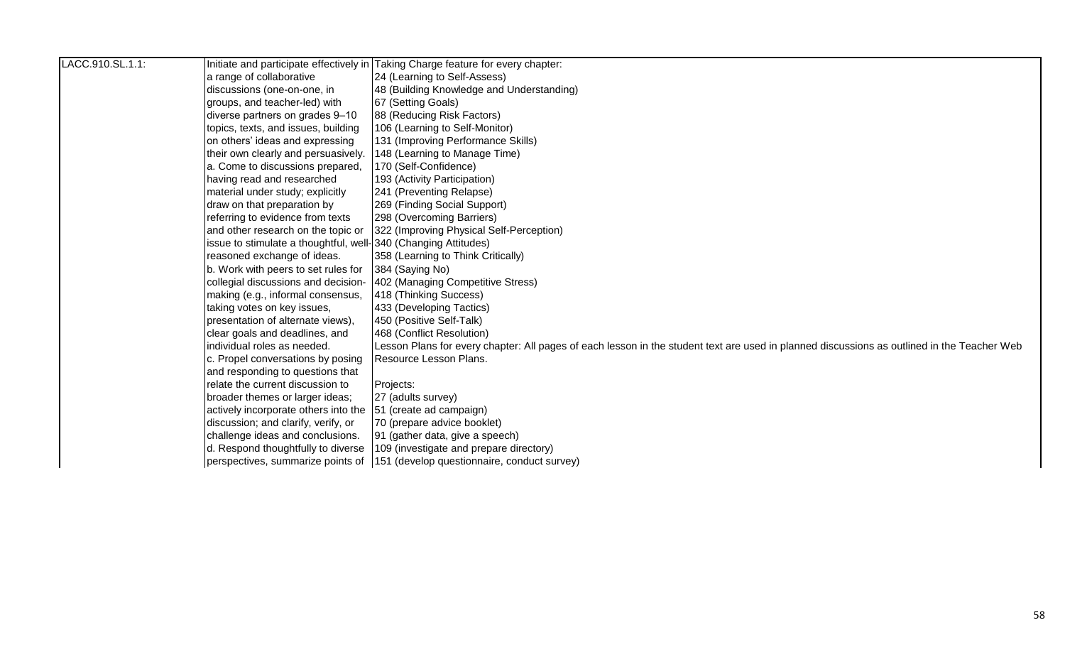| LACC.910.SL.1.1: |                                                                 | Initiate and participate effectively in Taking Charge feature for every chapter:                                                            |
|------------------|-----------------------------------------------------------------|---------------------------------------------------------------------------------------------------------------------------------------------|
|                  | a range of collaborative                                        | 24 (Learning to Self-Assess)                                                                                                                |
|                  | discussions (one-on-one, in                                     | 48 (Building Knowledge and Understanding)                                                                                                   |
|                  | groups, and teacher-led) with                                   | 67 (Setting Goals)                                                                                                                          |
|                  | diverse partners on grades 9-10                                 | 88 (Reducing Risk Factors)                                                                                                                  |
|                  | topics, texts, and issues, building                             | 106 (Learning to Self-Monitor)                                                                                                              |
|                  | on others' ideas and expressing                                 | 131 (Improving Performance Skills)                                                                                                          |
|                  | their own clearly and persuasively.                             | 148 (Learning to Manage Time)                                                                                                               |
|                  | a. Come to discussions prepared,                                | 170 (Self-Confidence)                                                                                                                       |
|                  | having read and researched                                      | 193 (Activity Participation)                                                                                                                |
|                  | material under study; explicitly                                | 241 (Preventing Relapse)                                                                                                                    |
|                  | draw on that preparation by                                     | 269 (Finding Social Support)                                                                                                                |
|                  | referring to evidence from texts                                | 298 (Overcoming Barriers)                                                                                                                   |
|                  | and other research on the topic or                              | 322 (Improving Physical Self-Perception)                                                                                                    |
|                  | issue to stimulate a thoughtful, well- 340 (Changing Attitudes) |                                                                                                                                             |
|                  | reasoned exchange of ideas.                                     | 358 (Learning to Think Critically)                                                                                                          |
|                  | b. Work with peers to set rules for                             | 384 (Saying No)                                                                                                                             |
|                  | collegial discussions and decision-                             | 402 (Managing Competitive Stress)                                                                                                           |
|                  | making (e.g., informal consensus,                               | 418 (Thinking Success)                                                                                                                      |
|                  | taking votes on key issues,                                     | 433 (Developing Tactics)                                                                                                                    |
|                  | presentation of alternate views),                               | 450 (Positive Self-Talk)                                                                                                                    |
|                  | clear goals and deadlines, and                                  | 468 (Conflict Resolution)                                                                                                                   |
|                  | individual roles as needed.                                     | Lesson Plans for every chapter: All pages of each lesson in the student text are used in planned discussions as outlined in the Teacher Web |
|                  | c. Propel conversations by posing                               | Resource Lesson Plans.                                                                                                                      |
|                  | and responding to questions that                                |                                                                                                                                             |
|                  | relate the current discussion to                                | Projects:                                                                                                                                   |
|                  | broader themes or larger ideas;                                 | 27 (adults survey)                                                                                                                          |
|                  | actively incorporate others into the                            | 51 (create ad campaign)                                                                                                                     |
|                  | discussion; and clarify, verify, or                             | 70 (prepare advice booklet)                                                                                                                 |
|                  | challenge ideas and conclusions.                                | 91 (gather data, give a speech)                                                                                                             |
|                  | d. Respond thoughtfully to diverse                              | 109 (investigate and prepare directory)                                                                                                     |
|                  |                                                                 | perspectives, summarize points of 151 (develop questionnaire, conduct survey)                                                               |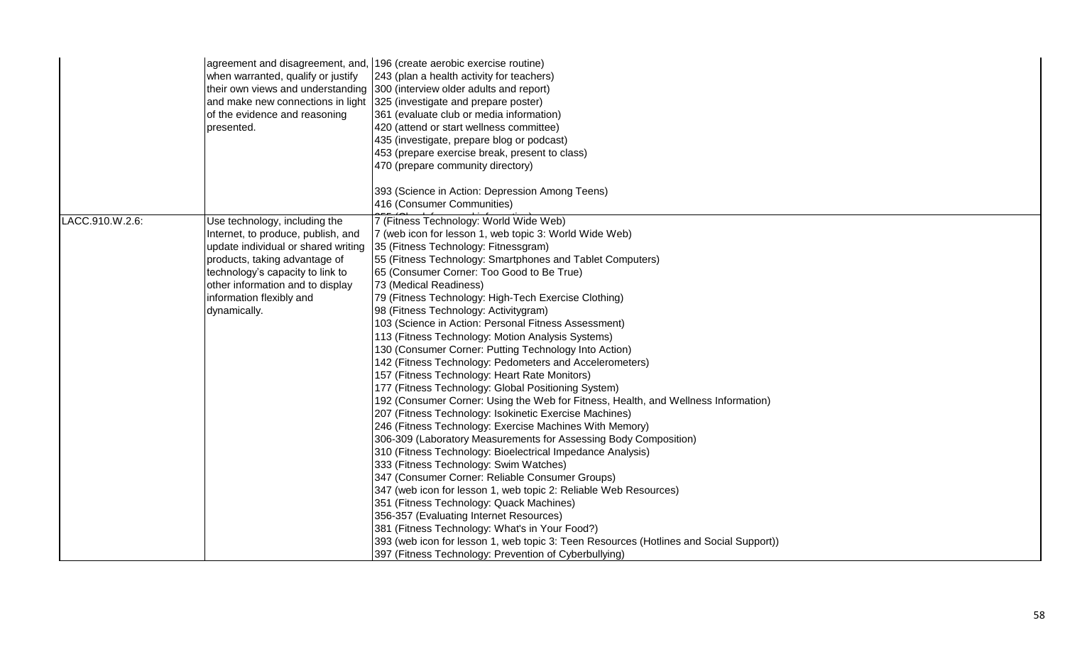|                 | when warranted, qualify or justify<br>of the evidence and reasoning<br>presented.                                                                                                                                                                               | agreement and disagreement, and, 196 (create aerobic exercise routine)<br>243 (plan a health activity for teachers)<br>their own views and understanding 300 (interview older adults and report)<br>and make new connections in light  325 (investigate and prepare poster)<br>361 (evaluate club or media information)<br>420 (attend or start wellness committee)<br>435 (investigate, prepare blog or podcast)<br>453 (prepare exercise break, present to class)<br>470 (prepare community directory)<br>393 (Science in Action: Depression Among Teens)<br>416 (Consumer Communities)                                                                                                                                                                                                                                                                                                                                                                                                                                                                                                                                                                                                                                                                                                                                                                                                                                                                                                                                        |
|-----------------|-----------------------------------------------------------------------------------------------------------------------------------------------------------------------------------------------------------------------------------------------------------------|----------------------------------------------------------------------------------------------------------------------------------------------------------------------------------------------------------------------------------------------------------------------------------------------------------------------------------------------------------------------------------------------------------------------------------------------------------------------------------------------------------------------------------------------------------------------------------------------------------------------------------------------------------------------------------------------------------------------------------------------------------------------------------------------------------------------------------------------------------------------------------------------------------------------------------------------------------------------------------------------------------------------------------------------------------------------------------------------------------------------------------------------------------------------------------------------------------------------------------------------------------------------------------------------------------------------------------------------------------------------------------------------------------------------------------------------------------------------------------------------------------------------------------|
| LACC.910.W.2.6: | Use technology, including the<br>Internet, to produce, publish, and<br>update individual or shared writing<br>products, taking advantage of<br>technology's capacity to link to<br>other information and to display<br>information flexibly and<br>dynamically. | 7 (Fitness Technology: World Wide Web)<br>7 (web icon for lesson 1, web topic 3: World Wide Web)<br>35 (Fitness Technology: Fitnessgram)<br>55 (Fitness Technology: Smartphones and Tablet Computers)<br>65 (Consumer Corner: Too Good to Be True)<br>73 (Medical Readiness)<br>79 (Fitness Technology: High-Tech Exercise Clothing)<br>98 (Fitness Technology: Activitygram)<br>103 (Science in Action: Personal Fitness Assessment)<br>113 (Fitness Technology: Motion Analysis Systems)<br>130 (Consumer Corner: Putting Technology Into Action)<br>142 (Fitness Technology: Pedometers and Accelerometers)<br>157 (Fitness Technology: Heart Rate Monitors)<br>177 (Fitness Technology: Global Positioning System)<br>192 (Consumer Corner: Using the Web for Fitness, Health, and Wellness Information)<br>207 (Fitness Technology: Isokinetic Exercise Machines)<br>246 (Fitness Technology: Exercise Machines With Memory)<br>306-309 (Laboratory Measurements for Assessing Body Composition)<br>310 (Fitness Technology: Bioelectrical Impedance Analysis)<br>333 (Fitness Technology: Swim Watches)<br>347 (Consumer Corner: Reliable Consumer Groups)<br>347 (web icon for lesson 1, web topic 2: Reliable Web Resources)<br>351 (Fitness Technology: Quack Machines)<br>356-357 (Evaluating Internet Resources)<br>381 (Fitness Technology: What's in Your Food?)<br>393 (web icon for lesson 1, web topic 3: Teen Resources (Hotlines and Social Support))<br>397 (Fitness Technology: Prevention of Cyberbullying) |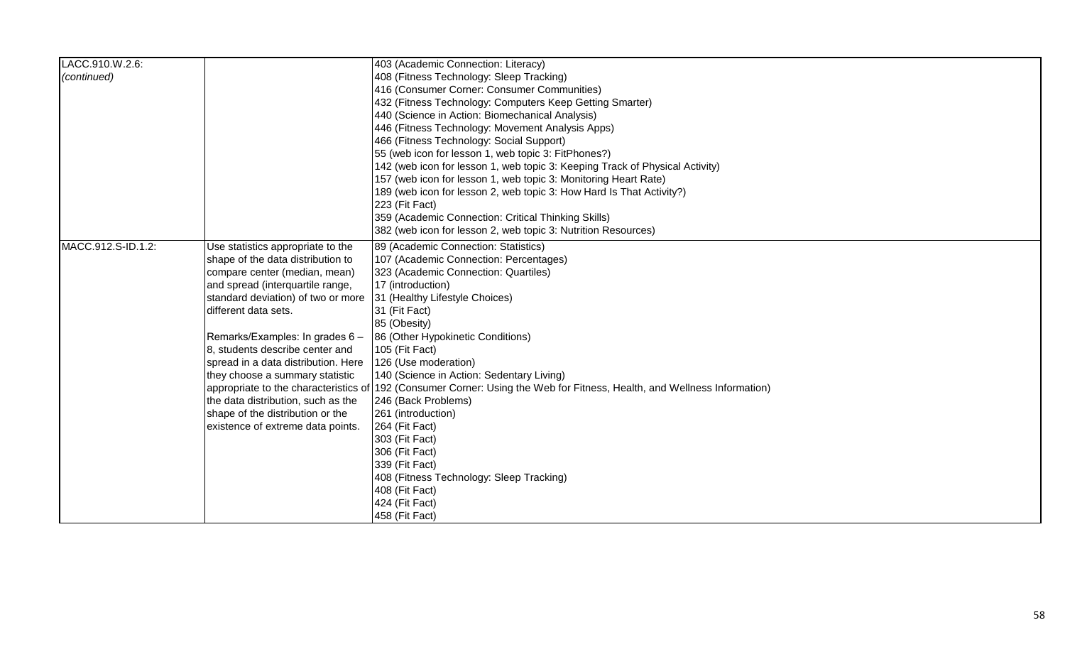| LACC.910.W.2.6:    |                                     | 403 (Academic Connection: Literacy)                                                                                      |
|--------------------|-------------------------------------|--------------------------------------------------------------------------------------------------------------------------|
| (continued)        |                                     | 408 (Fitness Technology: Sleep Tracking)                                                                                 |
|                    |                                     | 416 (Consumer Corner: Consumer Communities)                                                                              |
|                    |                                     | 432 (Fitness Technology: Computers Keep Getting Smarter)                                                                 |
|                    |                                     | 440 (Science in Action: Biomechanical Analysis)                                                                          |
|                    |                                     | 446 (Fitness Technology: Movement Analysis Apps)                                                                         |
|                    |                                     | 466 (Fitness Technology: Social Support)                                                                                 |
|                    |                                     | 55 (web icon for lesson 1, web topic 3: FitPhones?)                                                                      |
|                    |                                     | 142 (web icon for lesson 1, web topic 3: Keeping Track of Physical Activity)                                             |
|                    |                                     | 157 (web icon for lesson 1, web topic 3: Monitoring Heart Rate)                                                          |
|                    |                                     | 189 (web icon for lesson 2, web topic 3: How Hard Is That Activity?)                                                     |
|                    |                                     | 223 (Fit Fact)                                                                                                           |
|                    |                                     | 359 (Academic Connection: Critical Thinking Skills)                                                                      |
|                    |                                     | 382 (web icon for lesson 2, web topic 3: Nutrition Resources)                                                            |
| MACC.912.S-ID.1.2: | Use statistics appropriate to the   | 89 (Academic Connection: Statistics)                                                                                     |
|                    | shape of the data distribution to   | 107 (Academic Connection: Percentages)                                                                                   |
|                    | compare center (median, mean)       | 323 (Academic Connection: Quartiles)                                                                                     |
|                    | and spread (interquartile range,    | 17 (introduction)                                                                                                        |
|                    | standard deviation) of two or more  | 31 (Healthy Lifestyle Choices)                                                                                           |
|                    | different data sets.                | 31 (Fit Fact)                                                                                                            |
|                    |                                     | 85 (Obesity)                                                                                                             |
|                    | Remarks/Examples: In grades 6 -     | 86 (Other Hypokinetic Conditions)                                                                                        |
|                    | 8, students describe center and     | 105 (Fit Fact)                                                                                                           |
|                    | spread in a data distribution. Here | 126 (Use moderation)                                                                                                     |
|                    | they choose a summary statistic     | 140 (Science in Action: Sedentary Living)                                                                                |
|                    |                                     | appropriate to the characteristics of 192 (Consumer Corner: Using the Web for Fitness, Health, and Wellness Information) |
|                    | the data distribution, such as the  | 246 (Back Problems)                                                                                                      |
|                    | shape of the distribution or the    | 261 (introduction)                                                                                                       |
|                    | existence of extreme data points.   | 264 (Fit Fact)                                                                                                           |
|                    |                                     | 303 (Fit Fact)                                                                                                           |
|                    |                                     | 306 (Fit Fact)                                                                                                           |
|                    |                                     | 339 (Fit Fact)                                                                                                           |
|                    |                                     | 408 (Fitness Technology: Sleep Tracking)                                                                                 |
|                    |                                     | 408 (Fit Fact)                                                                                                           |
|                    |                                     | 424 (Fit Fact)                                                                                                           |
|                    |                                     | 458 (Fit Fact)                                                                                                           |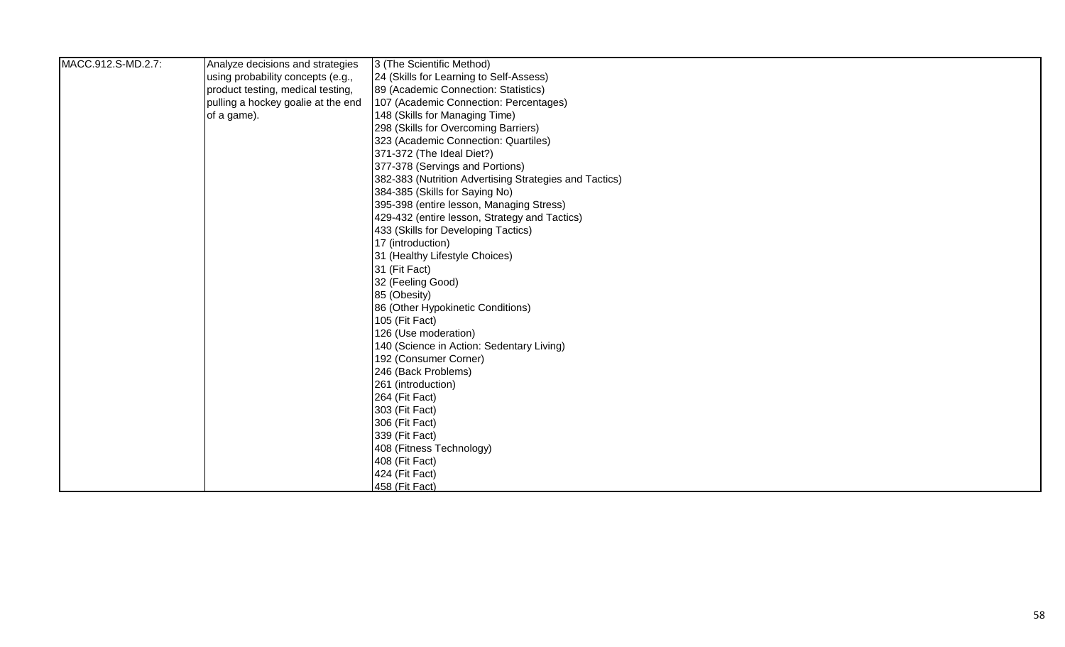| MACC.912.S-MD.2.7: | Analyze decisions and strategies   | 3 (The Scientific Method)                              |
|--------------------|------------------------------------|--------------------------------------------------------|
|                    | using probability concepts (e.g.,  | 24 (Skills for Learning to Self-Assess)                |
|                    | product testing, medical testing,  | 89 (Academic Connection: Statistics)                   |
|                    | pulling a hockey goalie at the end | 107 (Academic Connection: Percentages)                 |
|                    | of a game).                        | 148 (Skills for Managing Time)                         |
|                    |                                    | 298 (Skills for Overcoming Barriers)                   |
|                    |                                    | 323 (Academic Connection: Quartiles)                   |
|                    |                                    | 371-372 (The Ideal Diet?)                              |
|                    |                                    | 377-378 (Servings and Portions)                        |
|                    |                                    | 382-383 (Nutrition Advertising Strategies and Tactics) |
|                    |                                    | 384-385 (Skills for Saying No)                         |
|                    |                                    | 395-398 (entire lesson, Managing Stress)               |
|                    |                                    | 429-432 (entire lesson, Strategy and Tactics)          |
|                    |                                    | 433 (Skills for Developing Tactics)                    |
|                    |                                    | 17 (introduction)                                      |
|                    |                                    | 31 (Healthy Lifestyle Choices)                         |
|                    |                                    | 31 (Fit Fact)                                          |
|                    |                                    | 32 (Feeling Good)                                      |
|                    |                                    | 85 (Obesity)                                           |
|                    |                                    | 86 (Other Hypokinetic Conditions)                      |
|                    |                                    | 105 (Fit Fact)                                         |
|                    |                                    | 126 (Use moderation)                                   |
|                    |                                    | 140 (Science in Action: Sedentary Living)              |
|                    |                                    | 192 (Consumer Corner)                                  |
|                    |                                    | 246 (Back Problems)                                    |
|                    |                                    | 261 (introduction)                                     |
|                    |                                    | 264 (Fit Fact)                                         |
|                    |                                    | 303 (Fit Fact)                                         |
|                    |                                    | 306 (Fit Fact)                                         |
|                    |                                    | 339 (Fit Fact)                                         |
|                    |                                    | 408 (Fitness Technology)                               |
|                    |                                    | 408 (Fit Fact)                                         |
|                    |                                    | 424 (Fit Fact)                                         |
|                    |                                    | 458 (Fit Fact)                                         |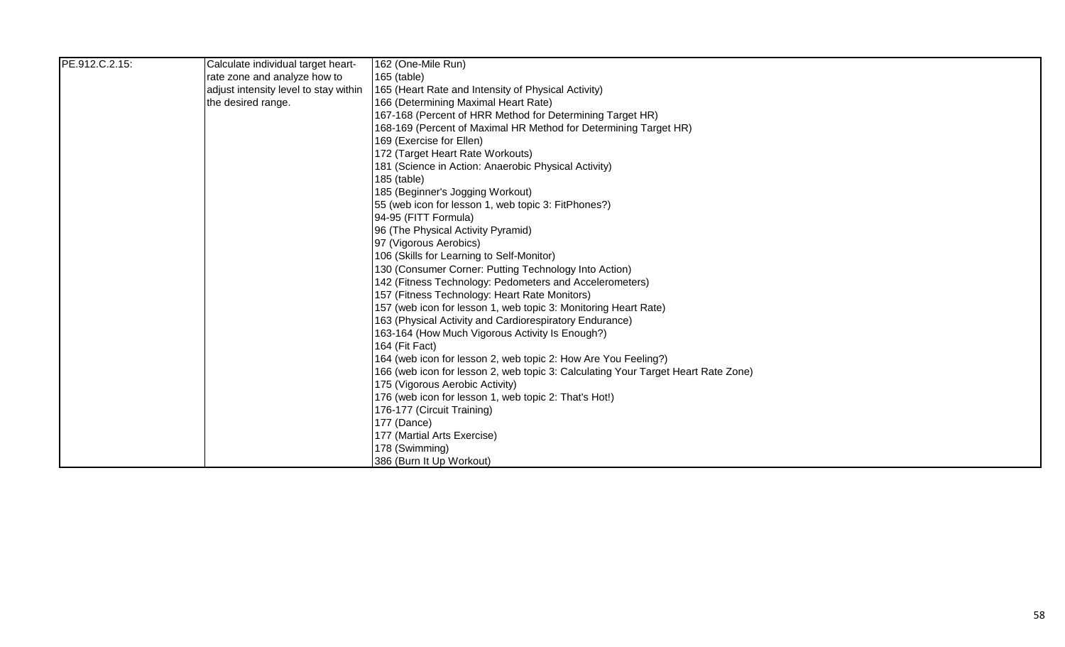| PE.912.C.2.15: | Calculate individual target heart-    | 162 (One-Mile Run)                                                                |
|----------------|---------------------------------------|-----------------------------------------------------------------------------------|
|                | rate zone and analyze how to          | 165 (table)                                                                       |
|                | adjust intensity level to stay within | 165 (Heart Rate and Intensity of Physical Activity)                               |
|                | the desired range.                    | 166 (Determining Maximal Heart Rate)                                              |
|                |                                       | 167-168 (Percent of HRR Method for Determining Target HR)                         |
|                |                                       | 168-169 (Percent of Maximal HR Method for Determining Target HR)                  |
|                |                                       | 169 (Exercise for Ellen)                                                          |
|                |                                       | 172 (Target Heart Rate Workouts)                                                  |
|                |                                       | 181 (Science in Action: Anaerobic Physical Activity)                              |
|                |                                       | 185 (table)                                                                       |
|                |                                       | 185 (Beginner's Jogging Workout)                                                  |
|                |                                       | 55 (web icon for lesson 1, web topic 3: FitPhones?)                               |
|                |                                       | 94-95 (FITT Formula)                                                              |
|                |                                       | 96 (The Physical Activity Pyramid)                                                |
|                |                                       | 97 (Vigorous Aerobics)                                                            |
|                |                                       | 106 (Skills for Learning to Self-Monitor)                                         |
|                |                                       | 130 (Consumer Corner: Putting Technology Into Action)                             |
|                |                                       | 142 (Fitness Technology: Pedometers and Accelerometers)                           |
|                |                                       | 157 (Fitness Technology: Heart Rate Monitors)                                     |
|                |                                       | 157 (web icon for lesson 1, web topic 3: Monitoring Heart Rate)                   |
|                |                                       | 163 (Physical Activity and Cardiorespiratory Endurance)                           |
|                |                                       | 163-164 (How Much Vigorous Activity Is Enough?)                                   |
|                |                                       | 164 (Fit Fact)                                                                    |
|                |                                       | 164 (web icon for lesson 2, web topic 2: How Are You Feeling?)                    |
|                |                                       | 166 (web icon for lesson 2, web topic 3: Calculating Your Target Heart Rate Zone) |
|                |                                       | 175 (Vigorous Aerobic Activity)                                                   |
|                |                                       | 176 (web icon for lesson 1, web topic 2: That's Hot!)                             |
|                |                                       | 176-177 (Circuit Training)                                                        |
|                |                                       | 177 (Dance)                                                                       |
|                |                                       | 177 (Martial Arts Exercise)                                                       |
|                |                                       | 178 (Swimming)                                                                    |
|                |                                       | 386 (Burn It Up Workout)                                                          |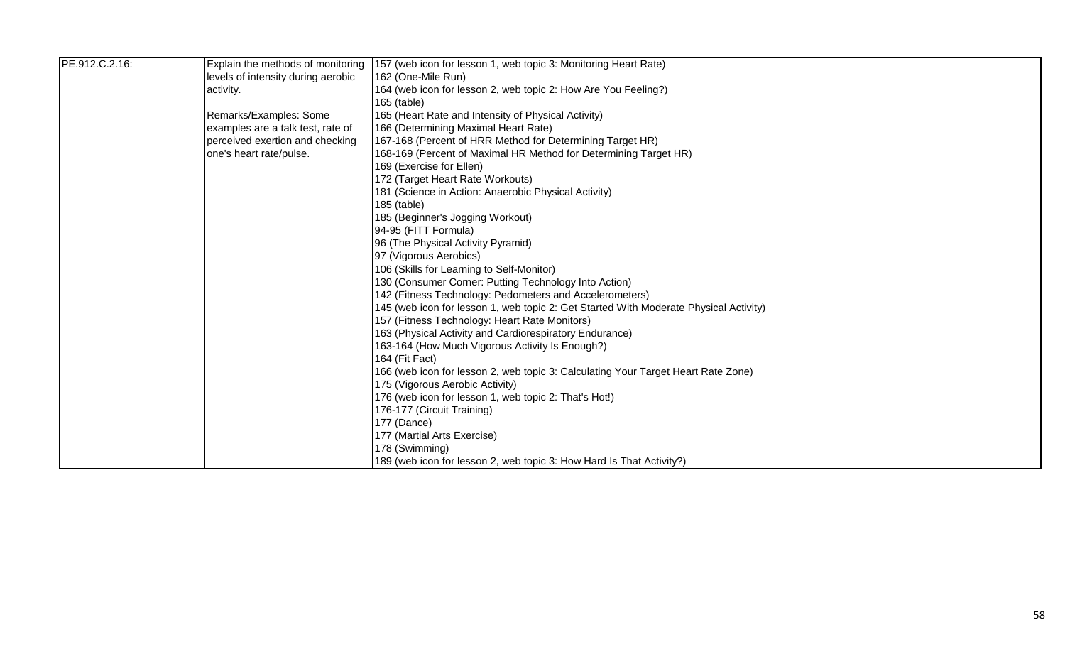| PE.912.C.2.16: | Explain the methods of monitoring  | 157 (web icon for lesson 1, web topic 3: Monitoring Heart Rate)                       |
|----------------|------------------------------------|---------------------------------------------------------------------------------------|
|                | levels of intensity during aerobic | 162 (One-Mile Run)                                                                    |
|                | activity.                          | 164 (web icon for lesson 2, web topic 2: How Are You Feeling?)                        |
|                |                                    | $165$ (table)                                                                         |
|                | Remarks/Examples: Some             | 165 (Heart Rate and Intensity of Physical Activity)                                   |
|                | examples are a talk test, rate of  | 166 (Determining Maximal Heart Rate)                                                  |
|                | perceived exertion and checking    | 167-168 (Percent of HRR Method for Determining Target HR)                             |
|                | one's heart rate/pulse.            | 168-169 (Percent of Maximal HR Method for Determining Target HR)                      |
|                |                                    | 169 (Exercise for Ellen)                                                              |
|                |                                    | 172 (Target Heart Rate Workouts)                                                      |
|                |                                    | 181 (Science in Action: Anaerobic Physical Activity)                                  |
|                |                                    | 185 (table)                                                                           |
|                |                                    | 185 (Beginner's Jogging Workout)                                                      |
|                |                                    | 94-95 (FITT Formula)                                                                  |
|                |                                    | 96 (The Physical Activity Pyramid)                                                    |
|                |                                    | 97 (Vigorous Aerobics)                                                                |
|                |                                    | 106 (Skills for Learning to Self-Monitor)                                             |
|                |                                    | 130 (Consumer Corner: Putting Technology Into Action)                                 |
|                |                                    | 142 (Fitness Technology: Pedometers and Accelerometers)                               |
|                |                                    | 145 (web icon for lesson 1, web topic 2: Get Started With Moderate Physical Activity) |
|                |                                    | 157 (Fitness Technology: Heart Rate Monitors)                                         |
|                |                                    | 163 (Physical Activity and Cardiorespiratory Endurance)                               |
|                |                                    | 163-164 (How Much Vigorous Activity Is Enough?)                                       |
|                |                                    | 164 (Fit Fact)                                                                        |
|                |                                    | 166 (web icon for lesson 2, web topic 3: Calculating Your Target Heart Rate Zone)     |
|                |                                    | 175 (Vigorous Aerobic Activity)                                                       |
|                |                                    | 176 (web icon for lesson 1, web topic 2: That's Hot!)                                 |
|                |                                    | 176-177 (Circuit Training)                                                            |
|                |                                    | 177 (Dance)                                                                           |
|                |                                    | 177 (Martial Arts Exercise)                                                           |
|                |                                    | 178 (Swimming)                                                                        |
|                |                                    | 189 (web icon for lesson 2, web topic 3: How Hard Is That Activity?)                  |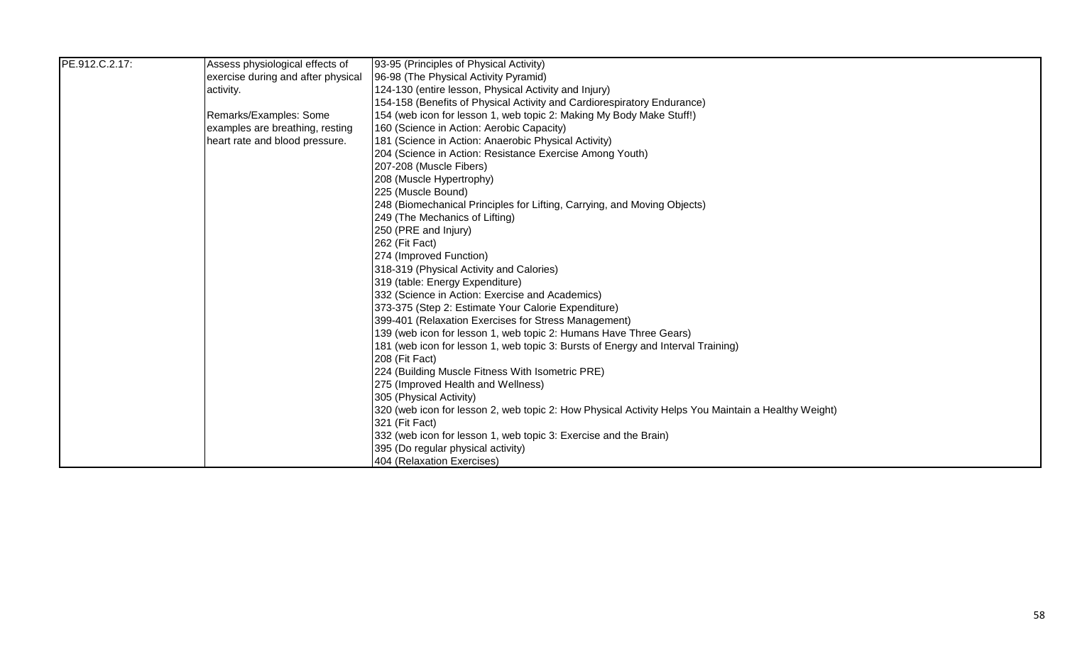| PE.912.C.2.17: | Assess physiological effects of    | 93-95 (Principles of Physical Activity)                                                             |
|----------------|------------------------------------|-----------------------------------------------------------------------------------------------------|
|                | exercise during and after physical | 96-98 (The Physical Activity Pyramid)                                                               |
|                | activity.                          | 124-130 (entire lesson, Physical Activity and Injury)                                               |
|                |                                    | 154-158 (Benefits of Physical Activity and Cardiorespiratory Endurance)                             |
|                | Remarks/Examples: Some             | 154 (web icon for lesson 1, web topic 2: Making My Body Make Stuff!)                                |
|                | examples are breathing, resting    | 160 (Science in Action: Aerobic Capacity)                                                           |
|                | heart rate and blood pressure.     | 181 (Science in Action: Anaerobic Physical Activity)                                                |
|                |                                    | 204 (Science in Action: Resistance Exercise Among Youth)                                            |
|                |                                    | 207-208 (Muscle Fibers)                                                                             |
|                |                                    | 208 (Muscle Hypertrophy)                                                                            |
|                |                                    | 225 (Muscle Bound)                                                                                  |
|                |                                    | 248 (Biomechanical Principles for Lifting, Carrying, and Moving Objects)                            |
|                |                                    | 249 (The Mechanics of Lifting)                                                                      |
|                |                                    | 250 (PRE and Injury)                                                                                |
|                |                                    | 262 (Fit Fact)                                                                                      |
|                |                                    | 274 (Improved Function)                                                                             |
|                |                                    | 318-319 (Physical Activity and Calories)                                                            |
|                |                                    | 319 (table: Energy Expenditure)                                                                     |
|                |                                    | 332 (Science in Action: Exercise and Academics)                                                     |
|                |                                    | 373-375 (Step 2: Estimate Your Calorie Expenditure)                                                 |
|                |                                    | 399-401 (Relaxation Exercises for Stress Management)                                                |
|                |                                    | 139 (web icon for lesson 1, web topic 2: Humans Have Three Gears)                                   |
|                |                                    | 181 (web icon for lesson 1, web topic 3: Bursts of Energy and Interval Training)                    |
|                |                                    | 208 (Fit Fact)                                                                                      |
|                |                                    | 224 (Building Muscle Fitness With Isometric PRE)                                                    |
|                |                                    | 275 (Improved Health and Wellness)                                                                  |
|                |                                    | 305 (Physical Activity)                                                                             |
|                |                                    | 320 (web icon for lesson 2, web topic 2: How Physical Activity Helps You Maintain a Healthy Weight) |
|                |                                    | 321 (Fit Fact)                                                                                      |
|                |                                    | 332 (web icon for lesson 1, web topic 3: Exercise and the Brain)                                    |
|                |                                    | 395 (Do regular physical activity)                                                                  |
|                |                                    | 404 (Relaxation Exercises)                                                                          |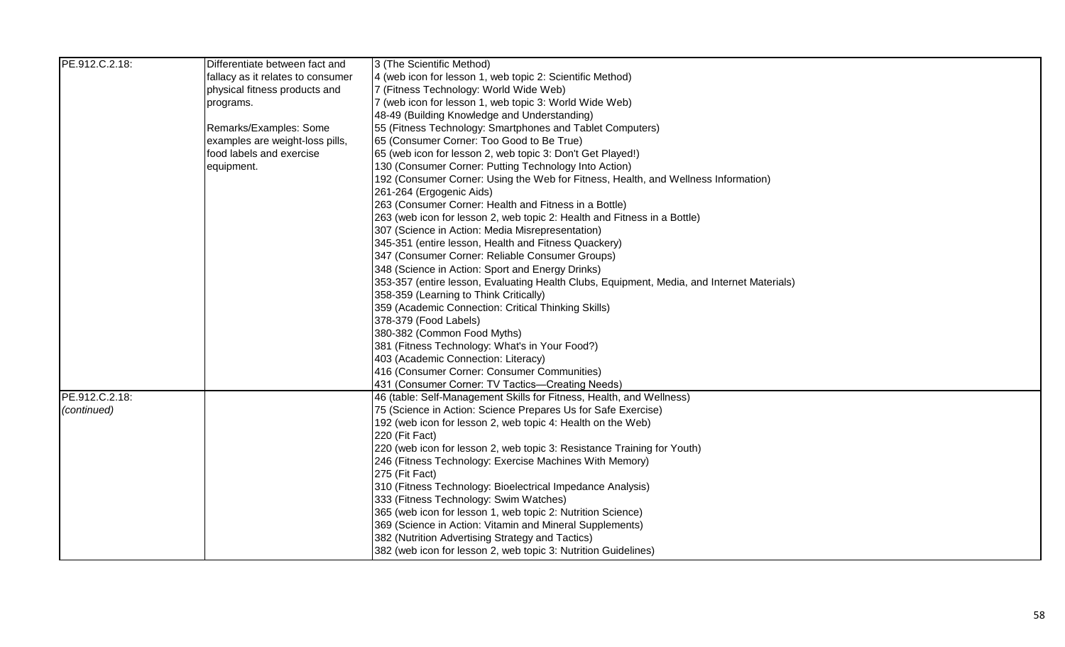| PE.912.C.2.18: | Differentiate between fact and    | 3 (The Scientific Method)                                                                  |
|----------------|-----------------------------------|--------------------------------------------------------------------------------------------|
|                | fallacy as it relates to consumer | 4 (web icon for lesson 1, web topic 2: Scientific Method)                                  |
|                | physical fitness products and     | 7 (Fitness Technology: World Wide Web)                                                     |
|                | programs.                         | 7 (web icon for lesson 1, web topic 3: World Wide Web)                                     |
|                |                                   | 48-49 (Building Knowledge and Understanding)                                               |
|                | Remarks/Examples: Some            | 55 (Fitness Technology: Smartphones and Tablet Computers)                                  |
|                | examples are weight-loss pills,   | 65 (Consumer Corner: Too Good to Be True)                                                  |
|                | food labels and exercise          | 65 (web icon for lesson 2, web topic 3: Don't Get Played!)                                 |
|                | equipment.                        | 130 (Consumer Corner: Putting Technology Into Action)                                      |
|                |                                   | 192 (Consumer Corner: Using the Web for Fitness, Health, and Wellness Information)         |
|                |                                   | 261-264 (Ergogenic Aids)                                                                   |
|                |                                   | 263 (Consumer Corner: Health and Fitness in a Bottle)                                      |
|                |                                   | 263 (web icon for lesson 2, web topic 2: Health and Fitness in a Bottle)                   |
|                |                                   | 307 (Science in Action: Media Misrepresentation)                                           |
|                |                                   | 345-351 (entire lesson, Health and Fitness Quackery)                                       |
|                |                                   | 347 (Consumer Corner: Reliable Consumer Groups)                                            |
|                |                                   | 348 (Science in Action: Sport and Energy Drinks)                                           |
|                |                                   | 353-357 (entire lesson, Evaluating Health Clubs, Equipment, Media, and Internet Materials) |
|                |                                   | 358-359 (Learning to Think Critically)                                                     |
|                |                                   | 359 (Academic Connection: Critical Thinking Skills)                                        |
|                |                                   | 378-379 (Food Labels)                                                                      |
|                |                                   | 380-382 (Common Food Myths)                                                                |
|                |                                   | 381 (Fitness Technology: What's in Your Food?)                                             |
|                |                                   | 403 (Academic Connection: Literacy)                                                        |
|                |                                   | 416 (Consumer Corner: Consumer Communities)                                                |
|                |                                   | 431 (Consumer Corner: TV Tactics-Creating Needs)                                           |
| PE.912.C.2.18: |                                   | 46 (table: Self-Management Skills for Fitness, Health, and Wellness)                       |
| (continued)    |                                   | 75 (Science in Action: Science Prepares Us for Safe Exercise)                              |
|                |                                   | 192 (web icon for lesson 2, web topic 4: Health on the Web)                                |
|                |                                   | 220 (Fit Fact)                                                                             |
|                |                                   | 220 (web icon for lesson 2, web topic 3: Resistance Training for Youth)                    |
|                |                                   | 246 (Fitness Technology: Exercise Machines With Memory)                                    |
|                |                                   | 275 (Fit Fact)                                                                             |
|                |                                   | 310 (Fitness Technology: Bioelectrical Impedance Analysis)                                 |
|                |                                   | 333 (Fitness Technology: Swim Watches)                                                     |
|                |                                   | 365 (web icon for lesson 1, web topic 2: Nutrition Science)                                |
|                |                                   | 369 (Science in Action: Vitamin and Mineral Supplements)                                   |
|                |                                   | 382 (Nutrition Advertising Strategy and Tactics)                                           |
|                |                                   | 382 (web icon for lesson 2, web topic 3: Nutrition Guidelines)                             |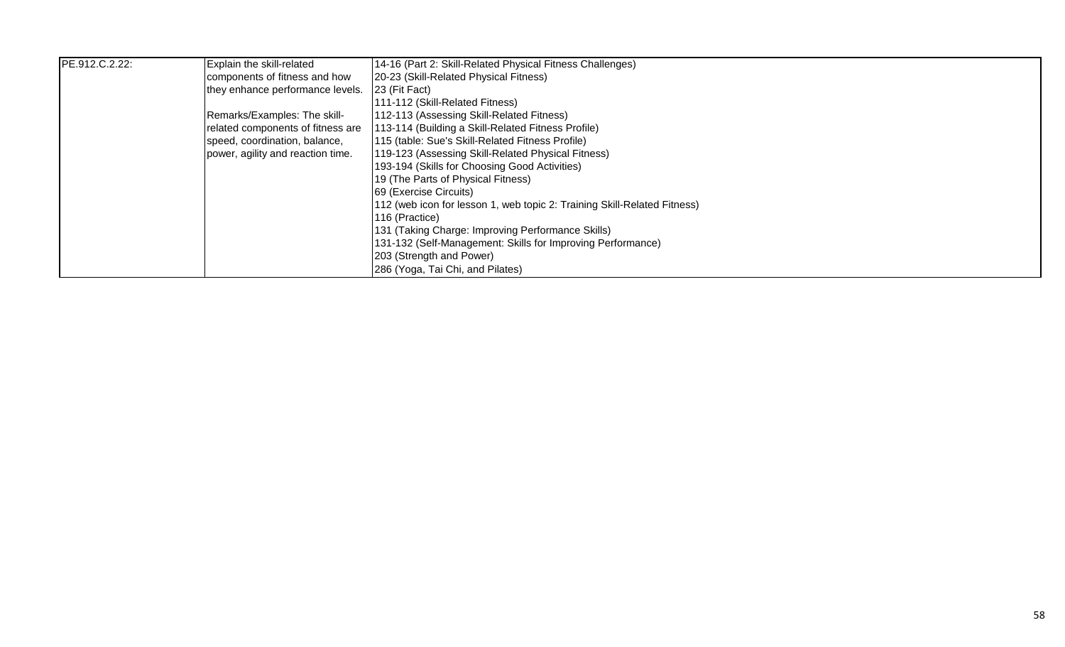| PE.912.C.2.22: | Explain the skill-related         | 14-16 (Part 2: Skill-Related Physical Fitness Challenges)                |
|----------------|-----------------------------------|--------------------------------------------------------------------------|
|                | components of fitness and how     | 20-23 (Skill-Related Physical Fitness)                                   |
|                | they enhance performance levels.  | <b>23 (Fit Fact)</b>                                                     |
|                |                                   | [111-112 (Skill-Related Fitness)                                         |
|                | Remarks/Examples: The skill-      | 112-113 (Assessing Skill-Related Fitness)                                |
|                | related components of fitness are | 113-114 (Building a Skill-Related Fitness Profile)                       |
|                | speed, coordination, balance,     | 115 (table: Sue's Skill-Related Fitness Profile)                         |
|                | power, agility and reaction time. | 119-123 (Assessing Skill-Related Physical Fitness)                       |
|                |                                   | 193-194 (Skills for Choosing Good Activities)                            |
|                |                                   | 19 (The Parts of Physical Fitness)                                       |
|                |                                   | <b>69 (Exercise Circuits)</b>                                            |
|                |                                   | 112 (web icon for lesson 1, web topic 2: Training Skill-Related Fitness) |
|                |                                   | 116 (Practice)                                                           |
|                |                                   | 131 (Taking Charge: Improving Performance Skills)                        |
|                |                                   | 131-132 (Self-Management: Skills for Improving Performance)              |
|                |                                   | 203 (Strength and Power)                                                 |
|                |                                   | 286 (Yoga, Tai Chi, and Pilates)                                         |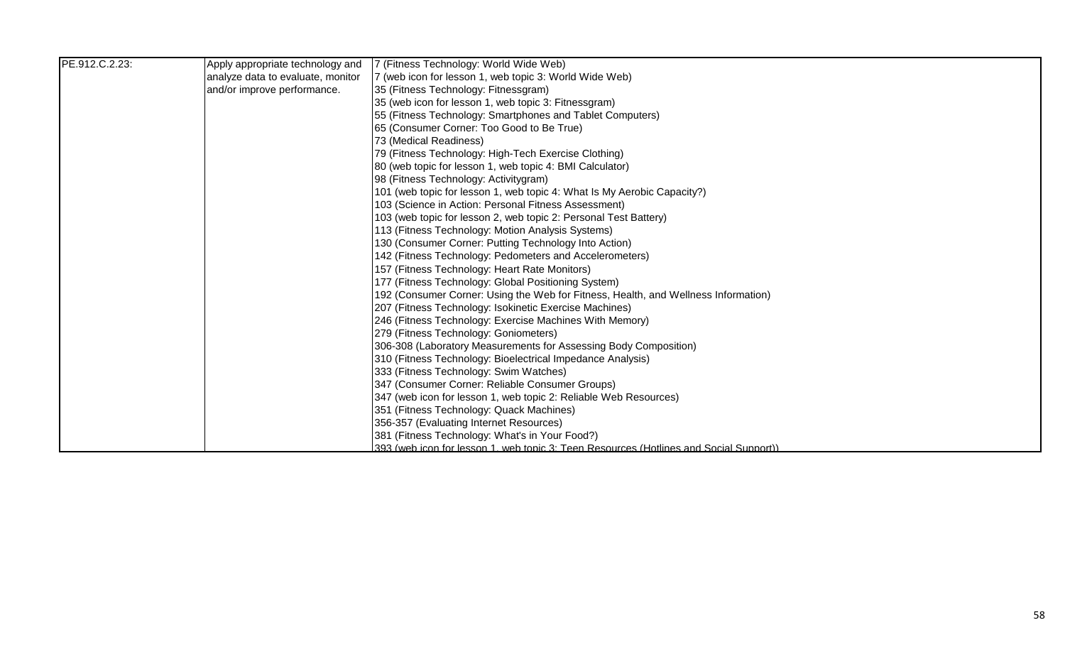| PE.912.C.2.23: | Apply appropriate technology and  | 7 (Fitness Technology: World Wide Web)                                                 |
|----------------|-----------------------------------|----------------------------------------------------------------------------------------|
|                | analyze data to evaluate, monitor | 7 (web icon for lesson 1, web topic 3: World Wide Web)                                 |
|                | and/or improve performance.       | 35 (Fitness Technology: Fitnessgram)                                                   |
|                |                                   | 35 (web icon for lesson 1, web topic 3: Fitnessgram)                                   |
|                |                                   | 55 (Fitness Technology: Smartphones and Tablet Computers)                              |
|                |                                   | 65 (Consumer Corner: Too Good to Be True)                                              |
|                |                                   | 73 (Medical Readiness)                                                                 |
|                |                                   | 79 (Fitness Technology: High-Tech Exercise Clothing)                                   |
|                |                                   | 80 (web topic for lesson 1, web topic 4: BMI Calculator)                               |
|                |                                   | 98 (Fitness Technology: Activitygram)                                                  |
|                |                                   | 101 (web topic for lesson 1, web topic 4: What Is My Aerobic Capacity?)                |
|                |                                   | 103 (Science in Action: Personal Fitness Assessment)                                   |
|                |                                   | 103 (web topic for lesson 2, web topic 2: Personal Test Battery)                       |
|                |                                   | 113 (Fitness Technology: Motion Analysis Systems)                                      |
|                |                                   | 130 (Consumer Corner: Putting Technology Into Action)                                  |
|                |                                   | 142 (Fitness Technology: Pedometers and Accelerometers)                                |
|                |                                   | 157 (Fitness Technology: Heart Rate Monitors)                                          |
|                |                                   | 177 (Fitness Technology: Global Positioning System)                                    |
|                |                                   | 192 (Consumer Corner: Using the Web for Fitness, Health, and Wellness Information)     |
|                |                                   | 207 (Fitness Technology: Isokinetic Exercise Machines)                                 |
|                |                                   | 246 (Fitness Technology: Exercise Machines With Memory)                                |
|                |                                   | 279 (Fitness Technology: Goniometers)                                                  |
|                |                                   | 306-308 (Laboratory Measurements for Assessing Body Composition)                       |
|                |                                   | 310 (Fitness Technology: Bioelectrical Impedance Analysis)                             |
|                |                                   | 333 (Fitness Technology: Swim Watches)                                                 |
|                |                                   | 347 (Consumer Corner: Reliable Consumer Groups)                                        |
|                |                                   | 347 (web icon for lesson 1, web topic 2: Reliable Web Resources)                       |
|                |                                   | 351 (Fitness Technology: Quack Machines)                                               |
|                |                                   | 356-357 (Evaluating Internet Resources)                                                |
|                |                                   | 381 (Fitness Technology: What's in Your Food?)                                         |
|                |                                   | 393 (web icon for lesson 1, web topic 3: Teen Resources (Hotlines and Social Support)) |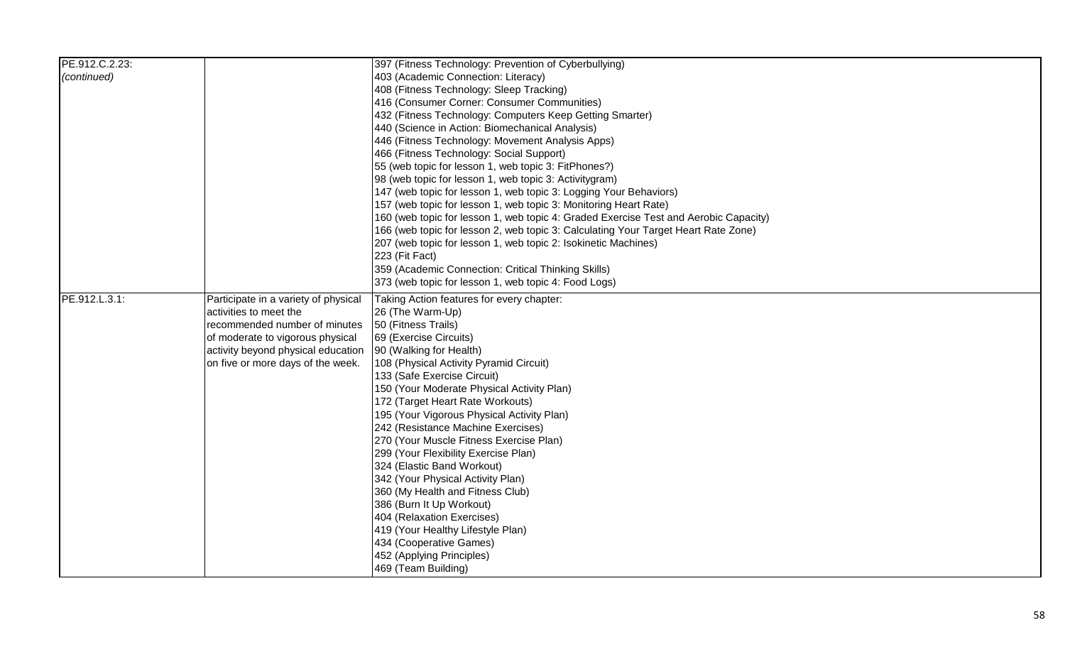| PE.912.C.2.23: |                                      | 397 (Fitness Technology: Prevention of Cyberbullying)                                |
|----------------|--------------------------------------|--------------------------------------------------------------------------------------|
| (continued)    |                                      | 403 (Academic Connection: Literacy)                                                  |
|                |                                      | 408 (Fitness Technology: Sleep Tracking)                                             |
|                |                                      | 416 (Consumer Corner: Consumer Communities)                                          |
|                |                                      | 432 (Fitness Technology: Computers Keep Getting Smarter)                             |
|                |                                      | 440 (Science in Action: Biomechanical Analysis)                                      |
|                |                                      | 446 (Fitness Technology: Movement Analysis Apps)                                     |
|                |                                      | 466 (Fitness Technology: Social Support)                                             |
|                |                                      | 55 (web topic for lesson 1, web topic 3: FitPhones?)                                 |
|                |                                      | 98 (web topic for lesson 1, web topic 3: Activitygram)                               |
|                |                                      | 147 (web topic for lesson 1, web topic 3: Logging Your Behaviors)                    |
|                |                                      | 157 (web topic for lesson 1, web topic 3: Monitoring Heart Rate)                     |
|                |                                      | 160 (web topic for lesson 1, web topic 4: Graded Exercise Test and Aerobic Capacity) |
|                |                                      | 166 (web topic for lesson 2, web topic 3: Calculating Your Target Heart Rate Zone)   |
|                |                                      | 207 (web topic for lesson 1, web topic 2: Isokinetic Machines)                       |
|                |                                      | 223 (Fit Fact)                                                                       |
|                |                                      | 359 (Academic Connection: Critical Thinking Skills)                                  |
|                |                                      | 373 (web topic for lesson 1, web topic 4: Food Logs)                                 |
| PE.912.L.3.1:  | Participate in a variety of physical | Taking Action features for every chapter:                                            |
|                | activities to meet the               | 26 (The Warm-Up)                                                                     |
|                | recommended number of minutes        | 50 (Fitness Trails)                                                                  |
|                | of moderate to vigorous physical     | 69 (Exercise Circuits)                                                               |
|                | activity beyond physical education   | 90 (Walking for Health)                                                              |
|                | on five or more days of the week.    | 108 (Physical Activity Pyramid Circuit)                                              |
|                |                                      | 133 (Safe Exercise Circuit)                                                          |
|                |                                      | 150 (Your Moderate Physical Activity Plan)                                           |
|                |                                      | 172 (Target Heart Rate Workouts)                                                     |
|                |                                      | 195 (Your Vigorous Physical Activity Plan)                                           |
|                |                                      | 242 (Resistance Machine Exercises)                                                   |
|                |                                      | 270 (Your Muscle Fitness Exercise Plan)                                              |
|                |                                      | 299 (Your Flexibility Exercise Plan)                                                 |
|                |                                      | 324 (Elastic Band Workout)                                                           |
|                |                                      | 342 (Your Physical Activity Plan)                                                    |
|                |                                      | 360 (My Health and Fitness Club)                                                     |
|                |                                      | 386 (Burn It Up Workout)                                                             |
|                |                                      | 404 (Relaxation Exercises)                                                           |
|                |                                      | 419 (Your Healthy Lifestyle Plan)                                                    |
|                |                                      | 434 (Cooperative Games)                                                              |
|                |                                      | 452 (Applying Principles)                                                            |
|                |                                      | 469 (Team Building)                                                                  |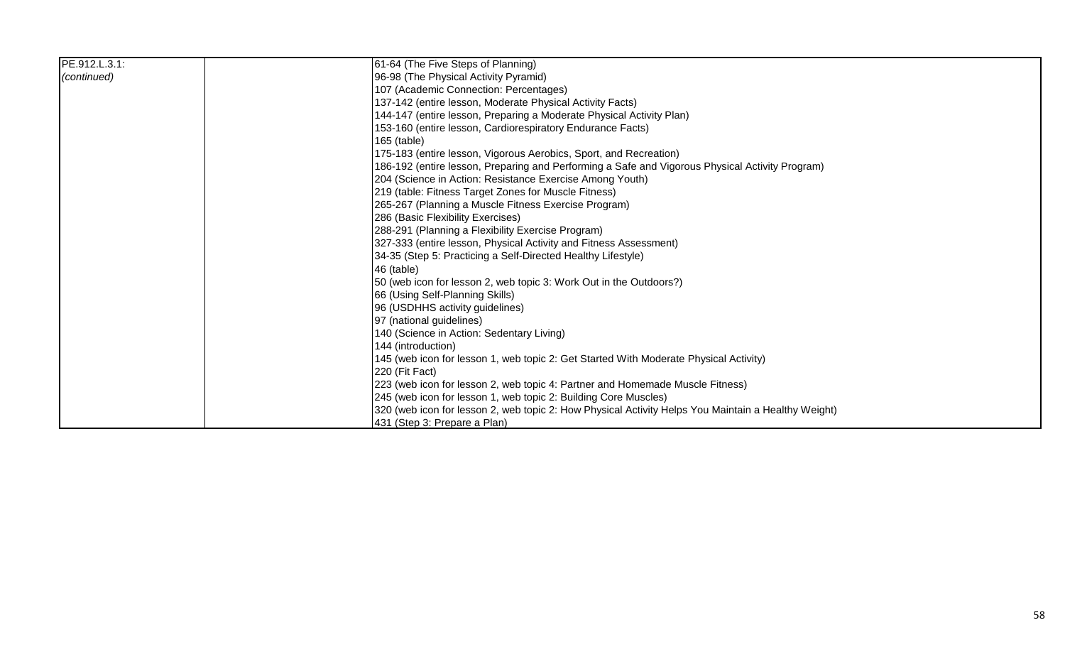| PE.912.L.3.1: | 61-64 (The Five Steps of Planning)                                                                  |
|---------------|-----------------------------------------------------------------------------------------------------|
| (continued)   | 96-98 (The Physical Activity Pyramid)                                                               |
|               | 107 (Academic Connection: Percentages)                                                              |
|               | 137-142 (entire lesson, Moderate Physical Activity Facts)                                           |
|               | 144-147 (entire lesson, Preparing a Moderate Physical Activity Plan)                                |
|               | 153-160 (entire lesson, Cardiorespiratory Endurance Facts)                                          |
|               | 165 (table)                                                                                         |
|               | 175-183 (entire lesson, Vigorous Aerobics, Sport, and Recreation)                                   |
|               | 186-192 (entire lesson, Preparing and Performing a Safe and Vigorous Physical Activity Program)     |
|               | 204 (Science in Action: Resistance Exercise Among Youth)                                            |
|               | 219 (table: Fitness Target Zones for Muscle Fitness)                                                |
|               | 265-267 (Planning a Muscle Fitness Exercise Program)                                                |
|               | 286 (Basic Flexibility Exercises)                                                                   |
|               | 288-291 (Planning a Flexibility Exercise Program)                                                   |
|               | 327-333 (entire lesson, Physical Activity and Fitness Assessment)                                   |
|               | 34-35 (Step 5: Practicing a Self-Directed Healthy Lifestyle)                                        |
|               | 46 (table)                                                                                          |
|               | 50 (web icon for lesson 2, web topic 3: Work Out in the Outdoors?)                                  |
|               | 66 (Using Self-Planning Skills)                                                                     |
|               | 96 (USDHHS activity guidelines)                                                                     |
|               | 97 (national guidelines)                                                                            |
|               | 140 (Science in Action: Sedentary Living)                                                           |
|               | 144 (introduction)                                                                                  |
|               | 145 (web icon for lesson 1, web topic 2: Get Started With Moderate Physical Activity)               |
|               | 220 (Fit Fact)                                                                                      |
|               | [223 (web icon for lesson 2, web topic 4: Partner and Homemade Muscle Fitness)                      |
|               | 245 (web icon for lesson 1, web topic 2: Building Core Muscles)                                     |
|               | 320 (web icon for lesson 2, web topic 2: How Physical Activity Helps You Maintain a Healthy Weight) |
|               | 431 (Step 3: Prepare a Plan)                                                                        |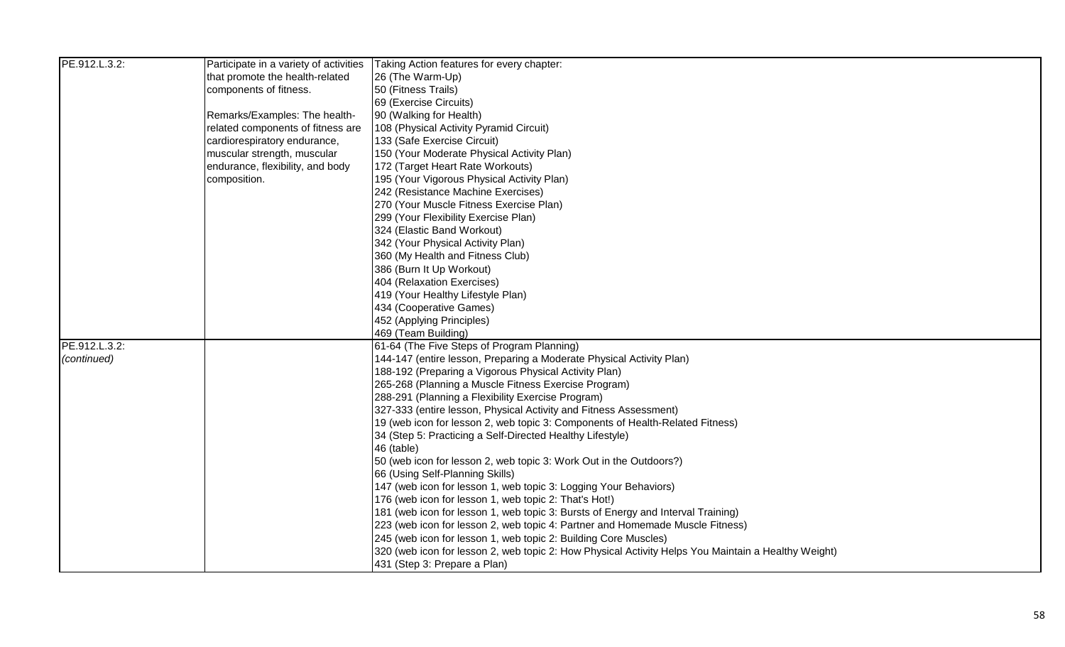| PE.912.L.3.2: | Participate in a variety of activities | Taking Action features for every chapter:                                                           |
|---------------|----------------------------------------|-----------------------------------------------------------------------------------------------------|
|               | that promote the health-related        | 26 (The Warm-Up)                                                                                    |
|               | components of fitness.                 | 50 (Fitness Trails)                                                                                 |
|               |                                        | 69 (Exercise Circuits)                                                                              |
|               | Remarks/Examples: The health-          | 90 (Walking for Health)                                                                             |
|               | related components of fitness are      | 108 (Physical Activity Pyramid Circuit)                                                             |
|               | cardiorespiratory endurance,           | 133 (Safe Exercise Circuit)                                                                         |
|               | muscular strength, muscular            | 150 (Your Moderate Physical Activity Plan)                                                          |
|               | endurance, flexibility, and body       | 172 (Target Heart Rate Workouts)                                                                    |
|               | composition.                           | 195 (Your Vigorous Physical Activity Plan)                                                          |
|               |                                        | 242 (Resistance Machine Exercises)                                                                  |
|               |                                        | 270 (Your Muscle Fitness Exercise Plan)                                                             |
|               |                                        | 299 (Your Flexibility Exercise Plan)                                                                |
|               |                                        | 324 (Elastic Band Workout)                                                                          |
|               |                                        | 342 (Your Physical Activity Plan)                                                                   |
|               |                                        | 360 (My Health and Fitness Club)                                                                    |
|               |                                        | 386 (Burn It Up Workout)                                                                            |
|               |                                        | 404 (Relaxation Exercises)                                                                          |
|               |                                        | 419 (Your Healthy Lifestyle Plan)                                                                   |
|               |                                        | 434 (Cooperative Games)                                                                             |
|               |                                        | 452 (Applying Principles)                                                                           |
|               |                                        | 469 (Team Building)                                                                                 |
| PE.912.L.3.2: |                                        | 61-64 (The Five Steps of Program Planning)                                                          |
| (continued)   |                                        | 144-147 (entire lesson, Preparing a Moderate Physical Activity Plan)                                |
|               |                                        | 188-192 (Preparing a Vigorous Physical Activity Plan)                                               |
|               |                                        | 265-268 (Planning a Muscle Fitness Exercise Program)                                                |
|               |                                        | 288-291 (Planning a Flexibility Exercise Program)                                                   |
|               |                                        | 327-333 (entire lesson, Physical Activity and Fitness Assessment)                                   |
|               |                                        | 19 (web icon for lesson 2, web topic 3: Components of Health-Related Fitness)                       |
|               |                                        | 34 (Step 5: Practicing a Self-Directed Healthy Lifestyle)                                           |
|               |                                        | 46 (table)                                                                                          |
|               |                                        | 50 (web icon for lesson 2, web topic 3: Work Out in the Outdoors?)                                  |
|               |                                        | 66 (Using Self-Planning Skills)                                                                     |
|               |                                        | 147 (web icon for lesson 1, web topic 3: Logging Your Behaviors)                                    |
|               |                                        | 176 (web icon for lesson 1, web topic 2: That's Hot!)                                               |
|               |                                        | 181 (web icon for lesson 1, web topic 3: Bursts of Energy and Interval Training)                    |
|               |                                        | 223 (web icon for lesson 2, web topic 4: Partner and Homemade Muscle Fitness)                       |
|               |                                        | 245 (web icon for lesson 1, web topic 2: Building Core Muscles)                                     |
|               |                                        | 320 (web icon for lesson 2, web topic 2: How Physical Activity Helps You Maintain a Healthy Weight) |
|               |                                        | 431 (Step 3: Prepare a Plan)                                                                        |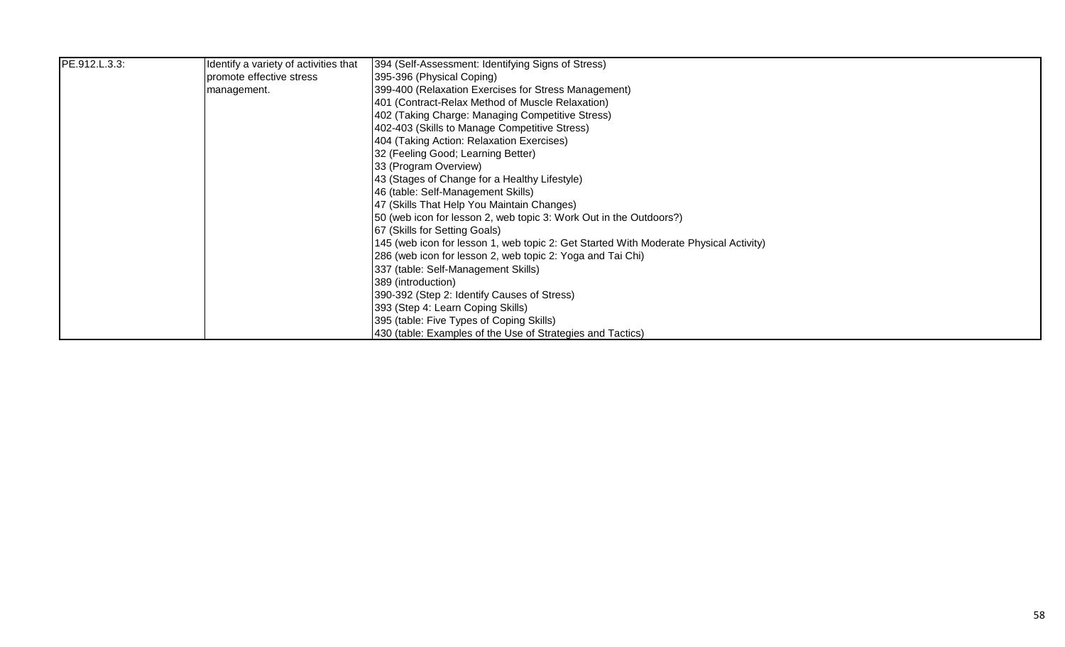| PE.912.L.3.3: | Identify a variety of activities that | 394 (Self-Assessment: Identifying Signs of Stress)                                    |
|---------------|---------------------------------------|---------------------------------------------------------------------------------------|
|               | promote effective stress              | 395-396 (Physical Coping)                                                             |
|               | management.                           | 399-400 (Relaxation Exercises for Stress Management)                                  |
|               |                                       | 401 (Contract-Relax Method of Muscle Relaxation)                                      |
|               |                                       | 402 (Taking Charge: Managing Competitive Stress)                                      |
|               |                                       | 402-403 (Skills to Manage Competitive Stress)                                         |
|               |                                       | 404 (Taking Action: Relaxation Exercises)                                             |
|               |                                       | 32 (Feeling Good; Learning Better)                                                    |
|               |                                       | 33 (Program Overview)                                                                 |
|               |                                       | 43 (Stages of Change for a Healthy Lifestyle)                                         |
|               |                                       | 46 (table: Self-Management Skills)                                                    |
|               |                                       | 47 (Skills That Help You Maintain Changes)                                            |
|               |                                       | 50 (web icon for lesson 2, web topic 3: Work Out in the Outdoors?)                    |
|               |                                       | 67 (Skills for Setting Goals)                                                         |
|               |                                       | 145 (web icon for lesson 1, web topic 2: Get Started With Moderate Physical Activity) |
|               |                                       | 286 (web icon for lesson 2, web topic 2: Yoga and Tai Chi)                            |
|               |                                       | 337 (table: Self-Management Skills)                                                   |
|               |                                       | 389 (introduction)                                                                    |
|               |                                       | 390-392 (Step 2: Identify Causes of Stress)                                           |
|               |                                       | 393 (Step 4: Learn Coping Skills)                                                     |
|               |                                       | 395 (table: Five Types of Coping Skills)                                              |
|               |                                       | 430 (table: Examples of the Use of Strategies and Tactics)                            |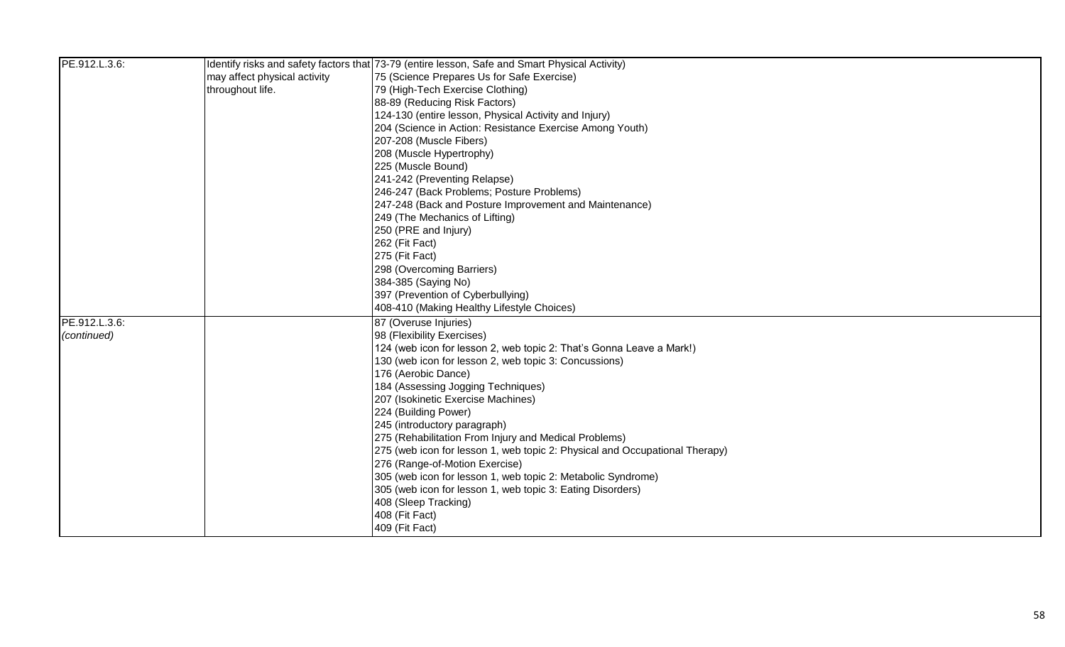| PE.912.L.3.6: |                              | Identify risks and safety factors that 73-79 (entire lesson, Safe and Smart Physical Activity) |
|---------------|------------------------------|------------------------------------------------------------------------------------------------|
|               | may affect physical activity | 75 (Science Prepares Us for Safe Exercise)                                                     |
|               | throughout life.             | 79 (High-Tech Exercise Clothing)                                                               |
|               |                              | 88-89 (Reducing Risk Factors)                                                                  |
|               |                              | 124-130 (entire lesson, Physical Activity and Injury)                                          |
|               |                              | 204 (Science in Action: Resistance Exercise Among Youth)                                       |
|               |                              | 207-208 (Muscle Fibers)                                                                        |
|               |                              | 208 (Muscle Hypertrophy)                                                                       |
|               |                              | 225 (Muscle Bound)                                                                             |
|               |                              | 241-242 (Preventing Relapse)                                                                   |
|               |                              | 246-247 (Back Problems; Posture Problems)                                                      |
|               |                              | 247-248 (Back and Posture Improvement and Maintenance)                                         |
|               |                              | 249 (The Mechanics of Lifting)                                                                 |
|               |                              | 250 (PRE and Injury)                                                                           |
|               |                              | 262 (Fit Fact)                                                                                 |
|               |                              | 275 (Fit Fact)                                                                                 |
|               |                              | 298 (Overcoming Barriers)                                                                      |
|               |                              | 384-385 (Saying No)                                                                            |
|               |                              | 397 (Prevention of Cyberbullying)                                                              |
|               |                              | 408-410 (Making Healthy Lifestyle Choices)                                                     |
| PE.912.L.3.6: |                              | 87 (Overuse Injuries)                                                                          |
| (continued)   |                              | 98 (Flexibility Exercises)                                                                     |
|               |                              | 124 (web icon for lesson 2, web topic 2: That's Gonna Leave a Mark!)                           |
|               |                              | 130 (web icon for lesson 2, web topic 3: Concussions)                                          |
|               |                              | 176 (Aerobic Dance)                                                                            |
|               |                              | 184 (Assessing Jogging Techniques)                                                             |
|               |                              | 207 (Isokinetic Exercise Machines)                                                             |
|               |                              | 224 (Building Power)                                                                           |
|               |                              | 245 (introductory paragraph)                                                                   |
|               |                              | 275 (Rehabilitation From Injury and Medical Problems)                                          |
|               |                              | 275 (web icon for lesson 1, web topic 2: Physical and Occupational Therapy)                    |
|               |                              | 276 (Range-of-Motion Exercise)                                                                 |
|               |                              | 305 (web icon for lesson 1, web topic 2: Metabolic Syndrome)                                   |
|               |                              | 305 (web icon for lesson 1, web topic 3: Eating Disorders)                                     |
|               |                              | 408 (Sleep Tracking)                                                                           |
|               |                              | 408 (Fit Fact)                                                                                 |
|               |                              | 409 (Fit Fact)                                                                                 |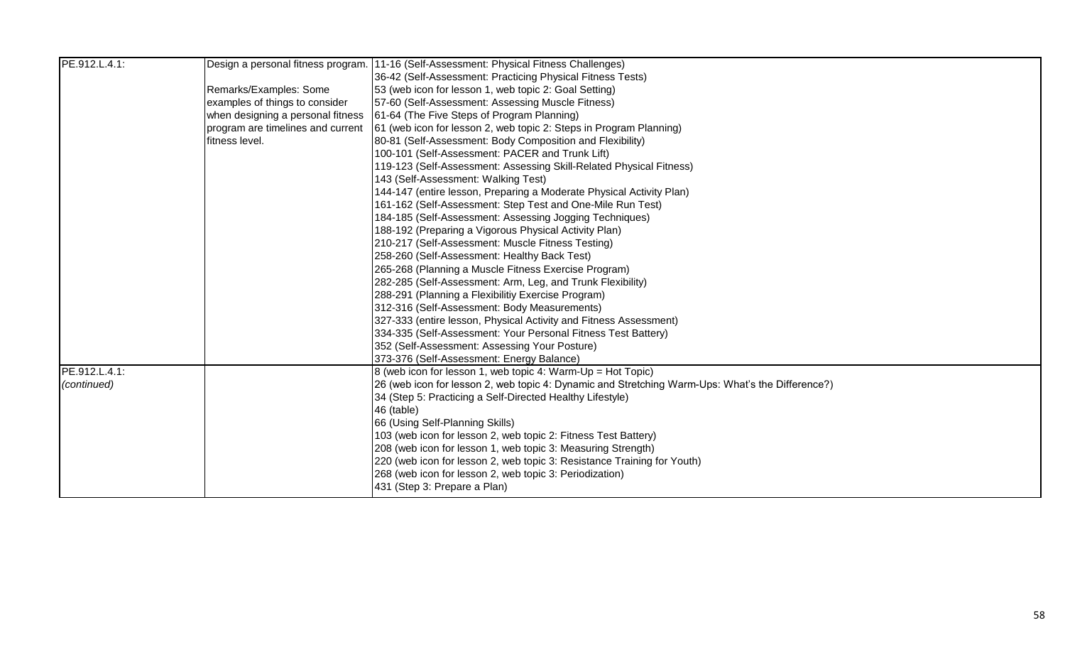| PE.912.L.4.1: |                                   | Design a personal fitness program. 11-16 (Self-Assessment: Physical Fitness Challenges)           |
|---------------|-----------------------------------|---------------------------------------------------------------------------------------------------|
|               |                                   | 36-42 (Self-Assessment: Practicing Physical Fitness Tests)                                        |
|               | Remarks/Examples: Some            | 53 (web icon for lesson 1, web topic 2: Goal Setting)                                             |
|               | examples of things to consider    | 57-60 (Self-Assessment: Assessing Muscle Fitness)                                                 |
|               |                                   | 61-64 (The Five Steps of Program Planning)                                                        |
|               | when designing a personal fitness |                                                                                                   |
|               | program are timelines and current | 61 (web icon for lesson 2, web topic 2: Steps in Program Planning)                                |
|               | fitness level.                    | 80-81 (Self-Assessment: Body Composition and Flexibility)                                         |
|               |                                   | 100-101 (Self-Assessment: PACER and Trunk Lift)                                                   |
|               |                                   | 119-123 (Self-Assessment: Assessing Skill-Related Physical Fitness)                               |
|               |                                   | 143 (Self-Assessment: Walking Test)                                                               |
|               |                                   | 144-147 (entire lesson, Preparing a Moderate Physical Activity Plan)                              |
|               |                                   | 161-162 (Self-Assessment: Step Test and One-Mile Run Test)                                        |
|               |                                   | 184-185 (Self-Assessment: Assessing Jogging Techniques)                                           |
|               |                                   | 188-192 (Preparing a Vigorous Physical Activity Plan)                                             |
|               |                                   | 210-217 (Self-Assessment: Muscle Fitness Testing)                                                 |
|               |                                   | 258-260 (Self-Assessment: Healthy Back Test)                                                      |
|               |                                   | 265-268 (Planning a Muscle Fitness Exercise Program)                                              |
|               |                                   | 282-285 (Self-Assessment: Arm, Leg, and Trunk Flexibility)                                        |
|               |                                   | 288-291 (Planning a Flexibilitiy Exercise Program)                                                |
|               |                                   | 312-316 (Self-Assessment: Body Measurements)                                                      |
|               |                                   | 327-333 (entire lesson, Physical Activity and Fitness Assessment)                                 |
|               |                                   | 334-335 (Self-Assessment: Your Personal Fitness Test Battery)                                     |
|               |                                   | 352 (Self-Assessment: Assessing Your Posture)                                                     |
|               |                                   | 373-376 (Self-Assessment: Energy Balance)                                                         |
| PE.912.L.4.1: |                                   | 8 (web icon for lesson 1, web topic 4: Warm-Up = Hot Topic)                                       |
| (continued)   |                                   | [26 (web icon for lesson 2, web topic 4: Dynamic and Stretching Warm-Ups: What's the Difference?) |
|               |                                   | 34 (Step 5: Practicing a Self-Directed Healthy Lifestyle)                                         |
|               |                                   | 46 (table)                                                                                        |
|               |                                   | 66 (Using Self-Planning Skills)                                                                   |
|               |                                   | 103 (web icon for lesson 2, web topic 2: Fitness Test Battery)                                    |
|               |                                   | 208 (web icon for lesson 1, web topic 3: Measuring Strength)                                      |
|               |                                   | 220 (web icon for lesson 2, web topic 3: Resistance Training for Youth)                           |
|               |                                   | 268 (web icon for lesson 2, web topic 3: Periodization)                                           |
|               |                                   | 431 (Step 3: Prepare a Plan)                                                                      |
|               |                                   |                                                                                                   |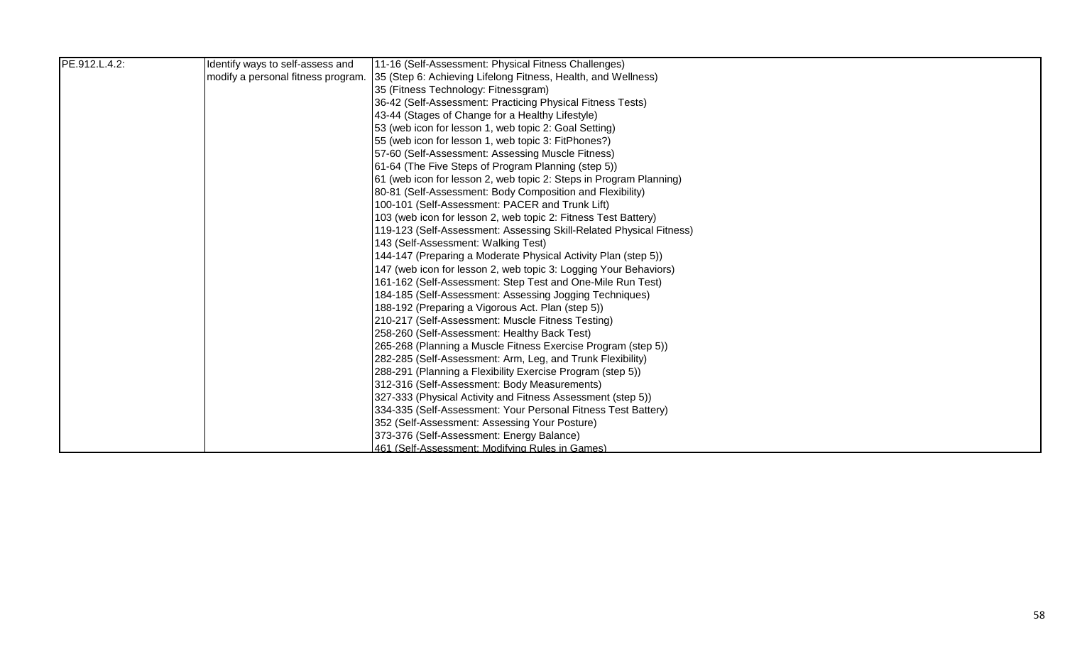| PE.912.L.4.2: | Identify ways to self-assess and   | 11-16 (Self-Assessment: Physical Fitness Challenges)                |
|---------------|------------------------------------|---------------------------------------------------------------------|
|               | modify a personal fitness program. | 35 (Step 6: Achieving Lifelong Fitness, Health, and Wellness)       |
|               |                                    | 35 (Fitness Technology: Fitnessgram)                                |
|               |                                    | 36-42 (Self-Assessment: Practicing Physical Fitness Tests)          |
|               |                                    | 43-44 (Stages of Change for a Healthy Lifestyle)                    |
|               |                                    | 53 (web icon for lesson 1, web topic 2: Goal Setting)               |
|               |                                    | 55 (web icon for lesson 1, web topic 3: FitPhones?)                 |
|               |                                    | 57-60 (Self-Assessment: Assessing Muscle Fitness)                   |
|               |                                    | 61-64 (The Five Steps of Program Planning (step 5))                 |
|               |                                    | 61 (web icon for lesson 2, web topic 2: Steps in Program Planning)  |
|               |                                    | 80-81 (Self-Assessment: Body Composition and Flexibility)           |
|               |                                    | 100-101 (Self-Assessment: PACER and Trunk Lift)                     |
|               |                                    | 103 (web icon for lesson 2, web topic 2: Fitness Test Battery)      |
|               |                                    | 119-123 (Self-Assessment: Assessing Skill-Related Physical Fitness) |
|               |                                    | 143 (Self-Assessment: Walking Test)                                 |
|               |                                    | 144-147 (Preparing a Moderate Physical Activity Plan (step 5))      |
|               |                                    | 147 (web icon for lesson 2, web topic 3: Logging Your Behaviors)    |
|               |                                    | 161-162 (Self-Assessment: Step Test and One-Mile Run Test)          |
|               |                                    | 184-185 (Self-Assessment: Assessing Jogging Techniques)             |
|               |                                    | 188-192 (Preparing a Vigorous Act. Plan (step 5))                   |
|               |                                    | 210-217 (Self-Assessment: Muscle Fitness Testing)                   |
|               |                                    | 258-260 (Self-Assessment: Healthy Back Test)                        |
|               |                                    | 265-268 (Planning a Muscle Fitness Exercise Program (step 5))       |
|               |                                    | 282-285 (Self-Assessment: Arm, Leg, and Trunk Flexibility)          |
|               |                                    | 288-291 (Planning a Flexibility Exercise Program (step 5))          |
|               |                                    | 312-316 (Self-Assessment: Body Measurements)                        |
|               |                                    | 327-333 (Physical Activity and Fitness Assessment (step 5))         |
|               |                                    | 334-335 (Self-Assessment: Your Personal Fitness Test Battery)       |
|               |                                    | 352 (Self-Assessment: Assessing Your Posture)                       |
|               |                                    | 373-376 (Self-Assessment: Energy Balance)                           |
|               |                                    | 461 (Self-Assessment: Modifving Rules in Games)                     |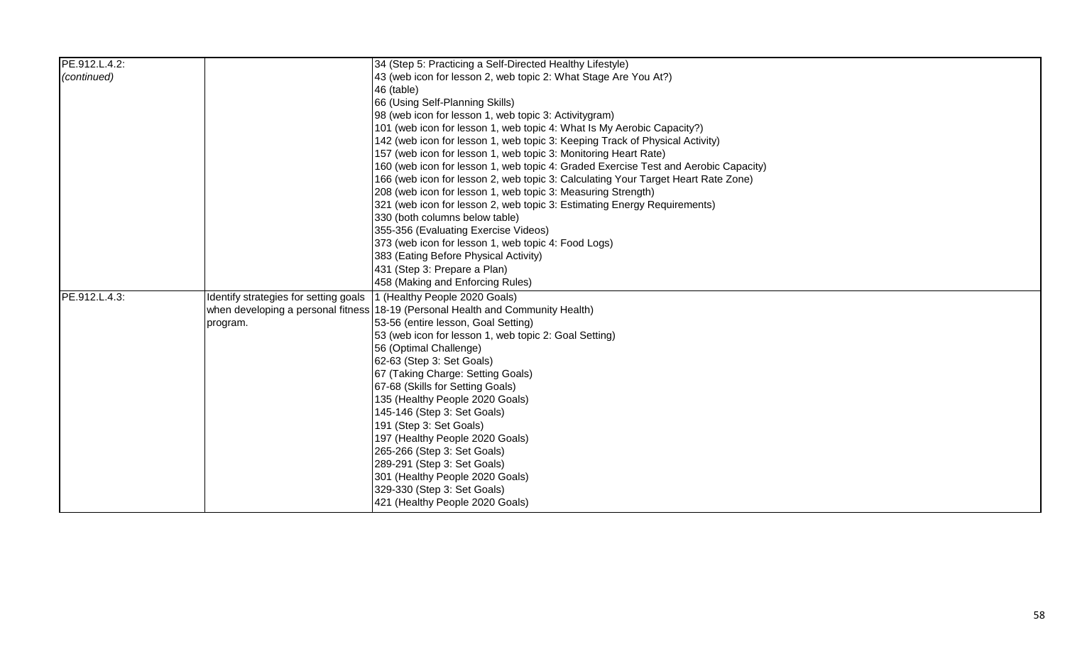| PE.912.L.4.2: |                                       | 34 (Step 5: Practicing a Self-Directed Healthy Lifestyle)                           |
|---------------|---------------------------------------|-------------------------------------------------------------------------------------|
| (continued)   |                                       | 43 (web icon for lesson 2, web topic 2: What Stage Are You At?)                     |
|               |                                       | 46 (table)                                                                          |
|               |                                       | 66 (Using Self-Planning Skills)                                                     |
|               |                                       | 98 (web icon for lesson 1, web topic 3: Activitygram)                               |
|               |                                       | 101 (web icon for lesson 1, web topic 4: What Is My Aerobic Capacity?)              |
|               |                                       | 142 (web icon for lesson 1, web topic 3: Keeping Track of Physical Activity)        |
|               |                                       | 157 (web icon for lesson 1, web topic 3: Monitoring Heart Rate)                     |
|               |                                       | 160 (web icon for lesson 1, web topic 4: Graded Exercise Test and Aerobic Capacity) |
|               |                                       | 166 (web icon for lesson 2, web topic 3: Calculating Your Target Heart Rate Zone)   |
|               |                                       | 208 (web icon for lesson 1, web topic 3: Measuring Strength)                        |
|               |                                       | 321 (web icon for lesson 2, web topic 3: Estimating Energy Requirements)            |
|               |                                       | 330 (both columns below table)                                                      |
|               |                                       | 355-356 (Evaluating Exercise Videos)                                                |
|               |                                       | 373 (web icon for lesson 1, web topic 4: Food Logs)                                 |
|               |                                       | 383 (Eating Before Physical Activity)                                               |
|               |                                       | 431 (Step 3: Prepare a Plan)                                                        |
|               |                                       | 458 (Making and Enforcing Rules)                                                    |
| PE.912.L.4.3: | Identify strategies for setting goals | 1 (Healthy People 2020 Goals)                                                       |
|               |                                       | when developing a personal fitness 18-19 (Personal Health and Community Health)     |
|               | program.                              | 53-56 (entire lesson, Goal Setting)                                                 |
|               |                                       | 53 (web icon for lesson 1, web topic 2: Goal Setting)                               |
|               |                                       | 56 (Optimal Challenge)                                                              |
|               |                                       | 62-63 (Step 3: Set Goals)                                                           |
|               |                                       | 67 (Taking Charge: Setting Goals)                                                   |
|               |                                       | 67-68 (Skills for Setting Goals)                                                    |
|               |                                       | 135 (Healthy People 2020 Goals)                                                     |
|               |                                       | 145-146 (Step 3: Set Goals)                                                         |
|               |                                       | 191 (Step 3: Set Goals)                                                             |
|               |                                       | 197 (Healthy People 2020 Goals)                                                     |
|               |                                       | 265-266 (Step 3: Set Goals)                                                         |
|               |                                       | 289-291 (Step 3: Set Goals)                                                         |
|               |                                       | 301 (Healthy People 2020 Goals)                                                     |
|               |                                       | 329-330 (Step 3: Set Goals)                                                         |
|               |                                       | 421 (Healthy People 2020 Goals)                                                     |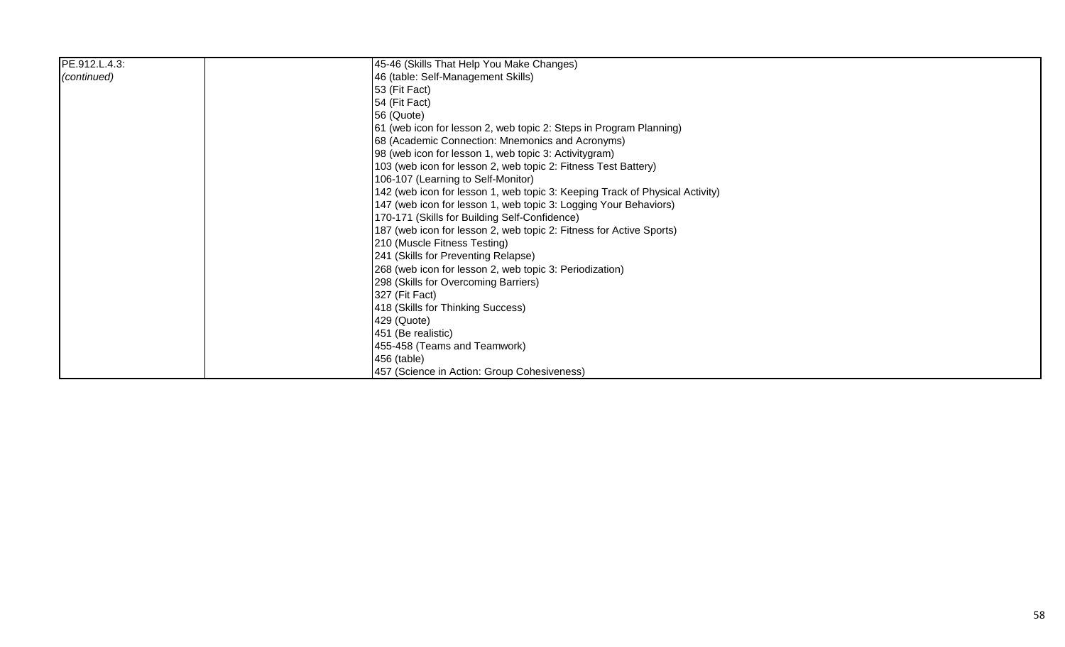| PE.912.L.4.3: | 45-46 (Skills That Help You Make Changes)                                    |
|---------------|------------------------------------------------------------------------------|
| (continued)   | 46 (table: Self-Management Skills)                                           |
|               | 53 (Fit Fact)                                                                |
|               | 54 (Fit Fact)                                                                |
|               | 56 (Quote)                                                                   |
|               | 61 (web icon for lesson 2, web topic 2: Steps in Program Planning)           |
|               | 68 (Academic Connection: Mnemonics and Acronyms)                             |
|               | 98 (web icon for lesson 1, web topic 3: Activitygram)                        |
|               | 103 (web icon for lesson 2, web topic 2: Fitness Test Battery)               |
|               | 106-107 (Learning to Self-Monitor)                                           |
|               | 142 (web icon for lesson 1, web topic 3: Keeping Track of Physical Activity) |
|               | 147 (web icon for lesson 1, web topic 3: Logging Your Behaviors)             |
|               | 170-171 (Skills for Building Self-Confidence)                                |
|               | 187 (web icon for lesson 2, web topic 2: Fitness for Active Sports)          |
|               | 210 (Muscle Fitness Testing)                                                 |
|               | 241 (Skills for Preventing Relapse)                                          |
|               | 268 (web icon for lesson 2, web topic 3: Periodization)                      |
|               | 298 (Skills for Overcoming Barriers)                                         |
|               | 327 (Fit Fact)                                                               |
|               | 418 (Skills for Thinking Success)                                            |
|               | 429 (Quote)                                                                  |
|               | 451 (Be realistic)                                                           |
|               | 455-458 (Teams and Teamwork)                                                 |
|               | 456 (table)                                                                  |
|               | 457 (Science in Action: Group Cohesiveness)                                  |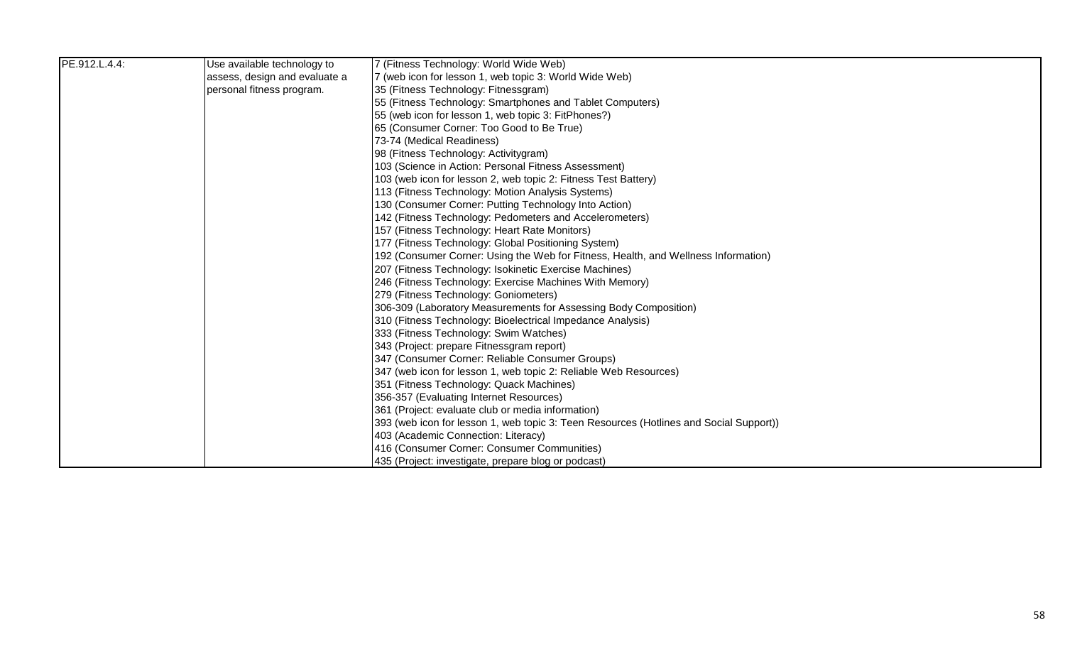| PE.912.L.4.4: | Use available technology to   | 7 (Fitness Technology: World Wide Web)                                                 |
|---------------|-------------------------------|----------------------------------------------------------------------------------------|
|               | assess, design and evaluate a | 7 (web icon for lesson 1, web topic 3: World Wide Web)                                 |
|               | personal fitness program.     | 35 (Fitness Technology: Fitnessgram)                                                   |
|               |                               | 55 (Fitness Technology: Smartphones and Tablet Computers)                              |
|               |                               | 55 (web icon for lesson 1, web topic 3: FitPhones?)                                    |
|               |                               | 65 (Consumer Corner: Too Good to Be True)                                              |
|               |                               | 73-74 (Medical Readiness)                                                              |
|               |                               | 98 (Fitness Technology: Activitygram)                                                  |
|               |                               | 103 (Science in Action: Personal Fitness Assessment)                                   |
|               |                               | 103 (web icon for lesson 2, web topic 2: Fitness Test Battery)                         |
|               |                               | 113 (Fitness Technology: Motion Analysis Systems)                                      |
|               |                               | 130 (Consumer Corner: Putting Technology Into Action)                                  |
|               |                               | 142 (Fitness Technology: Pedometers and Accelerometers)                                |
|               |                               | 157 (Fitness Technology: Heart Rate Monitors)                                          |
|               |                               | 177 (Fitness Technology: Global Positioning System)                                    |
|               |                               | 192 (Consumer Corner: Using the Web for Fitness, Health, and Wellness Information)     |
|               |                               | 207 (Fitness Technology: Isokinetic Exercise Machines)                                 |
|               |                               | 246 (Fitness Technology: Exercise Machines With Memory)                                |
|               |                               | 279 (Fitness Technology: Goniometers)                                                  |
|               |                               | 306-309 (Laboratory Measurements for Assessing Body Composition)                       |
|               |                               | 310 (Fitness Technology: Bioelectrical Impedance Analysis)                             |
|               |                               | 333 (Fitness Technology: Swim Watches)                                                 |
|               |                               | 343 (Project: prepare Fitnessgram report)                                              |
|               |                               | 347 (Consumer Corner: Reliable Consumer Groups)                                        |
|               |                               | 347 (web icon for lesson 1, web topic 2: Reliable Web Resources)                       |
|               |                               | 351 (Fitness Technology: Quack Machines)                                               |
|               |                               | 356-357 (Evaluating Internet Resources)                                                |
|               |                               | 361 (Project: evaluate club or media information)                                      |
|               |                               | 393 (web icon for lesson 1, web topic 3: Teen Resources (Hotlines and Social Support)) |
|               |                               | 403 (Academic Connection: Literacy)                                                    |
|               |                               | 416 (Consumer Corner: Consumer Communities)                                            |
|               |                               | 435 (Project: investigate, prepare blog or podcast)                                    |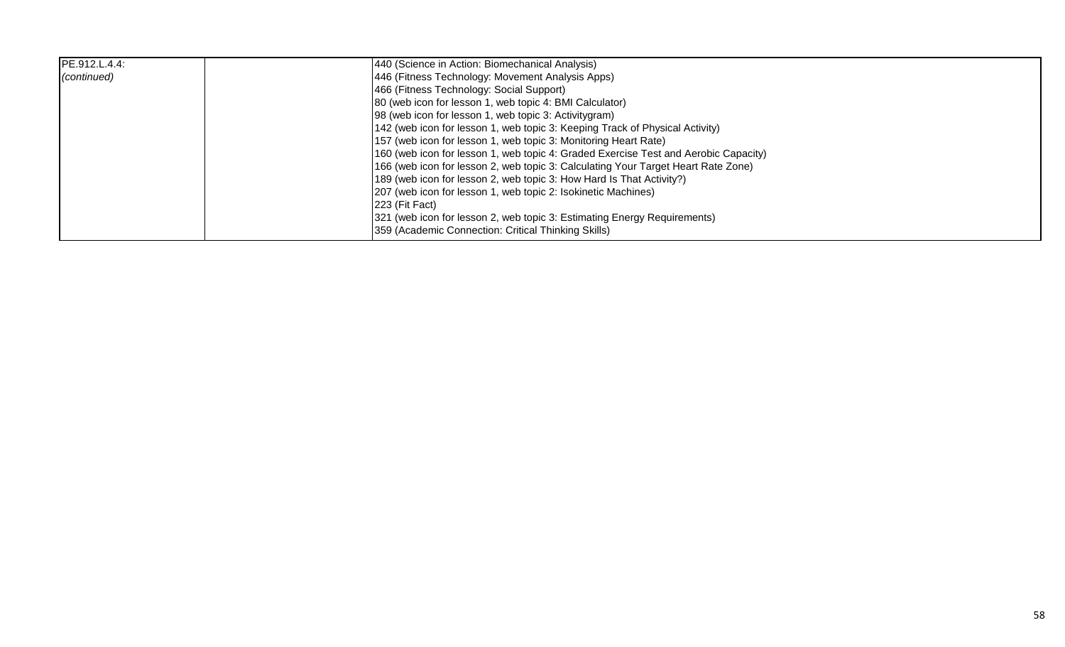| PE.912.L.4.4: | 440 (Science in Action: Biomechanical Analysis)                                     |
|---------------|-------------------------------------------------------------------------------------|
| (continued)   | 446 (Fitness Technology: Movement Analysis Apps)                                    |
|               | 466 (Fitness Technology: Social Support)                                            |
|               | 80 (web icon for lesson 1, web topic 4: BMI Calculator)                             |
|               | 98 (web icon for lesson 1, web topic 3: Activitygram)                               |
|               | 142 (web icon for lesson 1, web topic 3: Keeping Track of Physical Activity)        |
|               | 157 (web icon for lesson 1, web topic 3: Monitoring Heart Rate)                     |
|               | 160 (web icon for lesson 1, web topic 4: Graded Exercise Test and Aerobic Capacity) |
|               | 166 (web icon for lesson 2, web topic 3: Calculating Your Target Heart Rate Zone)   |
|               | 189 (web icon for lesson 2, web topic 3: How Hard Is That Activity?)                |
|               | 207 (web icon for lesson 1, web topic 2: Isokinetic Machines)                       |
|               | 223 (Fit Fact)                                                                      |
|               | [321 (web icon for lesson 2, web topic 3: Estimating Energy Requirements)           |
|               | 359 (Academic Connection: Critical Thinking Skills)                                 |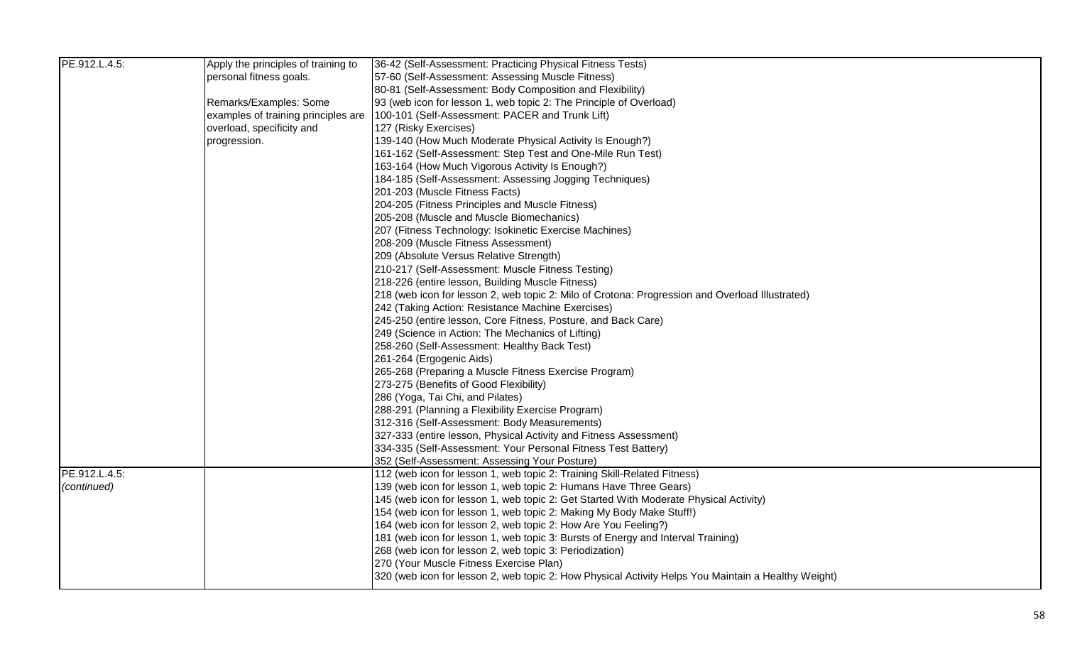| PE.912.L.4.5: | Apply the principles of training to | 36-42 (Self-Assessment: Practicing Physical Fitness Tests)                                          |
|---------------|-------------------------------------|-----------------------------------------------------------------------------------------------------|
|               | personal fitness goals.             | 57-60 (Self-Assessment: Assessing Muscle Fitness)                                                   |
|               |                                     | 80-81 (Self-Assessment: Body Composition and Flexibility)                                           |
|               | Remarks/Examples: Some              | 93 (web icon for lesson 1, web topic 2: The Principle of Overload)                                  |
|               | examples of training principles are | 100-101 (Self-Assessment: PACER and Trunk Lift)                                                     |
|               | overload, specificity and           | 127 (Risky Exercises)                                                                               |
|               | progression.                        | 139-140 (How Much Moderate Physical Activity Is Enough?)                                            |
|               |                                     | 161-162 (Self-Assessment: Step Test and One-Mile Run Test)                                          |
|               |                                     | 163-164 (How Much Vigorous Activity Is Enough?)                                                     |
|               |                                     | 184-185 (Self-Assessment: Assessing Jogging Techniques)                                             |
|               |                                     | 201-203 (Muscle Fitness Facts)                                                                      |
|               |                                     | 204-205 (Fitness Principles and Muscle Fitness)                                                     |
|               |                                     | 205-208 (Muscle and Muscle Biomechanics)                                                            |
|               |                                     | 207 (Fitness Technology: Isokinetic Exercise Machines)                                              |
|               |                                     | 208-209 (Muscle Fitness Assessment)                                                                 |
|               |                                     | 209 (Absolute Versus Relative Strength)                                                             |
|               |                                     | 210-217 (Self-Assessment: Muscle Fitness Testing)                                                   |
|               |                                     | 218-226 (entire lesson, Building Muscle Fitness)                                                    |
|               |                                     | 218 (web icon for lesson 2, web topic 2: Milo of Crotona: Progression and Overload Illustrated)     |
|               |                                     | 242 (Taking Action: Resistance Machine Exercises)                                                   |
|               |                                     | 245-250 (entire lesson, Core Fitness, Posture, and Back Care)                                       |
|               |                                     | 249 (Science in Action: The Mechanics of Lifting)                                                   |
|               |                                     | 258-260 (Self-Assessment: Healthy Back Test)                                                        |
|               |                                     | 261-264 (Ergogenic Aids)                                                                            |
|               |                                     | 265-268 (Preparing a Muscle Fitness Exercise Program)                                               |
|               |                                     | 273-275 (Benefits of Good Flexibility)                                                              |
|               |                                     | 286 (Yoga, Tai Chi, and Pilates)                                                                    |
|               |                                     | 288-291 (Planning a Flexibility Exercise Program)                                                   |
|               |                                     | 312-316 (Self-Assessment: Body Measurements)                                                        |
|               |                                     | 327-333 (entire lesson, Physical Activity and Fitness Assessment)                                   |
|               |                                     | 334-335 (Self-Assessment: Your Personal Fitness Test Battery)                                       |
|               |                                     | 352 (Self-Assessment: Assessing Your Posture)                                                       |
| PE.912.L.4.5: |                                     | 112 (web icon for lesson 1, web topic 2: Training Skill-Related Fitness)                            |
| (continued)   |                                     | 139 (web icon for lesson 1, web topic 2: Humans Have Three Gears)                                   |
|               |                                     | 145 (web icon for lesson 1, web topic 2: Get Started With Moderate Physical Activity)               |
|               |                                     | 154 (web icon for lesson 1, web topic 2: Making My Body Make Stuff!)                                |
|               |                                     | 164 (web icon for lesson 2, web topic 2: How Are You Feeling?)                                      |
|               |                                     | 181 (web icon for lesson 1, web topic 3: Bursts of Energy and Interval Training)                    |
|               |                                     | 268 (web icon for lesson 2, web topic 3: Periodization)                                             |
|               |                                     | 270 (Your Muscle Fitness Exercise Plan)                                                             |
|               |                                     | 320 (web icon for lesson 2, web topic 2: How Physical Activity Helps You Maintain a Healthy Weight) |
|               |                                     |                                                                                                     |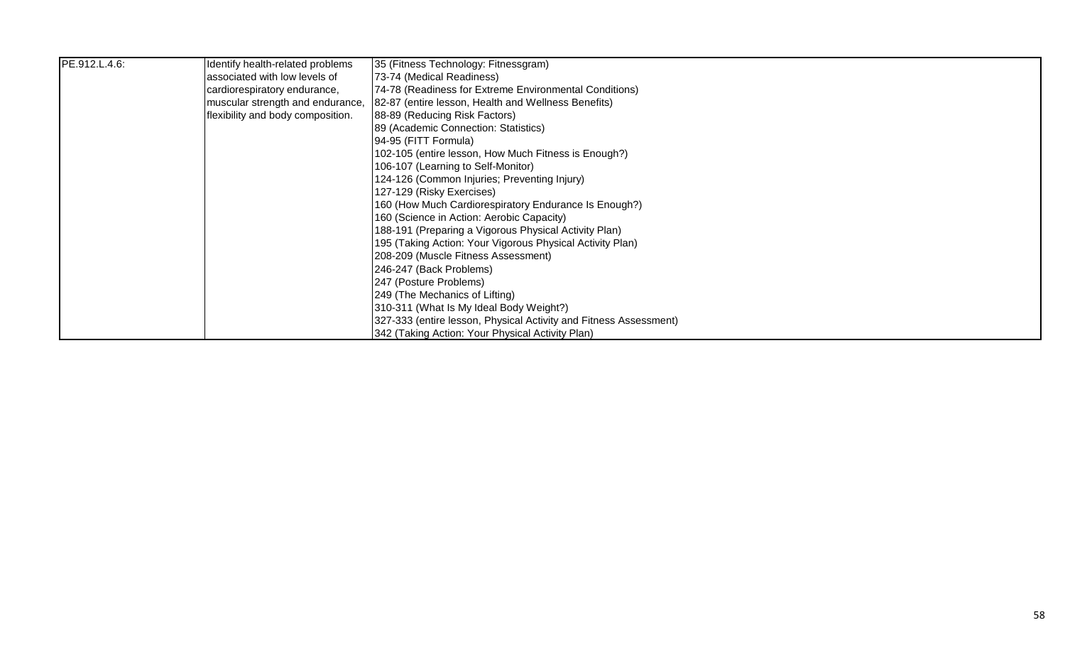| PE.912.L.4.6: | Identify health-related problems  | 35 (Fitness Technology: Fitnessgram)                              |
|---------------|-----------------------------------|-------------------------------------------------------------------|
|               | associated with low levels of     | [73-74 (Medical Readiness)                                        |
|               | cardiorespiratory endurance,      | [74-78 (Readiness for Extreme Environmental Conditions)           |
|               | muscular strength and endurance,  | 82-87 (entire lesson, Health and Wellness Benefits)               |
|               | flexibility and body composition. | 88-89 (Reducing Risk Factors)                                     |
|               |                                   | 89 (Academic Connection: Statistics)                              |
|               |                                   | 94-95 (FITT Formula)                                              |
|               |                                   | 102-105 (entire lesson, How Much Fitness is Enough?)              |
|               |                                   | 106-107 (Learning to Self-Monitor)                                |
|               |                                   | 124-126 (Common Injuries; Preventing Injury)                      |
|               |                                   | 127-129 (Risky Exercises)                                         |
|               |                                   | 160 (How Much Cardiorespiratory Endurance Is Enough?)             |
|               |                                   | 160 (Science in Action: Aerobic Capacity)                         |
|               |                                   | 188-191 (Preparing a Vigorous Physical Activity Plan)             |
|               |                                   | 195 (Taking Action: Your Vigorous Physical Activity Plan)         |
|               |                                   | 208-209 (Muscle Fitness Assessment)                               |
|               |                                   | 246-247 (Back Problems)                                           |
|               |                                   | 247 (Posture Problems)                                            |
|               |                                   | 249 (The Mechanics of Lifting)                                    |
|               |                                   | 310-311 (What Is My Ideal Body Weight?)                           |
|               |                                   | 327-333 (entire lesson, Physical Activity and Fitness Assessment) |
|               |                                   | 342 (Taking Action: Your Physical Activity Plan)                  |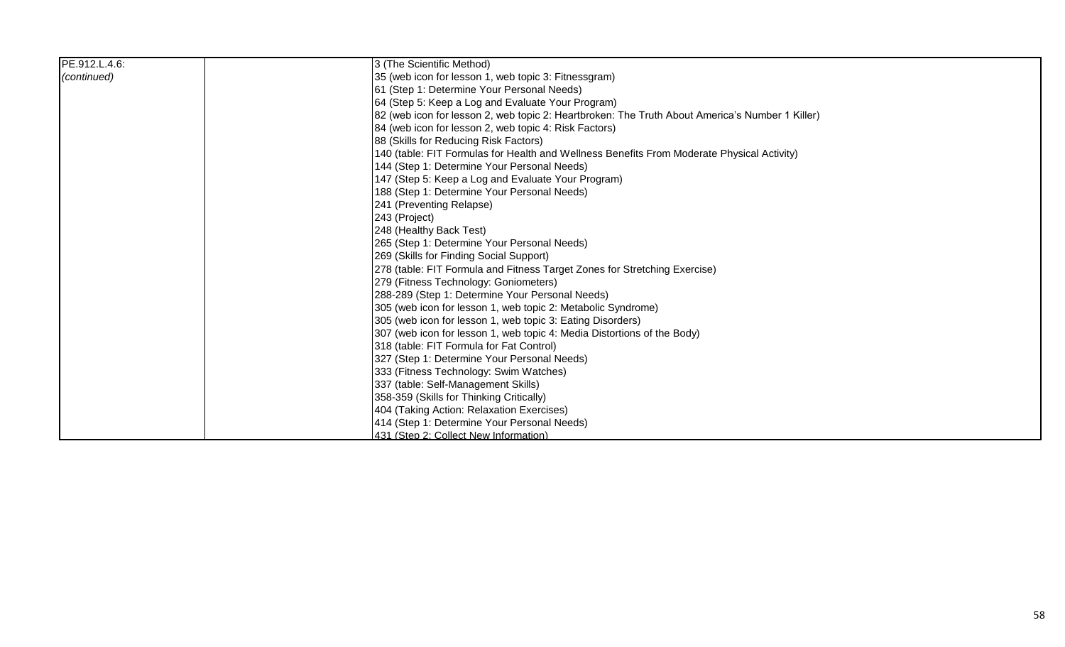| PE.912.L.4.6: | 3 (The Scientific Method)                                                                       |
|---------------|-------------------------------------------------------------------------------------------------|
| (continued)   | 35 (web icon for lesson 1, web topic 3: Fitnessgram)                                            |
|               | 61 (Step 1: Determine Your Personal Needs)                                                      |
|               | 64 (Step 5: Keep a Log and Evaluate Your Program)                                               |
|               | 82 (web icon for lesson 2, web topic 2: Heartbroken: The Truth About America's Number 1 Killer) |
|               | 84 (web icon for lesson 2, web topic 4: Risk Factors)                                           |
|               | 88 (Skills for Reducing Risk Factors)                                                           |
|               | 140 (table: FIT Formulas for Health and Wellness Benefits From Moderate Physical Activity)      |
|               | 144 (Step 1: Determine Your Personal Needs)                                                     |
|               | 147 (Step 5: Keep a Log and Evaluate Your Program)                                              |
|               | 188 (Step 1: Determine Your Personal Needs)                                                     |
|               | 241 (Preventing Relapse)                                                                        |
|               | 243 (Project)                                                                                   |
|               | 248 (Healthy Back Test)                                                                         |
|               | 265 (Step 1: Determine Your Personal Needs)                                                     |
|               | 269 (Skills for Finding Social Support)                                                         |
|               | 278 (table: FIT Formula and Fitness Target Zones for Stretching Exercise)                       |
|               | 279 (Fitness Technology: Goniometers)                                                           |
|               | 288-289 (Step 1: Determine Your Personal Needs)                                                 |
|               | 305 (web icon for lesson 1, web topic 2: Metabolic Syndrome)                                    |
|               | 305 (web icon for lesson 1, web topic 3: Eating Disorders)                                      |
|               | 307 (web icon for lesson 1, web topic 4: Media Distortions of the Body)                         |
|               | 318 (table: FIT Formula for Fat Control)                                                        |
|               | 327 (Step 1: Determine Your Personal Needs)                                                     |
|               | 333 (Fitness Technology: Swim Watches)                                                          |
|               | 337 (table: Self-Management Skills)                                                             |
|               | 358-359 (Skills for Thinking Critically)                                                        |
|               | 404 (Taking Action: Relaxation Exercises)                                                       |
|               | 414 (Step 1: Determine Your Personal Needs)                                                     |
|               | 431 (Step 2: Collect New Information)                                                           |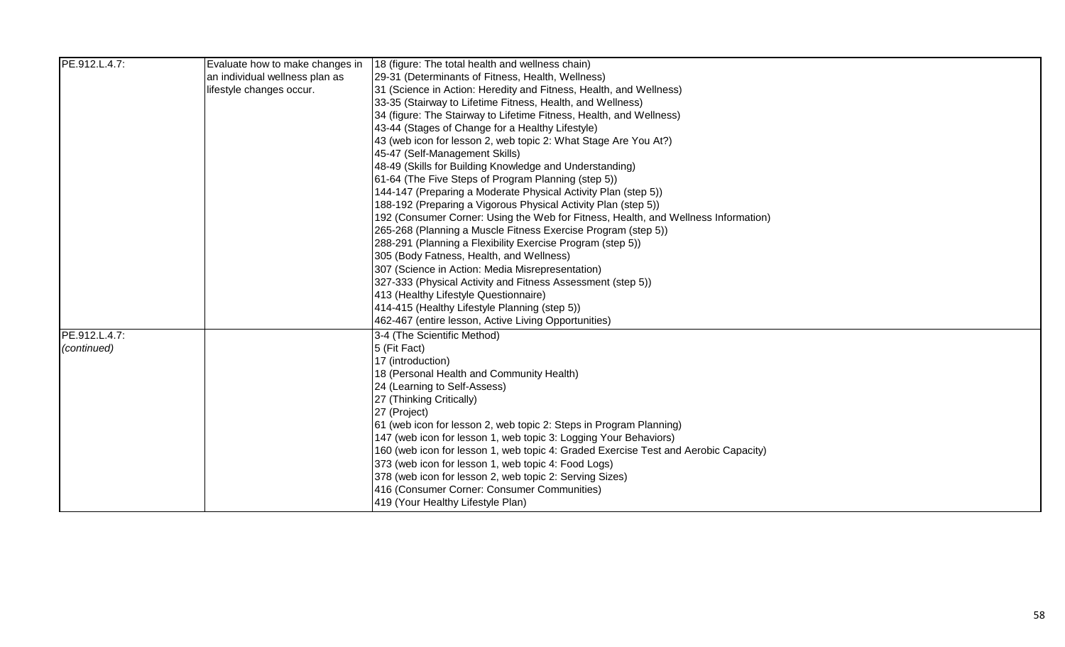| PE.912.L.4.7: | Evaluate how to make changes in | 18 (figure: The total health and wellness chain)                                    |
|---------------|---------------------------------|-------------------------------------------------------------------------------------|
|               | an individual wellness plan as  | 29-31 (Determinants of Fitness, Health, Wellness)                                   |
|               | lifestyle changes occur.        | 31 (Science in Action: Heredity and Fitness, Health, and Wellness)                  |
|               |                                 | 33-35 (Stairway to Lifetime Fitness, Health, and Wellness)                          |
|               |                                 | 34 (figure: The Stairway to Lifetime Fitness, Health, and Wellness)                 |
|               |                                 | 43-44 (Stages of Change for a Healthy Lifestyle)                                    |
|               |                                 | 43 (web icon for lesson 2, web topic 2: What Stage Are You At?)                     |
|               |                                 | 45-47 (Self-Management Skills)                                                      |
|               |                                 | 48-49 (Skills for Building Knowledge and Understanding)                             |
|               |                                 | 61-64 (The Five Steps of Program Planning (step 5))                                 |
|               |                                 | 144-147 (Preparing a Moderate Physical Activity Plan (step 5))                      |
|               |                                 | 188-192 (Preparing a Vigorous Physical Activity Plan (step 5))                      |
|               |                                 | 192 (Consumer Corner: Using the Web for Fitness, Health, and Wellness Information)  |
|               |                                 | 265-268 (Planning a Muscle Fitness Exercise Program (step 5))                       |
|               |                                 | 288-291 (Planning a Flexibility Exercise Program (step 5))                          |
|               |                                 | 305 (Body Fatness, Health, and Wellness)                                            |
|               |                                 | 307 (Science in Action: Media Misrepresentation)                                    |
|               |                                 | 327-333 (Physical Activity and Fitness Assessment (step 5))                         |
|               |                                 | 413 (Healthy Lifestyle Questionnaire)                                               |
|               |                                 | 414-415 (Healthy Lifestyle Planning (step 5))                                       |
|               |                                 | 462-467 (entire lesson, Active Living Opportunities)                                |
| PE.912.L.4.7: |                                 | 3-4 (The Scientific Method)                                                         |
| (continued)   |                                 | 5 (Fit Fact)                                                                        |
|               |                                 | 17 (introduction)                                                                   |
|               |                                 | 18 (Personal Health and Community Health)                                           |
|               |                                 | 24 (Learning to Self-Assess)                                                        |
|               |                                 | 27 (Thinking Critically)                                                            |
|               |                                 | 27 (Project)                                                                        |
|               |                                 | 61 (web icon for lesson 2, web topic 2: Steps in Program Planning)                  |
|               |                                 | 147 (web icon for lesson 1, web topic 3: Logging Your Behaviors)                    |
|               |                                 | 160 (web icon for lesson 1, web topic 4: Graded Exercise Test and Aerobic Capacity) |
|               |                                 | 373 (web icon for lesson 1, web topic 4: Food Logs)                                 |
|               |                                 | 378 (web icon for lesson 2, web topic 2: Serving Sizes)                             |
|               |                                 | 416 (Consumer Corner: Consumer Communities)                                         |
|               |                                 | 419 (Your Healthy Lifestyle Plan)                                                   |
|               |                                 |                                                                                     |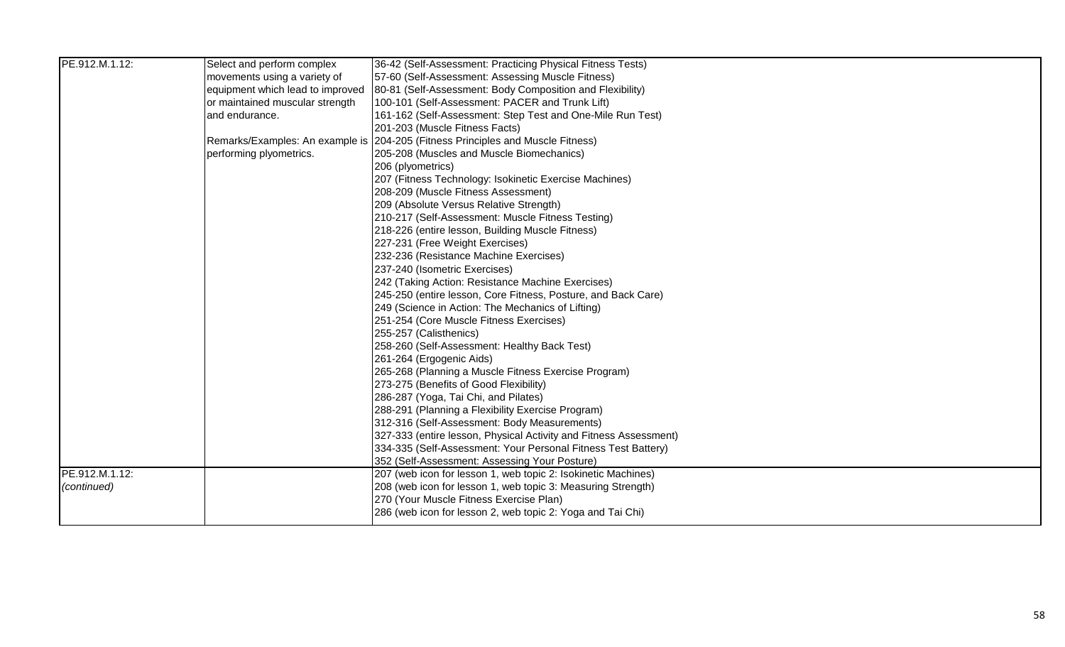| PE.912.M.1.12: | Select and perform complex       | 36-42 (Self-Assessment: Practicing Physical Fitness Tests)                      |
|----------------|----------------------------------|---------------------------------------------------------------------------------|
|                | movements using a variety of     | 57-60 (Self-Assessment: Assessing Muscle Fitness)                               |
|                | equipment which lead to improved | 80-81 (Self-Assessment: Body Composition and Flexibility)                       |
|                | or maintained muscular strength  | 100-101 (Self-Assessment: PACER and Trunk Lift)                                 |
|                | and endurance.                   | 161-162 (Self-Assessment: Step Test and One-Mile Run Test)                      |
|                |                                  | 201-203 (Muscle Fitness Facts)                                                  |
|                |                                  | Remarks/Examples: An example is 204-205 (Fitness Principles and Muscle Fitness) |
|                | performing plyometrics.          | 205-208 (Muscles and Muscle Biomechanics)                                       |
|                |                                  | 206 (plyometrics)                                                               |
|                |                                  | 207 (Fitness Technology: Isokinetic Exercise Machines)                          |
|                |                                  | 208-209 (Muscle Fitness Assessment)                                             |
|                |                                  | 209 (Absolute Versus Relative Strength)                                         |
|                |                                  | 210-217 (Self-Assessment: Muscle Fitness Testing)                               |
|                |                                  | 218-226 (entire lesson, Building Muscle Fitness)                                |
|                |                                  | 227-231 (Free Weight Exercises)                                                 |
|                |                                  | 232-236 (Resistance Machine Exercises)                                          |
|                |                                  | 237-240 (Isometric Exercises)                                                   |
|                |                                  | 242 (Taking Action: Resistance Machine Exercises)                               |
|                |                                  | 245-250 (entire lesson, Core Fitness, Posture, and Back Care)                   |
|                |                                  | 249 (Science in Action: The Mechanics of Lifting)                               |
|                |                                  | 251-254 (Core Muscle Fitness Exercises)                                         |
|                |                                  | 255-257 (Calisthenics)                                                          |
|                |                                  | 258-260 (Self-Assessment: Healthy Back Test)                                    |
|                |                                  | 261-264 (Ergogenic Aids)                                                        |
|                |                                  | 265-268 (Planning a Muscle Fitness Exercise Program)                            |
|                |                                  | 273-275 (Benefits of Good Flexibility)                                          |
|                |                                  | 286-287 (Yoga, Tai Chi, and Pilates)                                            |
|                |                                  | 288-291 (Planning a Flexibility Exercise Program)                               |
|                |                                  | 312-316 (Self-Assessment: Body Measurements)                                    |
|                |                                  | 327-333 (entire lesson, Physical Activity and Fitness Assessment)               |
|                |                                  | 334-335 (Self-Assessment: Your Personal Fitness Test Battery)                   |
|                |                                  | 352 (Self-Assessment: Assessing Your Posture)                                   |
| PE.912.M.1.12: |                                  | 207 (web icon for lesson 1, web topic 2: Isokinetic Machines)                   |
| (continued)    |                                  | 208 (web icon for lesson 1, web topic 3: Measuring Strength)                    |
|                |                                  | 270 (Your Muscle Fitness Exercise Plan)                                         |
|                |                                  | 286 (web icon for lesson 2, web topic 2: Yoga and Tai Chi)                      |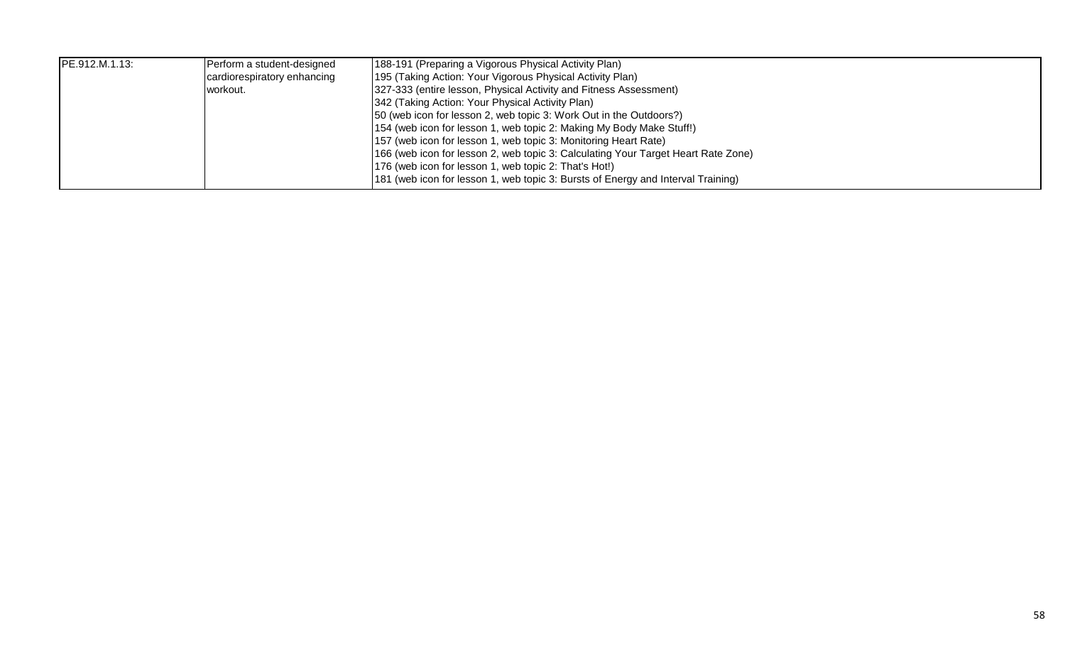| PE.912.M.1.13: | Perform a student-designed  | [188-191 (Preparing a Vigorous Physical Activity Plan)                            |
|----------------|-----------------------------|-----------------------------------------------------------------------------------|
|                | cardiorespiratory enhancing | [195 (Taking Action: Your Vigorous Physical Activity Plan)                        |
|                | workout.                    | 327-333 (entire lesson, Physical Activity and Fitness Assessment)                 |
|                |                             | 342 (Taking Action: Your Physical Activity Plan)                                  |
|                |                             | [50 (web icon for lesson 2, web topic 3: Work Out in the Outdoors?)               |
|                |                             | 154 (web icon for lesson 1, web topic 2: Making My Body Make Stuff!)              |
|                |                             | 157 (web icon for lesson 1, web topic 3: Monitoring Heart Rate)                   |
|                |                             | 166 (web icon for lesson 2, web topic 3: Calculating Your Target Heart Rate Zone) |
|                |                             | 176 (web icon for lesson 1, web topic 2: That's Hot!)                             |
|                |                             | 181 (web icon for lesson 1, web topic 3: Bursts of Energy and Interval Training)  |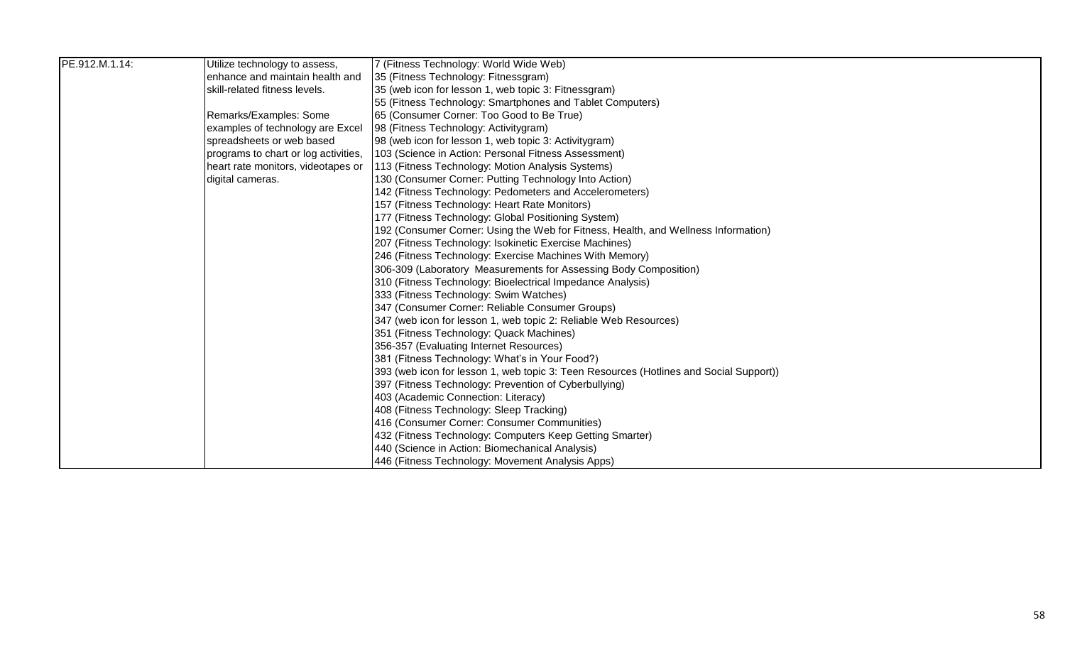| PE.912.M.1.14: | Utilize technology to assess,        | 7 (Fitness Technology: World Wide Web)                                                 |
|----------------|--------------------------------------|----------------------------------------------------------------------------------------|
|                | enhance and maintain health and      | 35 (Fitness Technology: Fitnessgram)                                                   |
|                | skill-related fitness levels.        | 35 (web icon for lesson 1, web topic 3: Fitnessgram)                                   |
|                |                                      | 55 (Fitness Technology: Smartphones and Tablet Computers)                              |
|                | Remarks/Examples: Some               | 65 (Consumer Corner: Too Good to Be True)                                              |
|                | examples of technology are Excel     | 98 (Fitness Technology: Activitygram)                                                  |
|                | spreadsheets or web based            | 98 (web icon for lesson 1, web topic 3: Activitygram)                                  |
|                | programs to chart or log activities, | 103 (Science in Action: Personal Fitness Assessment)                                   |
|                | heart rate monitors, videotapes or   | 113 (Fitness Technology: Motion Analysis Systems)                                      |
|                | digital cameras.                     | 130 (Consumer Corner: Putting Technology Into Action)                                  |
|                |                                      | 142 (Fitness Technology: Pedometers and Accelerometers)                                |
|                |                                      | 157 (Fitness Technology: Heart Rate Monitors)                                          |
|                |                                      | 177 (Fitness Technology: Global Positioning System)                                    |
|                |                                      | 192 (Consumer Corner: Using the Web for Fitness, Health, and Wellness Information)     |
|                |                                      | 207 (Fitness Technology: Isokinetic Exercise Machines)                                 |
|                |                                      | 246 (Fitness Technology: Exercise Machines With Memory)                                |
|                |                                      | 306-309 (Laboratory Measurements for Assessing Body Composition)                       |
|                |                                      | 310 (Fitness Technology: Bioelectrical Impedance Analysis)                             |
|                |                                      | 333 (Fitness Technology: Swim Watches)                                                 |
|                |                                      | 347 (Consumer Corner: Reliable Consumer Groups)                                        |
|                |                                      | 347 (web icon for lesson 1, web topic 2: Reliable Web Resources)                       |
|                |                                      | 351 (Fitness Technology: Quack Machines)                                               |
|                |                                      | 356-357 (Evaluating Internet Resources)                                                |
|                |                                      | 381 (Fitness Technology: What's in Your Food?)                                         |
|                |                                      | 393 (web icon for lesson 1, web topic 3: Teen Resources (Hotlines and Social Support)) |
|                |                                      | 397 (Fitness Technology: Prevention of Cyberbullying)                                  |
|                |                                      | 403 (Academic Connection: Literacy)                                                    |
|                |                                      | 408 (Fitness Technology: Sleep Tracking)                                               |
|                |                                      | 416 (Consumer Corner: Consumer Communities)                                            |
|                |                                      | 432 (Fitness Technology: Computers Keep Getting Smarter)                               |
|                |                                      | 440 (Science in Action: Biomechanical Analysis)                                        |
|                |                                      | 446 (Fitness Technology: Movement Analysis Apps)                                       |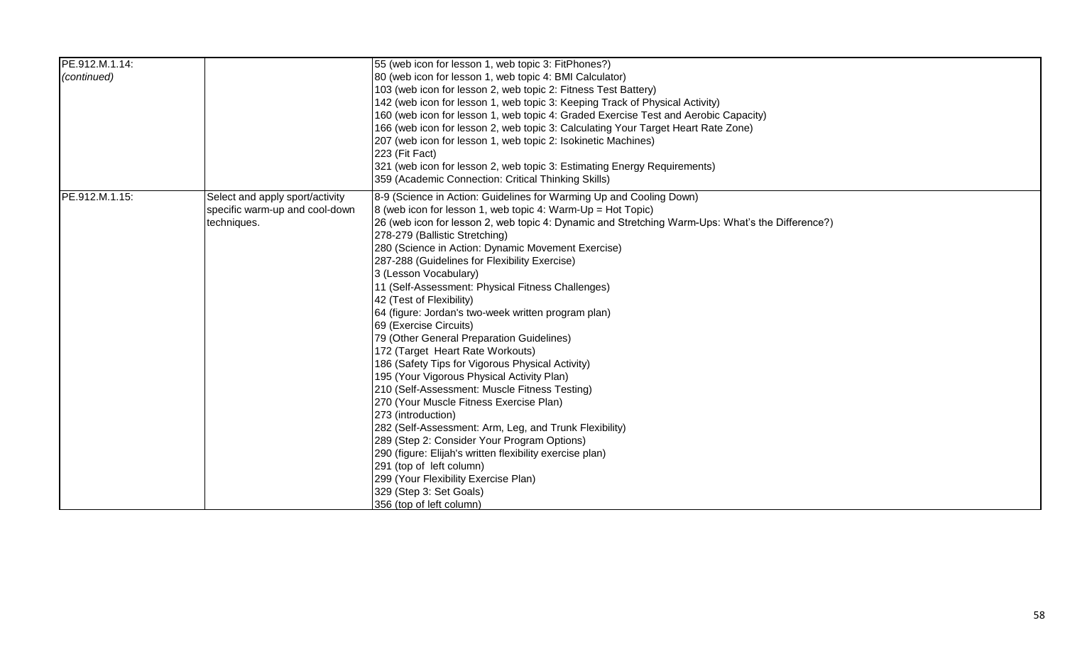| PE.912.M.1.14: |                                 | 55 (web icon for lesson 1, web topic 3: FitPhones?)                                              |
|----------------|---------------------------------|--------------------------------------------------------------------------------------------------|
| (continued)    |                                 | 80 (web icon for lesson 1, web topic 4: BMI Calculator)                                          |
|                |                                 | 103 (web icon for lesson 2, web topic 2: Fitness Test Battery)                                   |
|                |                                 | 142 (web icon for lesson 1, web topic 3: Keeping Track of Physical Activity)                     |
|                |                                 | 160 (web icon for lesson 1, web topic 4: Graded Exercise Test and Aerobic Capacity)              |
|                |                                 | 166 (web icon for lesson 2, web topic 3: Calculating Your Target Heart Rate Zone)                |
|                |                                 | 207 (web icon for lesson 1, web topic 2: Isokinetic Machines)                                    |
|                |                                 | 223 (Fit Fact)                                                                                   |
|                |                                 | 321 (web icon for lesson 2, web topic 3: Estimating Energy Requirements)                         |
|                |                                 | 359 (Academic Connection: Critical Thinking Skills)                                              |
| PE.912.M.1.15: | Select and apply sport/activity | 8-9 (Science in Action: Guidelines for Warming Up and Cooling Down)                              |
|                | specific warm-up and cool-down  | 8 (web icon for lesson 1, web topic 4: Warm-Up = Hot Topic)                                      |
|                | techniques.                     | 26 (web icon for lesson 2, web topic 4: Dynamic and Stretching Warm-Ups: What's the Difference?) |
|                |                                 | 278-279 (Ballistic Stretching)                                                                   |
|                |                                 | 280 (Science in Action: Dynamic Movement Exercise)                                               |
|                |                                 | 287-288 (Guidelines for Flexibility Exercise)                                                    |
|                |                                 | 3 (Lesson Vocabulary)                                                                            |
|                |                                 | 11 (Self-Assessment: Physical Fitness Challenges)                                                |
|                |                                 | 42 (Test of Flexibility)                                                                         |
|                |                                 | 64 (figure: Jordan's two-week written program plan)                                              |
|                |                                 | 69 (Exercise Circuits)                                                                           |
|                |                                 | 79 (Other General Preparation Guidelines)                                                        |
|                |                                 | 172 (Target Heart Rate Workouts)                                                                 |
|                |                                 | 186 (Safety Tips for Vigorous Physical Activity)                                                 |
|                |                                 | 195 (Your Vigorous Physical Activity Plan)                                                       |
|                |                                 | 210 (Self-Assessment: Muscle Fitness Testing)                                                    |
|                |                                 | 270 (Your Muscle Fitness Exercise Plan)                                                          |
|                |                                 | 273 (introduction)                                                                               |
|                |                                 | 282 (Self-Assessment: Arm, Leg, and Trunk Flexibility)                                           |
|                |                                 | 289 (Step 2: Consider Your Program Options)                                                      |
|                |                                 | 290 (figure: Elijah's written flexibility exercise plan)                                         |
|                |                                 | 291 (top of left column)                                                                         |
|                |                                 | 299 (Your Flexibility Exercise Plan)                                                             |
|                |                                 | 329 (Step 3: Set Goals)                                                                          |
|                |                                 | 356 (top of left column)                                                                         |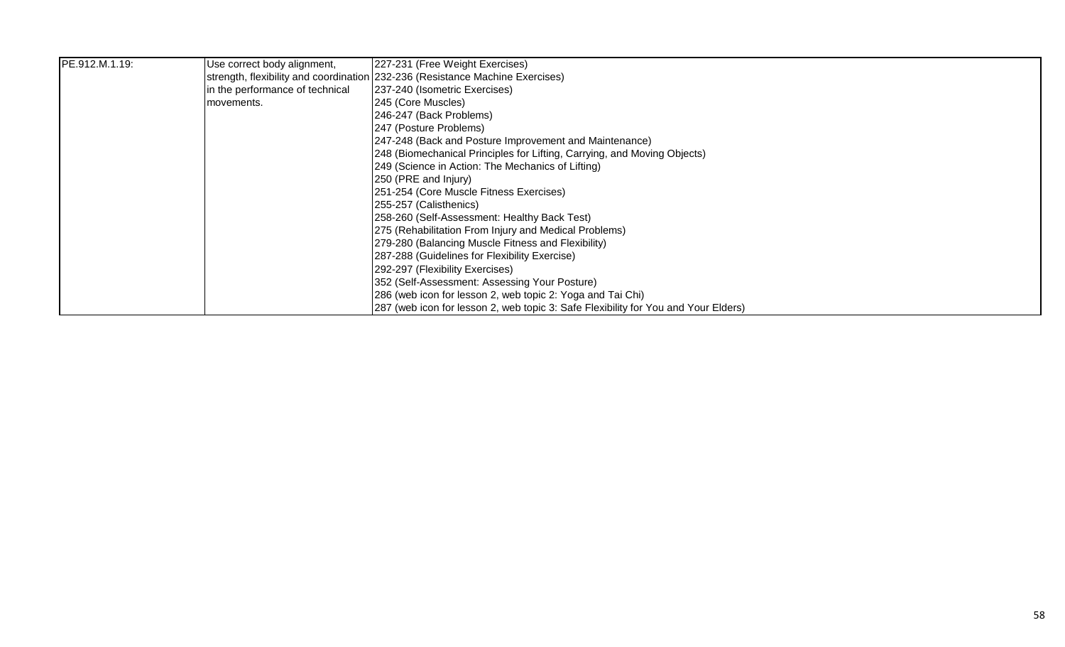| PE.912.M.1.19: | Use correct body alignment,     | 227-231 (Free Weight Exercises)                                                     |
|----------------|---------------------------------|-------------------------------------------------------------------------------------|
|                |                                 | strength, flexibility and coordination 232-236 (Resistance Machine Exercises)       |
|                | in the performance of technical | 237-240 (Isometric Exercises)                                                       |
|                | movements.                      | 245 (Core Muscles)                                                                  |
|                |                                 | 246-247 (Back Problems)                                                             |
|                |                                 | 247 (Posture Problems)                                                              |
|                |                                 | 247-248 (Back and Posture Improvement and Maintenance)                              |
|                |                                 | 248 (Biomechanical Principles for Lifting, Carrying, and Moving Objects)            |
|                |                                 | [249 (Science in Action: The Mechanics of Lifting)                                  |
|                |                                 | 250 (PRE and Injury)                                                                |
|                |                                 | 251-254 (Core Muscle Fitness Exercises)                                             |
|                |                                 | 255-257 (Calisthenics)                                                              |
|                |                                 | 258-260 (Self-Assessment: Healthy Back Test)                                        |
|                |                                 | 275 (Rehabilitation From Injury and Medical Problems)                               |
|                |                                 | 279-280 (Balancing Muscle Fitness and Flexibility)                                  |
|                |                                 | 287-288 (Guidelines for Flexibility Exercise)                                       |
|                |                                 | 292-297 (Flexibility Exercises)                                                     |
|                |                                 | [352 (Self-Assessment: Assessing Your Posture)                                      |
|                |                                 | 286 (web icon for lesson 2, web topic 2: Yoga and Tai Chi)                          |
|                |                                 | [287 (web icon for lesson 2, web topic 3: Safe Flexibility for You and Your Elders) |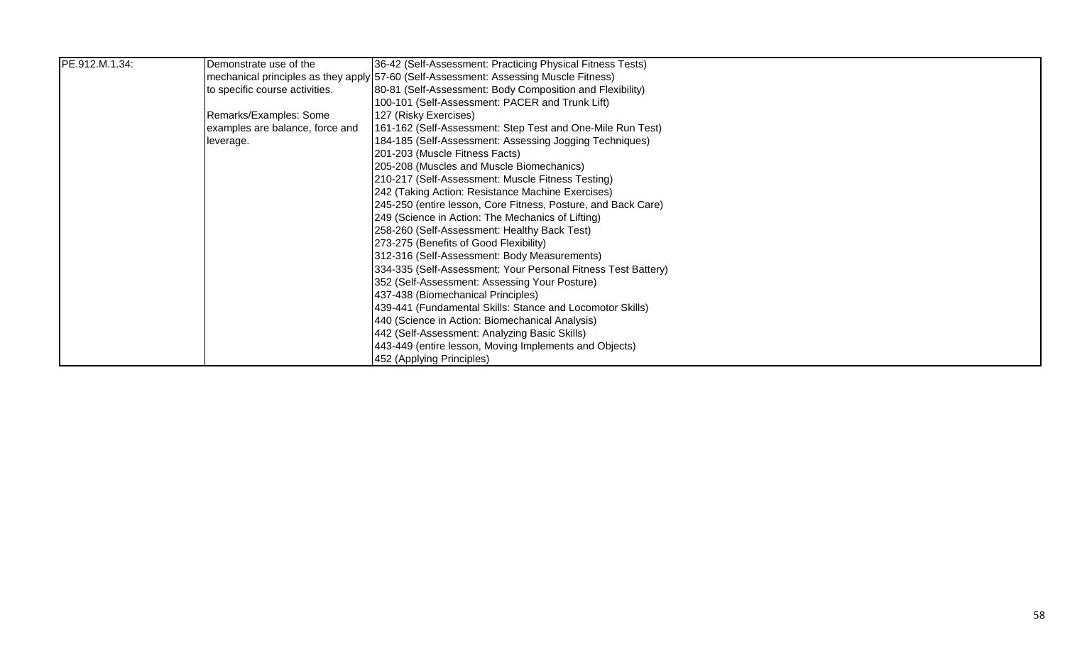| PE.912.M.1.34: | Demonstrate use of the          | 36-42 (Self-Assessment: Practicing Physical Fitness Tests)                            |
|----------------|---------------------------------|---------------------------------------------------------------------------------------|
|                |                                 | mechanical principles as they apply 57-60 (Self-Assessment: Assessing Muscle Fitness) |
|                | to specific course activities.  | 80-81 (Self-Assessment: Body Composition and Flexibility)                             |
|                |                                 | 100-101 (Self-Assessment: PACER and Trunk Lift)                                       |
|                | Remarks/Examples: Some          | 127 (Risky Exercises)                                                                 |
|                | examples are balance, force and | 161-162 (Self-Assessment: Step Test and One-Mile Run Test)                            |
|                | leverage.                       | 184-185 (Self-Assessment: Assessing Jogging Techniques)                               |
|                |                                 | 201-203 (Muscle Fitness Facts)                                                        |
|                |                                 | 205-208 (Muscles and Muscle Biomechanics)                                             |
|                |                                 | 210-217 (Self-Assessment: Muscle Fitness Testing)                                     |
|                |                                 | 242 (Taking Action: Resistance Machine Exercises)                                     |
|                |                                 | 245-250 (entire lesson, Core Fitness, Posture, and Back Care)                         |
|                |                                 | 249 (Science in Action: The Mechanics of Lifting)                                     |
|                |                                 | 258-260 (Self-Assessment: Healthy Back Test)                                          |
|                |                                 | 273-275 (Benefits of Good Flexibility)                                                |
|                |                                 | 312-316 (Self-Assessment: Body Measurements)                                          |
|                |                                 | 334-335 (Self-Assessment: Your Personal Fitness Test Battery)                         |
|                |                                 | 352 (Self-Assessment: Assessing Your Posture)                                         |
|                |                                 | 437-438 (Biomechanical Principles)                                                    |
|                |                                 | 439-441 (Fundamental Skills: Stance and Locomotor Skills)                             |
|                |                                 | 440 (Science in Action: Biomechanical Analysis)                                       |
|                |                                 | 442 (Self-Assessment: Analyzing Basic Skills)                                         |
|                |                                 | 443-449 (entire lesson, Moving Implements and Objects)                                |
|                |                                 | 452 (Applying Principles)                                                             |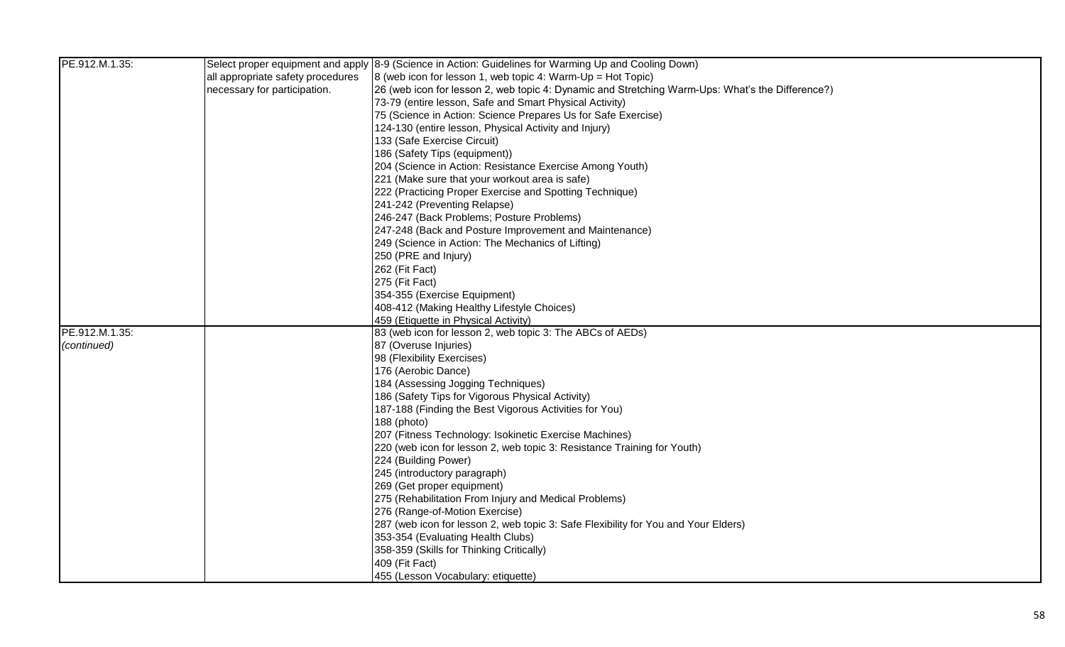| PE.912.M.1.35: |                                   | Select proper equipment and apply 8-9 (Science in Action: Guidelines for Warming Up and Cooling Down) |
|----------------|-----------------------------------|-------------------------------------------------------------------------------------------------------|
|                | all appropriate safety procedures | $8$ (web icon for lesson 1, web topic 4: Warm-Up = Hot Topic)                                         |
|                | necessary for participation.      | 26 (web icon for lesson 2, web topic 4: Dynamic and Stretching Warm-Ups: What's the Difference?)      |
|                |                                   | 73-79 (entire lesson, Safe and Smart Physical Activity)                                               |
|                |                                   | 75 (Science in Action: Science Prepares Us for Safe Exercise)                                         |
|                |                                   | 124-130 (entire lesson, Physical Activity and Injury)                                                 |
|                |                                   | 133 (Safe Exercise Circuit)                                                                           |
|                |                                   | 186 (Safety Tips (equipment))                                                                         |
|                |                                   | 204 (Science in Action: Resistance Exercise Among Youth)                                              |
|                |                                   | 221 (Make sure that your workout area is safe)                                                        |
|                |                                   | 222 (Practicing Proper Exercise and Spotting Technique)                                               |
|                |                                   | 241-242 (Preventing Relapse)                                                                          |
|                |                                   | 246-247 (Back Problems; Posture Problems)                                                             |
|                |                                   | 247-248 (Back and Posture Improvement and Maintenance)                                                |
|                |                                   | 249 (Science in Action: The Mechanics of Lifting)                                                     |
|                |                                   | 250 (PRE and Injury)                                                                                  |
|                |                                   | 262 (Fit Fact)                                                                                        |
|                |                                   | 275 (Fit Fact)                                                                                        |
|                |                                   | 354-355 (Exercise Equipment)                                                                          |
|                |                                   | 408-412 (Making Healthy Lifestyle Choices)                                                            |
|                |                                   | 459 (Etiquette in Physical Activity)                                                                  |
| PE.912.M.1.35: |                                   | 83 (web icon for lesson 2, web topic 3: The ABCs of AEDs)                                             |
| (continued)    |                                   | 87 (Overuse Injuries)                                                                                 |
|                |                                   | 98 (Flexibility Exercises)                                                                            |
|                |                                   | 176 (Aerobic Dance)                                                                                   |
|                |                                   | 184 (Assessing Jogging Techniques)                                                                    |
|                |                                   | 186 (Safety Tips for Vigorous Physical Activity)                                                      |
|                |                                   | 187-188 (Finding the Best Vigorous Activities for You)                                                |
|                |                                   | 188 (photo)                                                                                           |
|                |                                   | 207 (Fitness Technology: Isokinetic Exercise Machines)                                                |
|                |                                   | 220 (web icon for lesson 2, web topic 3: Resistance Training for Youth)                               |
|                |                                   | 224 (Building Power)                                                                                  |
|                |                                   | 245 (introductory paragraph)                                                                          |
|                |                                   | 269 (Get proper equipment)                                                                            |
|                |                                   | 275 (Rehabilitation From Injury and Medical Problems)                                                 |
|                |                                   | 276 (Range-of-Motion Exercise)                                                                        |
|                |                                   | 287 (web icon for lesson 2, web topic 3: Safe Flexibility for You and Your Elders)                    |
|                |                                   | 353-354 (Evaluating Health Clubs)                                                                     |
|                |                                   | 358-359 (Skills for Thinking Critically)                                                              |
|                |                                   | 409 (Fit Fact)                                                                                        |
|                |                                   | 455 (Lesson Vocabulary: etiquette)                                                                    |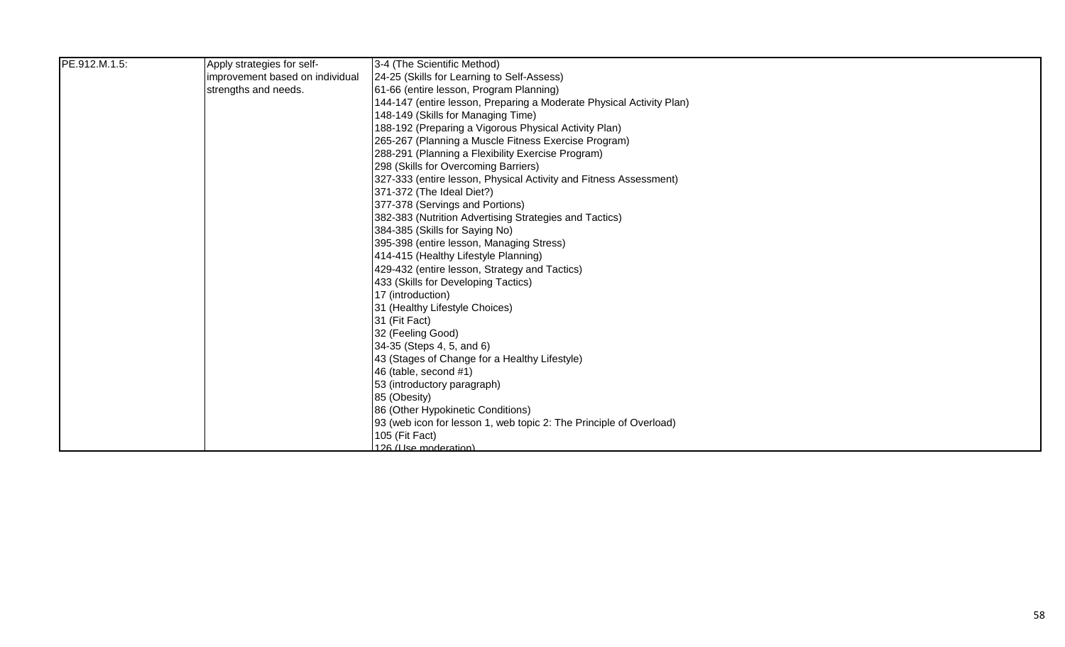| PE.912.M.1.5: | Apply strategies for self-      | 3-4 (The Scientific Method)                                          |
|---------------|---------------------------------|----------------------------------------------------------------------|
|               | improvement based on individual | 24-25 (Skills for Learning to Self-Assess)                           |
|               | strengths and needs.            | 61-66 (entire lesson, Program Planning)                              |
|               |                                 | 144-147 (entire lesson, Preparing a Moderate Physical Activity Plan) |
|               |                                 | 148-149 (Skills for Managing Time)                                   |
|               |                                 | 188-192 (Preparing a Vigorous Physical Activity Plan)                |
|               |                                 | 265-267 (Planning a Muscle Fitness Exercise Program)                 |
|               |                                 | 288-291 (Planning a Flexibility Exercise Program)                    |
|               |                                 | 298 (Skills for Overcoming Barriers)                                 |
|               |                                 | 327-333 (entire lesson, Physical Activity and Fitness Assessment)    |
|               |                                 | 371-372 (The Ideal Diet?)                                            |
|               |                                 | 377-378 (Servings and Portions)                                      |
|               |                                 | 382-383 (Nutrition Advertising Strategies and Tactics)               |
|               |                                 | 384-385 (Skills for Saying No)                                       |
|               |                                 | 395-398 (entire lesson, Managing Stress)                             |
|               |                                 | 414-415 (Healthy Lifestyle Planning)                                 |
|               |                                 | 429-432 (entire lesson, Strategy and Tactics)                        |
|               |                                 | 433 (Skills for Developing Tactics)                                  |
|               |                                 | 17 (introduction)                                                    |
|               |                                 | 31 (Healthy Lifestyle Choices)                                       |
|               |                                 | 31 (Fit Fact)                                                        |
|               |                                 | 32 (Feeling Good)                                                    |
|               |                                 | 34-35 (Steps 4, 5, and 6)                                            |
|               |                                 | 43 (Stages of Change for a Healthy Lifestyle)                        |
|               |                                 | 46 (table, second #1)                                                |
|               |                                 | 53 (introductory paragraph)                                          |
|               |                                 | 85 (Obesity)                                                         |
|               |                                 | 86 (Other Hypokinetic Conditions)                                    |
|               |                                 | 93 (web icon for lesson 1, web topic 2: The Principle of Overload)   |
|               |                                 | 105 (Fit Fact)                                                       |
|               |                                 | 126 (Use moderation)                                                 |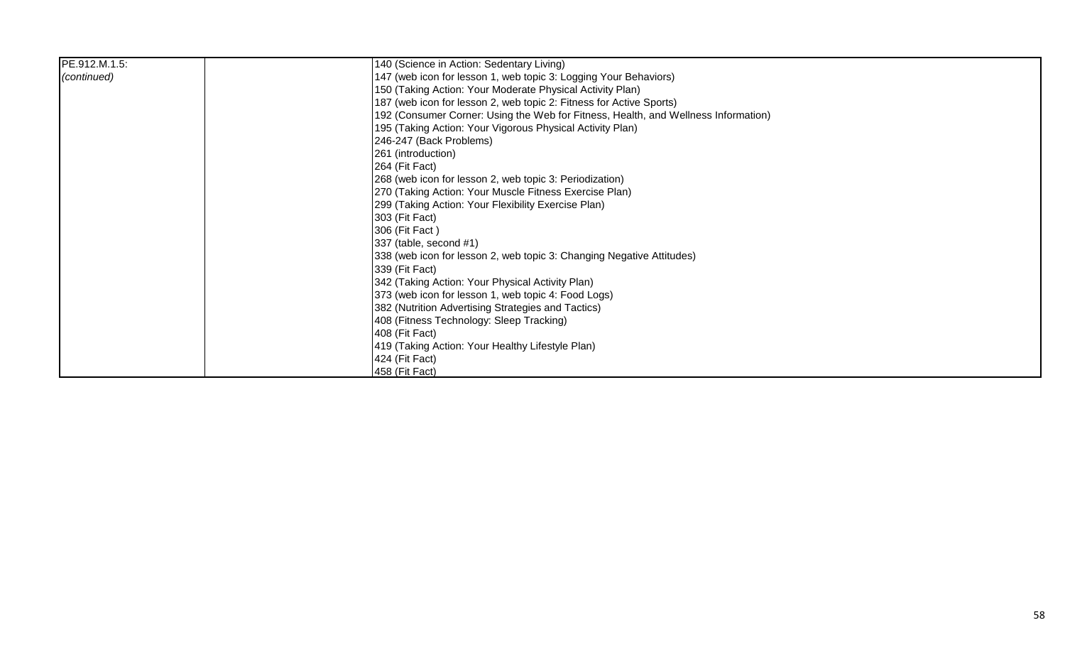| PE.912.M.1.5: | 140 (Science in Action: Sedentary Living)                                          |
|---------------|------------------------------------------------------------------------------------|
| (continued)   | 147 (web icon for lesson 1, web topic 3: Logging Your Behaviors)                   |
|               | 150 (Taking Action: Your Moderate Physical Activity Plan)                          |
|               | 187 (web icon for lesson 2, web topic 2: Fitness for Active Sports)                |
|               | 192 (Consumer Corner: Using the Web for Fitness, Health, and Wellness Information) |
|               | 195 (Taking Action: Your Vigorous Physical Activity Plan)                          |
|               | 246-247 (Back Problems)                                                            |
|               | 261 (introduction)                                                                 |
|               | 264 (Fit Fact)                                                                     |
|               | 268 (web icon for lesson 2, web topic 3: Periodization)                            |
|               | 270 (Taking Action: Your Muscle Fitness Exercise Plan)                             |
|               | 299 (Taking Action: Your Flexibility Exercise Plan)                                |
|               | 303 (Fit Fact)                                                                     |
|               | 306 (Fit Fact)                                                                     |
|               | 337 (table, second #1)                                                             |
|               | 338 (web icon for lesson 2, web topic 3: Changing Negative Attitudes)              |
|               | 339 (Fit Fact)                                                                     |
|               | 342 (Taking Action: Your Physical Activity Plan)                                   |
|               | 373 (web icon for lesson 1, web topic 4: Food Logs)                                |
|               | 382 (Nutrition Advertising Strategies and Tactics)                                 |
|               | 408 (Fitness Technology: Sleep Tracking)                                           |
|               | 408 (Fit Fact)                                                                     |
|               | 419 (Taking Action: Your Healthy Lifestyle Plan)                                   |
|               | 424 (Fit Fact)                                                                     |
|               | 458 (Fit Fact)                                                                     |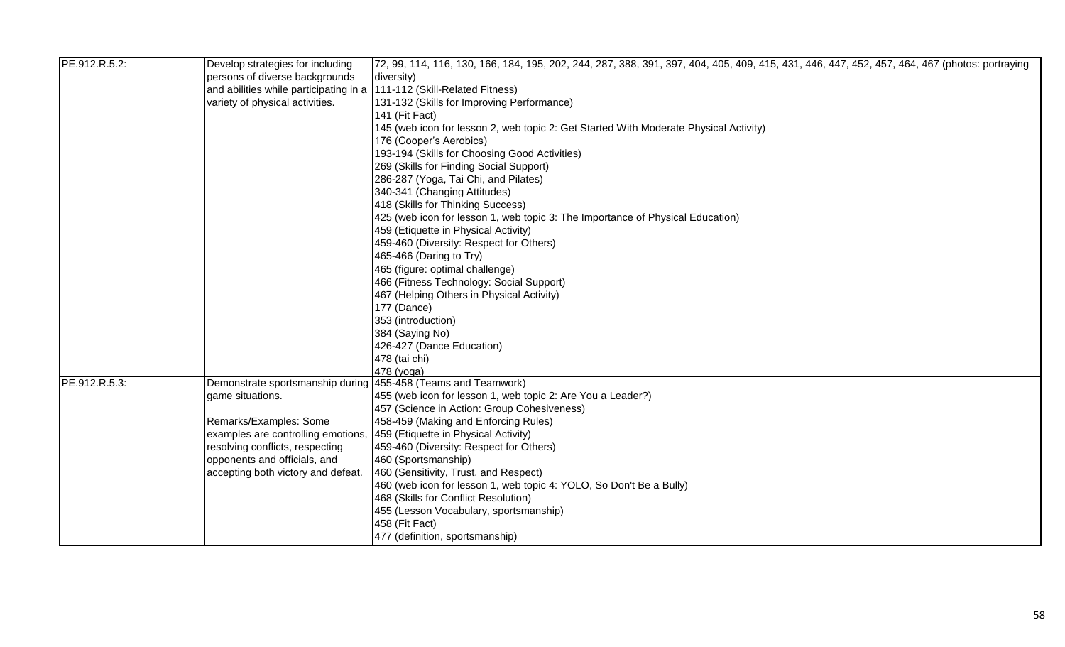| PE.912.R.5.2: | Develop strategies for including                                       | 72, 99, 114, 116, 130, 166, 184, 195, 202, 244, 287, 388, 391, 397, 404, 405, 409, 415, 431, 446, 447, 452, 457, 464, 467 (photos: portraying |
|---------------|------------------------------------------------------------------------|-----------------------------------------------------------------------------------------------------------------------------------------------|
|               | persons of diverse backgrounds                                         | diversity)                                                                                                                                    |
|               | and abilities while participating in a 111-112 (Skill-Related Fitness) |                                                                                                                                               |
|               | variety of physical activities.                                        | 131-132 (Skills for Improving Performance)                                                                                                    |
|               |                                                                        | 141 (Fit Fact)                                                                                                                                |
|               |                                                                        | 145 (web icon for lesson 2, web topic 2: Get Started With Moderate Physical Activity)                                                         |
|               |                                                                        | 176 (Cooper's Aerobics)                                                                                                                       |
|               |                                                                        | 193-194 (Skills for Choosing Good Activities)                                                                                                 |
|               |                                                                        | 269 (Skills for Finding Social Support)                                                                                                       |
|               |                                                                        | 286-287 (Yoga, Tai Chi, and Pilates)                                                                                                          |
|               |                                                                        | 340-341 (Changing Attitudes)                                                                                                                  |
|               |                                                                        | 418 (Skills for Thinking Success)                                                                                                             |
|               |                                                                        | 425 (web icon for lesson 1, web topic 3: The Importance of Physical Education)                                                                |
|               |                                                                        | 459 (Etiquette in Physical Activity)                                                                                                          |
|               |                                                                        | 459-460 (Diversity: Respect for Others)                                                                                                       |
|               |                                                                        | 465-466 (Daring to Try)                                                                                                                       |
|               |                                                                        | 465 (figure: optimal challenge)                                                                                                               |
|               |                                                                        | 466 (Fitness Technology: Social Support)                                                                                                      |
|               |                                                                        | 467 (Helping Others in Physical Activity)                                                                                                     |
|               |                                                                        | 177 (Dance)                                                                                                                                   |
|               |                                                                        | 353 (introduction)                                                                                                                            |
|               |                                                                        | 384 (Saying No)                                                                                                                               |
|               |                                                                        | 426-427 (Dance Education)                                                                                                                     |
|               |                                                                        | 478 (tai chi)                                                                                                                                 |
|               |                                                                        | 478 (yoga)                                                                                                                                    |
| PE.912.R.5.3: | Demonstrate sportsmanship during 455-458 (Teams and Teamwork)          |                                                                                                                                               |
|               | game situations.                                                       | 455 (web icon for lesson 1, web topic 2: Are You a Leader?)                                                                                   |
|               |                                                                        | 457 (Science in Action: Group Cohesiveness)                                                                                                   |
|               | Remarks/Examples: Some                                                 | 458-459 (Making and Enforcing Rules)                                                                                                          |
|               | examples are controlling emotions,                                     | 459 (Etiquette in Physical Activity)                                                                                                          |
|               | resolving conflicts, respecting                                        | 459-460 (Diversity: Respect for Others)                                                                                                       |
|               | opponents and officials, and                                           | 460 (Sportsmanship)                                                                                                                           |
|               | accepting both victory and defeat.                                     | 460 (Sensitivity, Trust, and Respect)                                                                                                         |
|               |                                                                        | 460 (web icon for lesson 1, web topic 4: YOLO, So Don't Be a Bully)                                                                           |
|               |                                                                        | 468 (Skills for Conflict Resolution)                                                                                                          |
|               |                                                                        | 455 (Lesson Vocabulary, sportsmanship)                                                                                                        |
|               |                                                                        | 458 (Fit Fact)                                                                                                                                |
|               |                                                                        | 477 (definition, sportsmanship)                                                                                                               |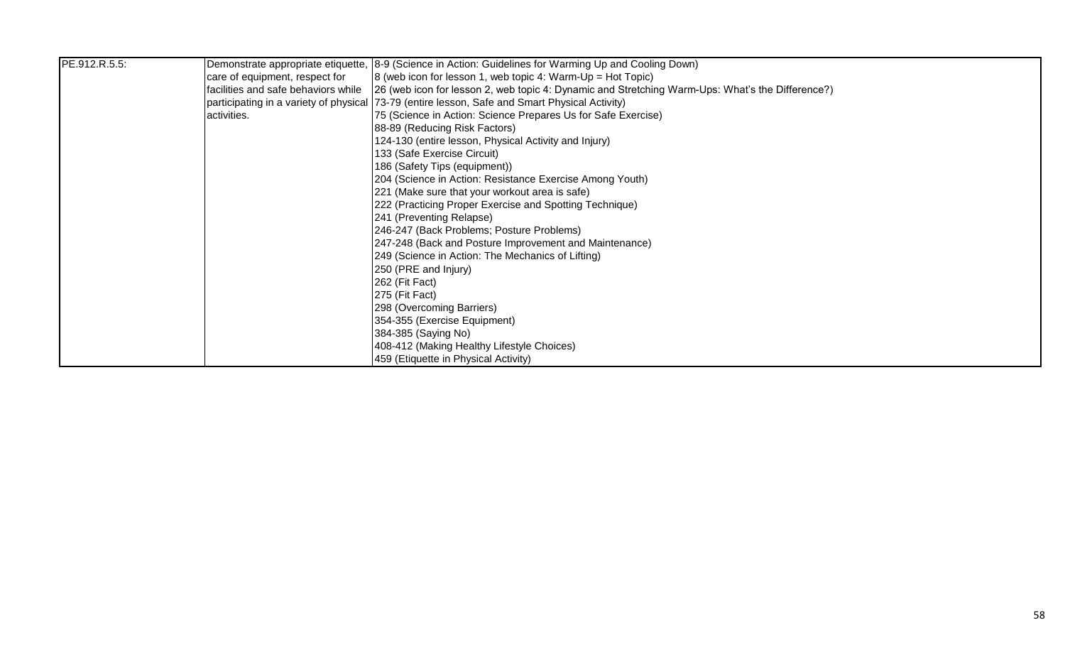| PE.912.R.5.5: |                                     | Demonstrate appropriate etiquette, 8-9 (Science in Action: Guidelines for Warming Up and Cooling Down) |
|---------------|-------------------------------------|--------------------------------------------------------------------------------------------------------|
|               | care of equipment, respect for      | $\vert$ 8 (web icon for lesson 1, web topic 4: Warm-Up = Hot Topic)                                    |
|               | facilities and safe behaviors while | [26 (web icon for lesson 2, web topic 4: Dynamic and Stretching Warm-Ups: What's the Difference?)      |
|               |                                     | participating in a variety of physical 73-79 (entire lesson, Safe and Smart Physical Activity)         |
|               | activities.                         | 75 (Science in Action: Science Prepares Us for Safe Exercise)                                          |
|               |                                     | 88-89 (Reducing Risk Factors)                                                                          |
|               |                                     | 124-130 (entire lesson, Physical Activity and Injury)                                                  |
|               |                                     | 133 (Safe Exercise Circuit)                                                                            |
|               |                                     | 186 (Safety Tips (equipment))                                                                          |
|               |                                     | 204 (Science in Action: Resistance Exercise Among Youth)                                               |
|               |                                     | 221 (Make sure that your workout area is safe)                                                         |
|               |                                     | 222 (Practicing Proper Exercise and Spotting Technique)                                                |
|               |                                     | 241 (Preventing Relapse)                                                                               |
|               |                                     | 246-247 (Back Problems; Posture Problems)                                                              |
|               |                                     | 247-248 (Back and Posture Improvement and Maintenance)                                                 |
|               |                                     | 249 (Science in Action: The Mechanics of Lifting)                                                      |
|               |                                     | 250 (PRE and Injury)                                                                                   |
|               |                                     | 262 (Fit Fact)                                                                                         |
|               |                                     | 275 (Fit Fact)                                                                                         |
|               |                                     | 298 (Overcoming Barriers)                                                                              |
|               |                                     | 354-355 (Exercise Equipment)                                                                           |
|               |                                     | 384-385 (Saying No)                                                                                    |
|               |                                     | 408-412 (Making Healthy Lifestyle Choices)                                                             |
|               |                                     | 459 (Etiquette in Physical Activity)                                                                   |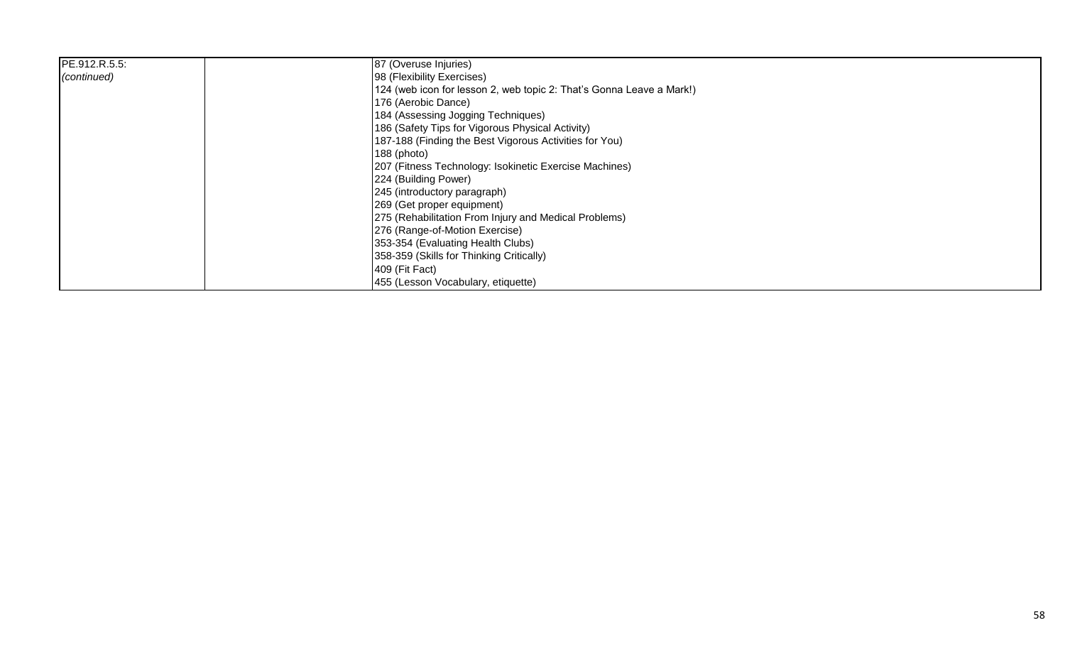| PE.912.R.5.5: | 87 (Overuse Injuries)                                                |
|---------------|----------------------------------------------------------------------|
| (continued)   | 98 (Flexibility Exercises)                                           |
|               | 124 (web icon for lesson 2, web topic 2: That's Gonna Leave a Mark!) |
|               | 176 (Aerobic Dance)                                                  |
|               | 184 (Assessing Jogging Techniques)                                   |
|               | 186 (Safety Tips for Vigorous Physical Activity)                     |
|               | 187-188 (Finding the Best Vigorous Activities for You)               |
|               | 188 (photo)                                                          |
|               | 207 (Fitness Technology: Isokinetic Exercise Machines)               |
|               | 224 (Building Power)                                                 |
|               | 245 (introductory paragraph)                                         |
|               | 269 (Get proper equipment)                                           |
|               | 275 (Rehabilitation From Injury and Medical Problems)                |
|               | 276 (Range-of-Motion Exercise)                                       |
|               | 353-354 (Evaluating Health Clubs)                                    |
|               | 358-359 (Skills for Thinking Critically)                             |
|               | 409 (Fit Fact)                                                       |
|               | 455 (Lesson Vocabulary, etiquette)                                   |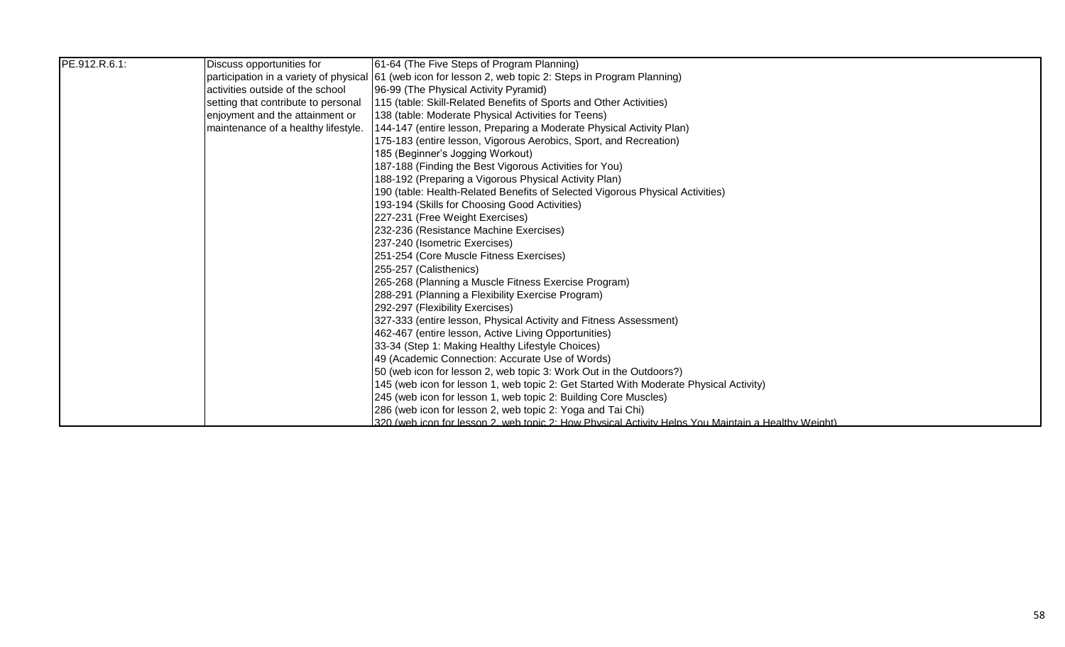| PE.912.R.6.1: | Discuss opportunities for           | 61-64 (The Five Steps of Program Planning)                                                                |
|---------------|-------------------------------------|-----------------------------------------------------------------------------------------------------------|
|               |                                     | participation in a variety of physical 61 (web icon for lesson 2, web topic 2: Steps in Program Planning) |
|               | activities outside of the school    | 96-99 (The Physical Activity Pyramid)                                                                     |
|               | setting that contribute to personal | [115 (table: Skill-Related Benefits of Sports and Other Activities)                                       |
|               | enjoyment and the attainment or     | 138 (table: Moderate Physical Activities for Teens)                                                       |
|               | maintenance of a healthy lifestyle. | 144-147 (entire lesson, Preparing a Moderate Physical Activity Plan)                                      |
|               |                                     | 175-183 (entire lesson, Vigorous Aerobics, Sport, and Recreation)                                         |
|               |                                     | 185 (Beginner's Jogging Workout)                                                                          |
|               |                                     | 187-188 (Finding the Best Vigorous Activities for You)                                                    |
|               |                                     | 188-192 (Preparing a Vigorous Physical Activity Plan)                                                     |
|               |                                     | 190 (table: Health-Related Benefits of Selected Vigorous Physical Activities)                             |
|               |                                     | 193-194 (Skills for Choosing Good Activities)                                                             |
|               |                                     | 227-231 (Free Weight Exercises)                                                                           |
|               |                                     | 232-236 (Resistance Machine Exercises)                                                                    |
|               |                                     | 237-240 (Isometric Exercises)                                                                             |
|               |                                     | 251-254 (Core Muscle Fitness Exercises)                                                                   |
|               |                                     | 255-257 (Calisthenics)                                                                                    |
|               |                                     | 265-268 (Planning a Muscle Fitness Exercise Program)                                                      |
|               |                                     | 288-291 (Planning a Flexibility Exercise Program)                                                         |
|               |                                     | 292-297 (Flexibility Exercises)                                                                           |
|               |                                     | 327-333 (entire lesson, Physical Activity and Fitness Assessment)                                         |
|               |                                     | 462-467 (entire lesson, Active Living Opportunities)                                                      |
|               |                                     | 33-34 (Step 1: Making Healthy Lifestyle Choices)                                                          |
|               |                                     | 49 (Academic Connection: Accurate Use of Words)                                                           |
|               |                                     | [50 (web icon for lesson 2, web topic 3: Work Out in the Outdoors?)                                       |
|               |                                     | 145 (web icon for lesson 1, web topic 2: Get Started With Moderate Physical Activity)                     |
|               |                                     | 245 (web icon for lesson 1, web topic 2: Building Core Muscles)                                           |
|               |                                     | 286 (web icon for lesson 2, web topic 2: Yoga and Tai Chi)                                                |
|               |                                     | 320 (web icon for lesson 2, web topic 2: How Physical Activity Helps You Maintain a Healthy Weight)       |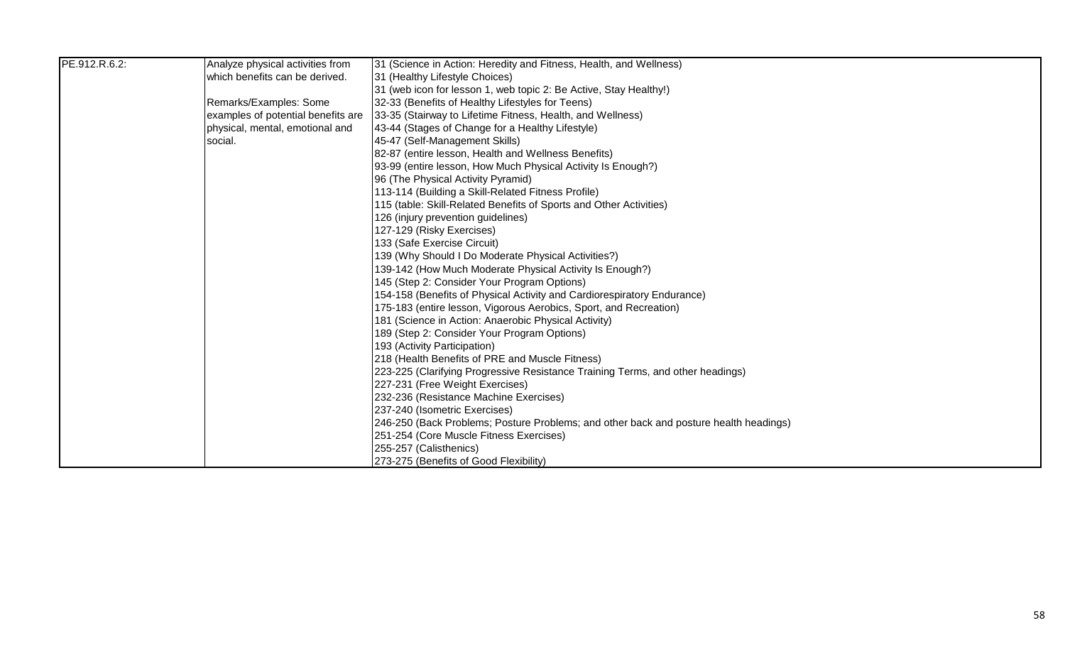| PE.912.R.6.2: | Analyze physical activities from   | [31 (Science in Action: Heredity and Fitness, Health, and Wellness)                    |
|---------------|------------------------------------|----------------------------------------------------------------------------------------|
|               | which benefits can be derived.     | 31 (Healthy Lifestyle Choices)                                                         |
|               |                                    | 31 (web icon for lesson 1, web topic 2: Be Active, Stay Healthy!)                      |
|               | Remarks/Examples: Some             | 32-33 (Benefits of Healthy Lifestyles for Teens)                                       |
|               | examples of potential benefits are | 33-35 (Stairway to Lifetime Fitness, Health, and Wellness)                             |
|               | physical, mental, emotional and    | 43-44 (Stages of Change for a Healthy Lifestyle)                                       |
|               | social.                            | 45-47 (Self-Management Skills)                                                         |
|               |                                    | 82-87 (entire lesson, Health and Wellness Benefits)                                    |
|               |                                    | 93-99 (entire lesson, How Much Physical Activity Is Enough?)                           |
|               |                                    | 96 (The Physical Activity Pyramid)                                                     |
|               |                                    | 113-114 (Building a Skill-Related Fitness Profile)                                     |
|               |                                    | 115 (table: Skill-Related Benefits of Sports and Other Activities)                     |
|               |                                    | 126 (injury prevention guidelines)                                                     |
|               |                                    | 127-129 (Risky Exercises)                                                              |
|               |                                    | 133 (Safe Exercise Circuit)                                                            |
|               |                                    | 139 (Why Should I Do Moderate Physical Activities?)                                    |
|               |                                    | 139-142 (How Much Moderate Physical Activity Is Enough?)                               |
|               |                                    | 145 (Step 2: Consider Your Program Options)                                            |
|               |                                    | 154-158 (Benefits of Physical Activity and Cardiorespiratory Endurance)                |
|               |                                    | 175-183 (entire lesson, Vigorous Aerobics, Sport, and Recreation)                      |
|               |                                    | 181 (Science in Action: Anaerobic Physical Activity)                                   |
|               |                                    | 189 (Step 2: Consider Your Program Options)                                            |
|               |                                    | 193 (Activity Participation)                                                           |
|               |                                    | 218 (Health Benefits of PRE and Muscle Fitness)                                        |
|               |                                    | [223-225 (Clarifying Progressive Resistance Training Terms, and other headings)        |
|               |                                    | 227-231 (Free Weight Exercises)                                                        |
|               |                                    | 232-236 (Resistance Machine Exercises)                                                 |
|               |                                    | 237-240 (Isometric Exercises)                                                          |
|               |                                    | [246-250 (Back Problems; Posture Problems; and other back and posture health headings) |
|               |                                    | 251-254 (Core Muscle Fitness Exercises)                                                |
|               |                                    | 255-257 (Calisthenics)                                                                 |
|               |                                    | 273-275 (Benefits of Good Flexibility)                                                 |